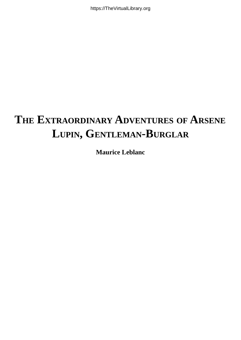@d:MBV@Xāc`a¢Šãalas^Èti\*

### **THE EXTRAORDINARY ADVENTURES OF ARSENE LUPIN, GENTLEMAN-BURGLAR**

**Maurice Leblanc**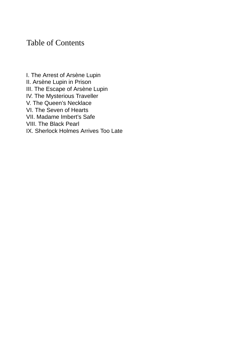#### Table of Contents

I. The Arrest of [Arsène](#page-2-0) Lupin II. [Arsène](#page-11-0) Lupin in Prison III. The [Escape](#page-26-0) of Arsène Lupin IV. The [Mysterious](#page-40-0) Traveller V. The Queen's [Necklace](#page-51-0) VI. The Seven of [Hearts](#page-63-0) VII. [Madame](#page-88-0) Imbert's Safe VIII. The [Black](#page-96-0) Pearl IX. [Sherlock](#page-106-0) Holmes Arrives Too Late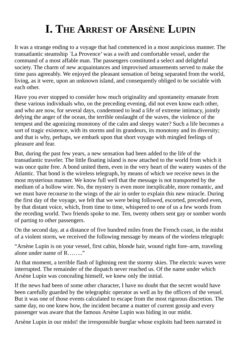# **I. THE ARREST OF ARSÈNE LUPIN**

<span id="page-2-0"></span>It was a strange ending to a voyage that had commenced in a most auspicious manner. The transatlantic steamship `La Provence' was a swift and comfortable vessel, under the command of a most affable man. The passengers constituted a select and delightful society. The charm of new acquaintances and improvised amusements served to make the time pass agreeably. We enjoyed the pleasant sensation of being separated from the world, living, as it were, upon an unknown island, and consequently obliged to be sociable with each other.

Have you ever stopped to consider how much originality and spontaneity emanate from these various individuals who, on the preceding evening, did not even know each other, and who are now, for several days, condemned to lead a life of extreme intimacy, jointly defying the anger of the ocean, the terrible onslaught of the waves, the violence of the tempest and the agonizing monotony of the calm and sleepy water? Such a life becomes a sort of tragic existence, with its storms and its grandeurs, its monotony and its diversity; and that is why, perhaps, we embark upon that short voyage with mingled feelings of pleasure and fear.

But, during the past few years, a new sensation had been added to the life of the transatlantic traveler. The little floating island is now attached to the world from which it was once quite free. A bond united them, even in the very heart of the watery wastes of the Atlantic. That bond is the wireless telegraph, by means of which we receive news in the most mysterious manner. We know full well that the message is not transported by the medium of a hollow wire. No, the mystery is even more inexplicable, more romantic, and we must have recourse to the wings of the air in order to explain this new miracle. During the first day of the voyage, we felt that we were being followed, escorted, preceded even, by that distant voice, which, from time to time, whispered to one of us a few words from the receding world. Two friends spoke to me. Ten, twenty others sent gay or somber words of parting to other passengers.

On the second day, at a distance of five hundred miles from the French coast, in the midst of a violent storm, we received the following message by means of the wireless telegraph:

"Arsène Lupin is on your vessel, first cabin, blonde hair, wound right fore–arm, traveling alone under name of R…….."

At that moment, a terrible flash of lightning rent the stormy skies. The electric waves were interrupted. The remainder of the dispatch never reached us. Of the name under which Arsène Lupin was concealing himself, we knew only the initial.

If the news had been of some other character, I have no doubt that the secret would have been carefully guarded by the telegraphic operator as well as by the officers of the vessel. But it was one of those events calculated to escape from the most rigorous discretion. The same day, no one knew how, the incident became a matter of current gossip and every passenger was aware that the famous Arsène Lupin was hiding in our midst.

Arsène Lupin in our midst! the irresponsible burglar whose exploits had been narrated in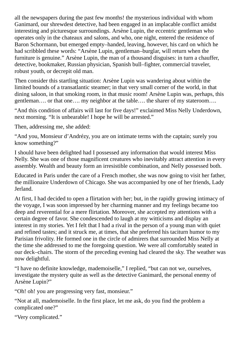all the newspapers during the past few months! the mysterious individual with whom Ganimard, our shrewdest detective, had been engaged in an implacable conflict amidst interesting and picturesque surroundings. Arsène Lupin, the eccentric gentleman who operates only in the chateaux and salons, and who, one night, entered the residence of Baron Schormann, but emerged empty–handed, leaving, however, his card on which he had scribbled these words: "Arsène Lupin, gentleman–burglar, will return when the furniture is genuine." Arsène Lupin, the man of a thousand disguises: in turn a chauffer, detective, bookmaker, Russian physician, Spanish bull–fighter, commercial traveler, robust youth, or decrepit old man.

Then consider this startling situation: Arsène Lupin was wandering about within the limited bounds of a transatlantic steamer; in that very small corner of the world, in that dining saloon, in that smoking room, in that music room! Arsène Lupin was, perhaps, this gentleman…. or that one…. my neighbor at the table…. the sharer of my stateroom….

"And this condition of affairs will last for five days!" exclaimed Miss Nelly Underdown, next morning. "It is unbearable! I hope he will be arrested."

Then, addressing me, she added:

"And you, Monsieur d'Andrézy, you are on intimate terms with the captain; surely you know something?"

I should have been delighted had I possessed any information that would interest Miss Nelly. She was one of those magnificent creatures who inevitably attract attention in every assembly. Wealth and beauty form an irresistible combination, and Nelly possessed both.

Educated in Paris under the care of a French mother, she was now going to visit her father, the millionaire Underdown of Chicago. She was accompanied by one of her friends, Lady Jerland.

At first, I had decided to open a flirtation with her; but, in the rapidly growing intimacy of the voyage, I was soon impressed by her charming manner and my feelings became too deep and reverential for a mere flirtation. Moreover, she accepted my attentions with a certain degree of favor. She condescended to laugh at my witticisms and display an interest in my stories. Yet I felt that I had a rival in the person of a young man with quiet and refined tastes; and it struck me, at times, that she preferred his taciturn humor to my Parisian frivolity. He formed one in the circle of admirers that surrounded Miss Nelly at the time she addressed to me the foregoing question. We were all comfortably seated in our deck–chairs. The storm of the preceding evening had cleared the sky. The weather was now delightful.

"I have no definite knowledge, mademoiselle," I replied, "but can not we, ourselves, investigate the mystery quite as well as the detective Ganimard, the personal enemy of Arsène Lupin?"

"Oh! oh! you are progressing very fast, monsieur."

"Not at all, mademoiselle. In the first place, let me ask, do you find the problem a complicated one?"

```
"Very complicated."
```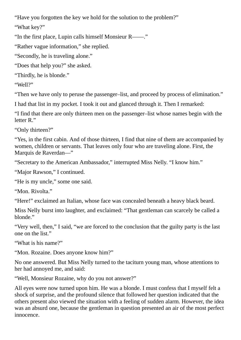"Have you forgotten the key we hold for the solution to the problem?"

"What key?"

"In the first place, Lupin calls himself Monsieur R――."

"Rather vague information," she replied.

"Secondly, he is traveling alone."

"Does that help you?" she asked.

"Thirdly, he is blonde."

"Well?"

"Then we have only to peruse the passenger–list, and proceed by process of elimination."

I had that list in my pocket. I took it out and glanced through it. Then I remarked:

"I find that there are only thirteen men on the passenger–list whose names begin with the letter R."

"Only thirteen?"

"Yes, in the first cabin. And of those thirteen, I find that nine of them are accompanied by women, children or servants. That leaves only four who are traveling alone. First, the Marquis de Raverdan―"

"Secretary to the American Ambassador," interrupted Miss Nelly. "I know him."

"Major Rawson," I continued.

"He is my uncle," some one said.

"Mon. Rivolta."

"Here!" exclaimed an Italian, whose face was concealed beneath a heavy black beard.

Miss Nelly burst into laughter, and exclaimed: "That gentleman can scarcely be called a blonde."

"Very well, then," I said, "we are forced to the conclusion that the guilty party is the last one on the list."

"What is his name?"

"Mon. Rozaine. Does anyone know him?"

No one answered. But Miss Nelly turned to the taciturn young man, whose attentions to her had annoyed me, and said:

"Well, Monsieur Rozaine, why do you not answer?"

All eyes were now turned upon him. He was a blonde. I must confess that I myself felt a shock of surprise, and the profound silence that followed her question indicated that the others present also viewed the situation with a feeling of sudden alarm. However, the idea was an absurd one, because the gentleman in question presented an air of the most perfect innocence.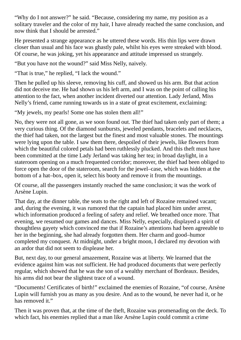"Why do I not answer?" he said. "Because, considering my name, my position as a solitary traveler and the color of my hair, I have already reached the same conclusion, and now think that I should be arrested."

He presented a strange appearance as he uttered these words. His thin lips were drawn closer than usual and his face was ghastly pale, whilst his eyes were streaked with blood. Of course, he was joking, yet his appearance and attitude impressed us strangely.

"But you have not the wound?" said Miss Nelly, naively.

"That is true," he replied, "I lack the wound."

Then he pulled up his sleeve, removing his cuff, and showed us his arm. But that action did not deceive me. He had shown us his left arm, and I was on the point of calling his attention to the fact, when another incident diverted our attention. Lady Jerland, Miss Nelly's friend, came running towards us in a state of great excitement, exclaiming:

"My jewels, my pearls! Some one has stolen them all!"

No, they were not all gone, as we soon found out. The thief had taken only part of them; a very curious thing. Of the diamond sunbursts, jeweled pendants, bracelets and necklaces, the thief had taken, not the largest but the finest and most valuable stones. The mountings were lying upon the table. I saw them there, despoiled of their jewels, like flowers from which the beautiful colored petals had been ruthlessly plucked. And this theft must have been committed at the time Lady Jerland was taking her tea; in broad daylight, in a stateroom opening on a much frequented corridor; moreover, the thief had been obliged to force open the door of the stateroom, search for the jewel–case, which was hidden at the bottom of a hat–box, open it, select his booty and remove it from the mountings.

Of course, all the passengers instantly reached the same conclusion; it was the work of Arsène Lupin.

That day, at the dinner table, the seats to the right and left of Rozaine remained vacant; and, during the evening, it was rumored that the captain had placed him under arrest, which information produced a feeling of safety and relief. We breathed once more. That evening, we resumed our games and dances. Miss Nelly, especially, displayed a spirit of thoughtless gayety which convinced me that if Rozaine's attentions had been agreeable to her in the beginning, she had already forgotten them. Her charm and good–humor completed my conquest. At midnight, under a bright moon, I declared my devotion with an ardor that did not seem to displease her.

But, next day, to our general amazement, Rozaine was at liberty. We learned that the evidence against him was not sufficient. He had produced documents that were perfectly regular, which showed that he was the son of a wealthy merchant of Bordeaux. Besides, his arms did not bear the slightest trace of a wound.

"Documents! Certificates of birth!" exclaimed the enemies of Rozaine, "of course, Arsène Lupin will furnish you as many as you desire. And as to the wound, he never had it, or he has removed it."

Then it was proven that, at the time of the theft, Rozaine was promenading on the deck. To which fact, his enemies replied that a man like Arsène Lupin could commit a crime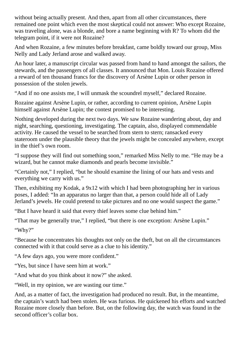without being actually present. And then, apart from all other circumstances, there remained one point which even the most skeptical could not answer: Who except Rozaine, was traveling alone, was a blonde, and bore a name beginning with R? To whom did the telegram point, if it were not Rozaine?

And when Rozaine, a few minutes before breakfast, came boldly toward our group, Miss Nelly and Lady Jerland arose and walked away.

An hour later, a manuscript circular was passed from hand to hand amongst the sailors, the stewards, and the passengers of all classes. It announced that Mon. Louis Rozaine offered a reward of ten thousand francs for the discovery of Arsène Lupin or other person in possession of the stolen jewels.

"And if no one assists me, I will unmask the scoundrel myself," declared Rozaine.

Rozaine against Arsène Lupin, or rather, according to current opinion, Arsène Lupin himself against Arsène Lupin; the contest promised to be interesting.

Nothing developed during the next two days. We saw Rozaine wandering about, day and night, searching, questioning, investigating. The captain, also, displayed commendable activity. He caused the vessel to be searched from stern to stern; ransacked every stateroom under the plausible theory that the jewels might be concealed anywhere, except in the thief's own room.

"I suppose they will find out something soon," remarked Miss Nelly to me. "He may be a wizard, but he cannot make diamonds and pearls become invisible."

"Certainly not," I replied, "but he should examine the lining of our hats and vests and everything we carry with us."

Then, exhibiting my Kodak, a 9x12 with which I had been photographing her in various poses, I added: "In an apparatus no larger than that, a person could hide all of Lady Jerland's jewels. He could pretend to take pictures and no one would suspect the game."

"But I have heard it said that every thief leaves some clue behind him."

"That may be generally true," I replied, "but there is one exception: Arsène Lupin."

"Why?"

"Because he concentrates his thoughts not only on the theft, but on all the circumstances connected with it that could serve as a clue to his identity."

"A few days ago, you were more confident."

"Yes, but since I have seen him at work."

"And what do you think about it now?" she asked.

"Well, in my opinion, we are wasting our time."

And, as a matter of fact, the investigation had produced no result. But, in the meantime, the captain's watch had been stolen. He was furious. He quickened his efforts and watched Rozaine more closely than before. But, on the following day, the watch was found in the second officer's collar box.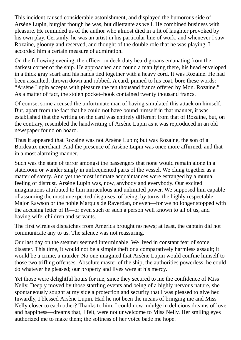This incident caused considerable astonishment, and displayed the humorous side of Arsène Lupin, burglar though he was, but dilettante as well. He combined business with pleasure. He reminded us of the author who almost died in a fit of laughter provoked by his own play. Certainly, he was an artist in his particular line of work, and whenever I saw Rozaine, gloomy and reserved, and thought of the double role that he was playing, I accorded him a certain measure of admiration.

On the following evening, the officer on deck duty heard groans emanating from the darkest corner of the ship. He approached and found a man lying there, his head enveloped in a thick gray scarf and his hands tied together with a heavy cord. It was Rozaine. He had been assaulted, thrown down and robbed. A card, pinned to his coat, bore these words: "Arsène Lupin accepts with pleasure the ten thousand francs offered by Mon. Rozaine." As a matter of fact, the stolen pocket–book contained twenty thousand francs.

Of course, some accused the unfortunate man of having simulated this attack on himself. But, apart from the fact that he could not have bound himself in that manner, it was established that the writing on the card was entirely different from that of Rozaine, but, on the contrary, resembled the handwriting of Arsène Lupin as it was reproduced in an old newspaper found on board.

Thus it appeared that Rozaine was not Arsène Lupin; but was Rozaine, the son of a Bordeaux merchant. And the presence of Arsène Lupin was once more affirmed, and that in a most alarming manner.

Such was the state of terror amongst the passengers that none would remain alone in a stateroom or wander singly in unfrequented parts of the vessel. We clung together as a matter of safety. And yet the most intimate acquaintances were estranged by a mutual feeling of distrust. Arsène Lupin was, now, anybody and everybody. Our excited imaginations attributed to him miraculous and unlimited power. We supposed him capable of assuming the most unexpected disguises; of being, by turns, the highly respectable Major Rawson or the noble Marquis de Raverdan, or even—for we no longer stopped with the accusing letter of R—or even such or such a person well known to all of us, and having wife, children and servants.

The first wireless dispatches from America brought no news; at least, the captain did not communicate any to us. The silence was not reassuring.

Our last day on the steamer seemed interminable. We lived in constant fear of some disaster. This time, it would not be a simple theft or a comparatively harmless assault; it would be a crime, a murder. No one imagined that Arsène Lupin would confine himself to those two trifling offenses. Absolute master of the ship, the authorities powerless, he could do whatever he pleased; our property and lives were at his mercy.

Yet those were delightful hours for me, since they secured to me the confidence of Miss Nelly. Deeply moved by those startling events and being of a highly nervous nature, she spontaneously sought at my side a protection and security that I was pleased to give her. Inwardly, I blessed Arsène Lupin. Had he not been the means of bringing me and Miss Nelly closer to each other? Thanks to him, I could now indulge in delicious dreams of love and happiness—dreams that, I felt, were not unwelcome to Miss Nelly. Her smiling eyes authorized me to make them; the softness of her voice bade me hope.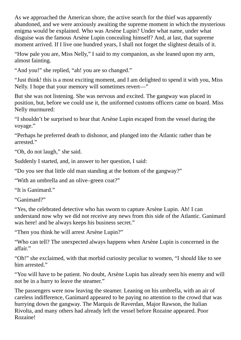As we approached the American shore, the active search for the thief was apparently abandoned, and we were anxiously awaiting the supreme moment in which the mysterious enigma would be explained. Who was Arsène Lupin? Under what name, under what disguise was the famous Arsène Lupin concealing himself? And, at last, that supreme moment arrived. If I live one hundred years, I shall not forget the slightest details of it.

"How pale you are, Miss Nelly," I said to my companion, as she leaned upon my arm, almost fainting.

"And you!" she replied, "ah! you are so changed."

"Just think! this is a most exciting moment, and I am delighted to spend it with you, Miss Nelly. I hope that your memory will sometimes revert—"

But she was not listening. She was nervous and excited. The gangway was placed in position, but, before we could use it, the uniformed customs officers came on board. Miss Nelly murmured:

"I shouldn't be surprised to hear that Arsène Lupin escaped from the vessel during the voyage."

"Perhaps he preferred death to dishonor, and plunged into the Atlantic rather than be arrested."

"Oh, do not laugh," she said.

Suddenly I started, and, in answer to her question, I said:

"Do you see that little old man standing at the bottom of the gangway?"

"With an umbrella and an olive–green coat?"

"It is Ganimard."

"Ganimard?"

"Yes, the celebrated detective who has sworn to capture Arsène Lupin. Ah! I can understand now why we did not receive any news from this side of the Atlantic. Ganimard was here! and he always keeps his business secret."

"Then you think he will arrest Arsène Lupin?"

"Who can tell? The unexpected always happens when Arsène Lupin is concerned in the affair."

"Oh!" she exclaimed, with that morbid curiosity peculiar to women, "I should like to see him arrested."

"You will have to be patient. No doubt, Arsène Lupin has already seen his enemy and will not be in a hurry to leave the steamer."

The passengers were now leaving the steamer. Leaning on his umbrella, with an air of careless indifference, Ganimard appeared to be paying no attention to the crowd that was hurrying down the gangway. The Marquis de Raverdan, Major Rawson, the Italian Rivolta, and many others had already left the vessel before Rozaine appeared. Poor Rozaine!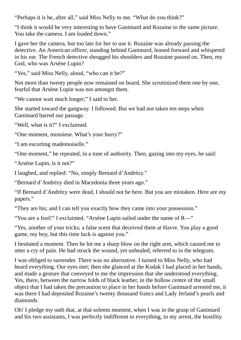"Perhaps it is he, after all," said Miss Nelly to me. "What do you think?"

"I think it would be very interesting to have Ganimard and Rozaine in the same picture. You take the camera. I am loaded down."

I gave her the camera, but too late for her to use it. Rozaine was already passing the detective. An American officer, standing behind Ganimard, leaned forward and whispered in his ear. The French detective shrugged his shoulders and Rozaine passed on. Then, my God, who was Arsène Lupin?

"Yes," said Miss Nelly, aloud, "who can it be?"

Not more than twenty people now remained on board. She scrutinized them one by one, fearful that Arsène Lupin was not amongst them.

"We cannot wait much longer," I said to her.

She started toward the gangway. I followed. But we had not taken ten steps when Ganimard barred our passage.

"Well, what is it?" I exclaimed.

"One moment, monsieur. What's your hurry?"

"I am escorting mademoiselle."

"One moment," he repeated, in a tone of authority. Then, gazing into my eyes, he said:

"Arsène Lupin, is it not?"

I laughed, and replied: "No, simply Bernard d'Andrézy."

"Bernard d'Andrézy died in Macedonia three years ago."

"If Bernard d'Andrézy were dead, I should not be here. But you are mistaken. Here are my papers."

"They are his; and I can tell you exactly how they came into your possession."

"You are a fool!" I exclaimed. "Arsène Lupin sailed under the name of R―"

"Yes, another of your tricks; a false scent that deceived them at Havre. You play a good game, my boy, but this time luck is against you."

I hesitated a moment. Then he hit me a sharp blow on the right arm, which caused me to utter a cry of pain. He had struck the wound, yet unhealed, referred to in the telegram.

I was obliged to surrender. There was no alternative. I turned to Miss Nelly, who had heard everything. Our eyes met; then she glanced at the Kodak I had placed in her hands, and made a gesture that conveyed to me the impression that she understood everything. Yes, there, between the narrow folds of black leather, in the hollow centre of the small object that I had taken the precaution to place in her hands before Ganimard arrested me, it was there I had deposited Rozaine's twenty thousand francs and Lady Jerland's pearls and diamonds.

Oh! I pledge my oath that, at that solemn moment, when I was in the grasp of Ganimard and his two assistants, I was perfectly indifferent to everything, to my arrest, the hostility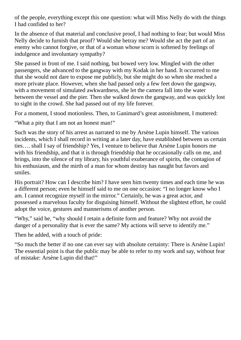of the people, everything except this one question: what will Miss Nelly do with the things I had confided to her?

In the absence of that material and conclusive proof, I had nothing to fear; but would Miss Nelly decide to furnish that proof? Would she betray me? Would she act the part of an enemy who cannot forgive, or that of a woman whose scorn is softened by feelings of indulgence and involuntary sympathy?

She passed in front of me. I said nothing, but bowed very low. Mingled with the other passengers, she advanced to the gangway with my Kodak in her hand. It occurred to me that she would not dare to expose me publicly, but she might do so when she reached a more private place. However, when she had passed only a few feet down the gangway, with a movement of simulated awkwardness, she let the camera fall into the water between the vessel and the pier. Then she walked down the gangway, and was quickly lost to sight in the crowd. She had passed out of my life forever.

For a moment, I stood motionless. Then, to Ganimard's great astonishment, I muttered:

"What a pity that I am not an honest man!"

Such was the story of his arrest as narrated to me by Arsène Lupin himself. The various incidents, which I shall record in writing at a later day, have established between us certain ties…. shall I say of friendship? Yes, I venture to believe that Arsène Lupin honors me with his friendship, and that it is through friendship that he occasionally calls on me, and brings, into the silence of my library, his youthful exuberance of spirits, the contagion of his enthusiasm, and the mirth of a man for whom destiny has naught but favors and smiles.

His portrait? How can I describe him? I have seen him twenty times and each time he was a different person; even he himself said to me on one occasion: "I no longer know who I am. I cannot recognize myself in the mirror." Certainly, he was a great actor, and possessed a marvelous faculty for disguising himself. Without the slightest effort, he could adopt the voice, gestures and mannerisms of another person.

"Why," said he, "why should I retain a definite form and feature? Why not avoid the danger of a personality that is ever the same? My actions will serve to identify me."

Then he added, with a touch of pride:

"So much the better if no one can ever say with absolute certainty: There is Arsène Lupin! The essential point is that the public may be able to refer to my work and say, without fear of mistake: Arsène Lupin did that!"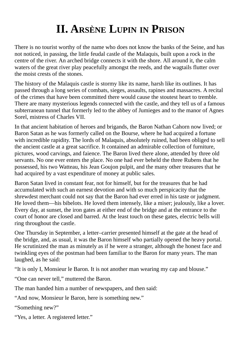## **II. ARSÈNE LUPIN IN PRISON**

<span id="page-11-0"></span>There is no tourist worthy of the name who does not know the banks of the Seine, and has not noticed, in passing, the little feudal castle of the Malaquis, built upon a rock in the centre of the river. An arched bridge connects it with the shore. All around it, the calm waters of the great river play peacefully amongst the reeds, and the wagtails flutter over the moist crests of the stones.

The history of the Malaquis castle is stormy like its name, harsh like its outlines. It has passed through a long series of combats, sieges, assaults, rapines and massacres. A recital of the crimes that have been committed there would cause the stoutest heart to tremble. There are many mysterious legends connected with the castle, and they tell us of a famous subterranean tunnel that formerly led to the abbey of Jumieges and to the manor of Agnes Sorel, mistress of Charles VII.

In that ancient habitation of heroes and brigands, the Baron Nathan Cahorn now lived; or Baron Satan as he was formerly called on the Bourse, where he had acquired a fortune with incredible rapidity. The lords of Malaquis, absolutely ruined, had been obliged to sell the ancient castle at a great sacrifice. It contained an admirable collection of furniture, pictures, wood carvings, and faience. The Baron lived there alone, attended by three old servants. No one ever enters the place. No one had ever beheld the three Rubens that he possessed, his two Watteau, his Jean Goujon pulpit, and the many other treasures that he had acquired by a vast expenditure of money at public sales.

Baron Satan lived in constant fear, not for himself, but for the treasures that he had accumulated with such an earnest devotion and with so much perspicacity that the shrewdest merchant could not say that the Baron had ever erred in his taste or judgment. He loved them—his bibelots. He loved them intensely, like a miser; jealously, like a lover. Every day, at sunset, the iron gates at either end of the bridge and at the entrance to the court of honor are closed and barred. At the least touch on these gates, electric bells will ring throughout the castle.

One Thursday in September, a letter–carrier presented himself at the gate at the head of the bridge, and, as usual, it was the Baron himself who partially opened the heavy portal. He scrutinized the man as minutely as if he were a stranger, although the honest face and twinkling eyes of the postman had been familiar to the Baron for many years. The man laughed, as he said:

"It is only I, Monsieur le Baron. It is not another man wearing my cap and blouse."

"One can never tell," muttered the Baron.

The man handed him a number of newspapers, and then said:

"And now, Monsieur le Baron, here is something new."

"Something new?"

"Yes, a letter. A registered letter."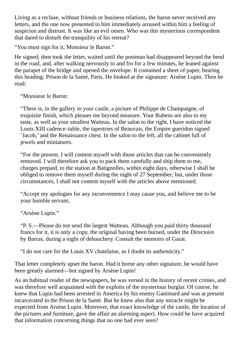Living as a recluse, without friends or business relations, the baron never received any letters, and the one now presented to him immediately aroused within him a feeling of suspicion and distrust. It was like an evil omen. Who was this mysterious correspondent that dared to disturb the tranquility of his retreat?

"You must sign for it, Monsieur le Baron."

He signed; then took the letter, waited until the postman had disappeared beyond the bend in the road, and, after walking nervously to and fro for a few minutes, he leaned against the parapet of the bridge and opened the envelope. It contained a sheet of paper, bearing this heading: Prison de la Santé, Paris. He looked at the signature: Arsène Lupin. Then he read:

"Monsieur le Baron:

"There is, in the gallery in your castle, a picture of Philippe de Champaigne, of exquisite finish, which pleases me beyond measure. Your Rubens are also to my taste, as well as your smallest Watteau. In the salon to the right, I have noticed the Louis XIII cadence–table, the tapestries of Beauvais, the Empire gueridon signed `Jacob,' and the Renaissance chest. In the salon to the left, all the cabinet full of jewels and miniatures.

"For the present, I will content myself with those articles that can be conveniently removed. I will therefore ask you to pack them carefully and ship them to me, charges prepaid, to the station at Batignolles, within eight days, otherwise I shall be obliged to remove them myself during the night of 27 September; but, under those circumstances, I shall not content myself with the articles above mentioned.

"Accept my apologies for any inconvenience I may cause you, and believe me to be your humble servant,

"Arsène Lupin."

"P. S.—Please do not send the largest Watteau. Although you paid thirty thousand francs for it, it is only a copy, the original having been burned, under the Directoire by Barras, during a night of debauchery. Consult the memoirs of Garat.

"I do not care for the Louis XV chatelaine, as I doubt its authenticity."

That letter completely upset the baron. Had it borne any other signature, he would have been greatly alarmed—but signed by Arsène Lupin!

As an habitual reader of the newspapers, he was versed in the history of recent crimes, and was therefore well acquainted with the exploits of the mysterious burglar. Of course, he knew that Lupin had been arrested in America by his enemy Ganimard and was at present incarcerated in the Prison de la Santé. But he knew also that any miracle might be expected from Arsène Lupin. Moreover, that exact knowledge of the castle, the location of the pictures and furniture, gave the affair an alarming aspect. How could he have acquired that information concerning things that no one had ever seen?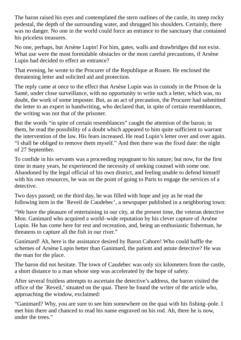The baron raised his eyes and contemplated the stern outlines of the castle, its steep rocky pedestal, the depth of the surrounding water, and shrugged his shoulders. Certainly, there was no danger. No one in the world could force an entrance to the sanctuary that contained his priceless treasures.

No one, perhaps, but Arsène Lupin! For him, gates, walls and drawbridges did not exist. What use were the most formidable obstacles or the most careful precautions, if Arsène Lupin had decided to effect an entrance?

That evening, he wrote to the Procurer of the Republique at Rouen. He enclosed the threatening letter and solicited aid and protection.

The reply came at once to the effect that Arsène Lupin was in custody in the Prison de la Santé, under close surveillance, with no opportunity to write such a letter, which was, no doubt, the work of some imposter. But, as an act of precaution, the Procurer had submitted the letter to an expert in handwriting, who declared that, in spite of certain resemblances, the writing was not that of the prisoner.

But the words "in spite of certain resemblances" caught the attention of the baron; in them, he read the possibility of a doubt which appeared to him quite sufficient to warrant the intervention of the law. His fears increased. He read Lupin's letter over and over again. "I shall be obliged to remove them myself." And then there was the fixed date: the night of 27 September.

To confide in his servants was a proceeding repugnant to his nature; but now, for the first time in many years, he experienced the necessity of seeking counsel with some one. Abandoned by the legal official of his own district, and feeling unable to defend himself with his own resources, he was on the point of going to Paris to engage the services of a detective.

Two days passed; on the third day, he was filled with hope and joy as he read the following item in the `Reveil de Caudebec', a newspaper published in a neighboring town:

"We have the pleasure of entertaining in our city, at the present time, the veteran detective Mon. Ganimard who acquired a world–wide reputation by his clever capture of Arsène Lupin. He has come here for rest and recreation, and, being an enthusiastic fisherman, he threatens to capture all the fish in our river."

Ganimard! Ah, here is the assistance desired by Baron Cahorn! Who could baffle the schemes of Arsène Lupin better than Ganimard, the patient and astute detective? He was the man for the place.

The baron did not hesitate. The town of Caudebec was only six kilometers from the castle, a short distance to a man whose step was accelerated by the hope of safety.

After several fruitless attempts to ascertain the detective's address, the baron visited the office of the `Reveil,'situated on the quai. There he found the writer of the article who, approaching the window, exclaimed:

"Ganimard? Why, you are sure to see him somewhere on the quai with his fishing–pole. I met him there and chanced to read his name engraved on his rod. Ah, there he is now, under the trees."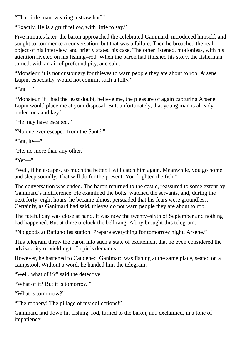"That little man, wearing a straw hat?"

"Exactly. He is a gruff fellow, with little to say."

Five minutes later, the baron approached the celebrated Ganimard, introduced himself, and sought to commence a conversation, but that was a failure. Then he broached the real object of his interview, and briefly stated his case. The other listened, motionless, with his attention riveted on his fishing–rod. When the baron had finished his story, the fisherman turned, with an air of profound pity, and said:

"Monsieur, it is not customary for thieves to warn people they are about to rob. Arsène Lupin, especially, would not commit such a folly."

"But―"

"Monsieur, if I had the least doubt, believe me, the pleasure of again capturing Arsène Lupin would place me at your disposal. But, unfortunately, that young man is already under lock and key."

"He may have escaped."

"No one ever escaped from the Santé."

```
"But, he―"
```
"He, no more than any other."

"Yet―"

"Well, if he escapes, so much the better. I will catch him again. Meanwhile, you go home and sleep soundly. That will do for the present. You frighten the fish."

The conversation was ended. The baron returned to the castle, reassured to some extent by Ganimard's indifference. He examined the bolts, watched the servants, and, during the next forty–eight hours, he became almost persuaded that his fears were groundless. Certainly, as Ganimard had said, thieves do not warn people they are about to rob.

The fateful day was close at hand. It was now the twenty–sixth of September and nothing had happened. But at three o'clock the bell rang. A boy brought this telegram:

"No goods at Batignolles station. Prepare everything for tomorrow night. Arsène."

This telegram threw the baron into such a state of excitement that he even considered the advisability of yielding to Lupin's demands.

However, he hastened to Caudebec. Ganimard was fishing at the same place, seated on a campstool. Without a word, he handed him the telegram.

"Well, what of it?" said the detective.

"What of it? But it is tomorrow."

"What is tomorrow?"

"The robbery! The pillage of my collections!"

Ganimard laid down his fishing–rod, turned to the baron, and exclaimed, in a tone of impatience: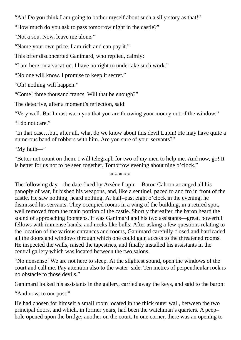"Ah! Do you think I am going to bother myself about such a silly story as that!"

"How much do you ask to pass tomorrow night in the castle?"

"Not a sou. Now, leave me alone."

"Name your own price. I am rich and can pay it."

This offer disconcerted Ganimard, who replied, calmly:

"I am here on a vacation. I have no right to undertake such work."

"No one will know. I promise to keep it secret."

"Oh! nothing will happen."

"Come! three thousand francs. Will that be enough?"

The detective, after a moment's reflection, said:

"Very well. But I must warn you that you are throwing your money out of the window."

"I do not care."

"In that case…but, after all, what do we know about this devil Lupin! He may have quite a numerous band of robbers with him. Are you sure of your servants?"

"My faith―"

"Better not count on them. I will telegraph for two of my men to help me. And now, go! It is better for us not to be seen together. Tomorrow evening about nine o'clock."

\* \* \* \* \*

The following day—the date fixed by Arsène Lupin—Baron Cahorn arranged all his panoply of war, furbished his weapons, and, like a sentinel, paced to and fro in front of the castle. He saw nothing, heard nothing. At half–past eight o'clock in the evening, he dismissed his servants. They occupied rooms in a wing of the building, in a retired spot, well removed from the main portion of the castle. Shortly thereafter, the baron heard the sound of approaching footsteps. It was Ganimard and his two assistants—great, powerful fellows with immense hands, and necks like bulls. After asking a few questions relating to the location of the various entrances and rooms, Ganimard carefully closed and barricaded all the doors and windows through which one could gain access to the threatened rooms. He inspected the walls, raised the tapestries, and finally installed his assistants in the central gallery which was located between the two salons.

"No nonsense! We are not here to sleep. At the slightest sound, open the windows of the court and call me. Pay attention also to the water–side. Ten metres of perpendicular rock is no obstacle to those devils."

Ganimard locked his assistants in the gallery, carried away the keys, and said to the baron:

"And now, to our post."

He had chosen for himself a small room located in the thick outer wall, between the two principal doors, and which, in former years, had been the watchman's quarters. A peep– hole opened upon the bridge; another on the court. In one corner, there was an opening to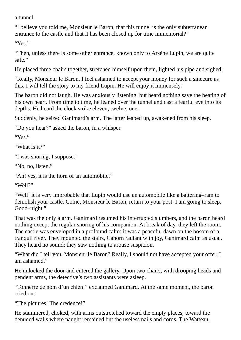a tunnel.

"I believe you told me, Monsieur le Baron, that this tunnel is the only subterranean entrance to the castle and that it has been closed up for time immemorial?"

"Yes."

"Then, unless there is some other entrance, known only to Arsène Lupin, we are quite safe."

He placed three chairs together, stretched himself upon them, lighted his pipe and sighed:

"Really, Monsieur le Baron, I feel ashamed to accept your money for such a sinecure as this. I will tell the story to my friend Lupin. He will enjoy it immensely."

The baron did not laugh. He was anxiously listening, but heard nothing save the beating of his own heart. From time to time, he leaned over the tunnel and cast a fearful eye into its depths. He heard the clock strike eleven, twelve, one.

Suddenly, he seized Ganimard's arm. The latter leaped up, awakened from his sleep.

"Do you hear?" asked the baron, in a whisper.

"Yes."

"What is it?"

"I was snoring, I suppose."

"No, no, listen."

"Ah! yes, it is the horn of an automobile."

"Well?"

"Well! it is very improbable that Lupin would use an automobile like a battering–ram to demolish your castle. Come, Monsieur le Baron, return to your post. I am going to sleep. Good–night."

That was the only alarm. Ganimard resumed his interrupted slumbers, and the baron heard nothing except the regular snoring of his companion. At break of day, they left the room. The castle was enveloped in a profound calm; it was a peaceful dawn on the bosom of a tranquil river. They mounted the stairs, Cahorn radiant with joy, Ganimard calm as usual. They heard no sound; they saw nothing to arouse suspicion.

"What did I tell you, Monsieur le Baron? Really, I should not have accepted your offer. I am ashamed."

He unlocked the door and entered the gallery. Upon two chairs, with drooping heads and pendent arms, the detective's two assistants were asleep.

"Tonnerre de nom d'un chien!" exclaimed Ganimard. At the same moment, the baron cried out:

"The pictures! The credence!"

He stammered, choked, with arms outstretched toward the empty places, toward the denuded walls where naught remained but the useless nails and cords. The Watteau,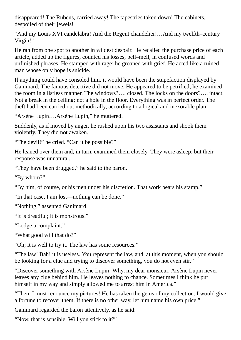disappeared! The Rubens, carried away! The tapestries taken down! The cabinets, despoiled of their jewels!

"And my Louis XVI candelabra! And the Regent chandelier!…And my twelfth–century Virgin!"

He ran from one spot to another in wildest despair. He recalled the purchase price of each article, added up the figures, counted his losses, pell–mell, in confused words and unfinished phrases. He stamped with rage; he groaned with grief. He acted like a ruined man whose only hope is suicide.

If anything could have consoled him, it would have been the stupefaction displayed by Ganimard. The famous detective did not move. He appeared to be petrified; he examined the room in a listless manner. The windows?…. closed. The locks on the doors?…. intact. Not a break in the ceiling; not a hole in the floor. Everything was in perfect order. The theft had been carried out methodically, according to a logical and inexorable plan.

"Arsène Lupin….Arsène Lupin," he muttered.

Suddenly, as if moved by anger, he rushed upon his two assistants and shook them violently. They did not awaken.

"The devil!" he cried. "Can it be possible?"

He leaned over them and, in turn, examined them closely. They were asleep; but their response was unnatural.

"They have been drugged," he said to the baron.

"By whom?"

"By him, of course, or his men under his discretion. That work bears his stamp."

"In that case, I am lost—nothing can be done."

"Nothing," assented Ganimard.

"It is dreadful; it is monstrous."

"Lodge a complaint."

"What good will that do?"

"Oh; it is well to try it. The law has some resources."

"The law! Bah! it is useless. You represent the law, and, at this moment, when you should be looking for a clue and trying to discover something, you do not even stir."

"Discover something with Arsène Lupin! Why, my dear monsieur, Arsène Lupin never leaves any clue behind him. He leaves nothing to chance. Sometimes I think he put himself in my way and simply allowed me to arrest him in America."

"Then, I must renounce my pictures! He has taken the gems of my collection. I would give a fortune to recover them. If there is no other way, let him name his own price."

Ganimard regarded the baron attentively, as he said:

"Now, that is sensible. Will you stick to it?"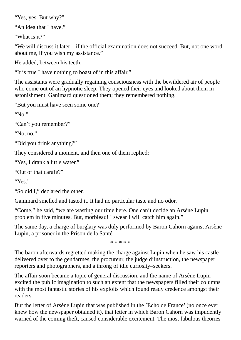"Yes, yes. But why?"

"An idea that I have."

"What is it?"

"We will discuss it later—if the official examination does not succeed. But, not one word about me, if you wish my assistance."

He added, between his teeth:

"It is true I have nothing to boast of in this affair."

The assistants were gradually regaining consciousness with the bewildered air of people who come out of an hypnotic sleep. They opened their eyes and looked about them in astonishment. Ganimard questioned them; they remembered nothing.

"But you must have seen some one?"

" $N_0$ "

"Can't you remember?"

"No, no."

```
"Did you drink anything?"
```
They considered a moment, and then one of them replied:

"Yes, I drank a little water."

"Out of that carafe?"

"Yes."

"So did I," declared the other.

Ganimard smelled and tasted it. It had no particular taste and no odor.

"Come," he said, "we are wasting our time here. One can't decide an Arsène Lupin problem in five minutes. But, morbleau! I swear I will catch him again."

The same day, a charge of burglary was duly performed by Baron Cahorn against Arsène Lupin, a prisoner in the Prison de la Santé.

\* \* \* \* \*

The baron afterwards regretted making the charge against Lupin when he saw his castle delivered over to the gendarmes, the procureur, the judge d'instruction, the newspaper reporters and photographers, and a throng of idle curiosity–seekers.

The affair soon became a topic of general discussion, and the name of Arsène Lupin excited the public imagination to such an extent that the newspapers filled their columns with the most fantastic stories of his exploits which found ready credence amongst their readers.

But the letter of Arsène Lupin that was published in the `Echo de France' (no once ever knew how the newspaper obtained it), that letter in which Baron Cahorn was impudently warned of the coming theft, caused considerable excitement. The most fabulous theories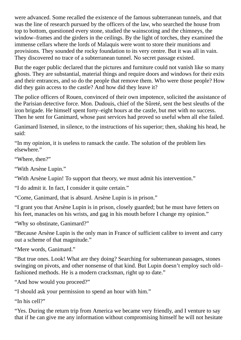were advanced. Some recalled the existence of the famous subterranean tunnels, and that was the line of research pursued by the officers of the law, who searched the house from top to bottom, questioned every stone, studied the wainscoting and the chimneys, the window–frames and the girders in the ceilings. By the light of torches, they examined the immense cellars where the lords of Malaquis were wont to store their munitions and provisions. They sounded the rocky foundation to its very centre. But it was all in vain. They discovered no trace of a subterranean tunnel. No secret passage existed.

But the eager public declared that the pictures and furniture could not vanish like so many ghosts. They are substantial, material things and require doors and windows for their exits and their entrances, and so do the people that remove them. Who were those people? How did they gain access to the castle? And how did they leave it?

The police officers of Rouen, convinced of their own impotence, solicited the assistance of the Parisian detective force. Mon. Dudouis, chief of the Sûreté, sent the best sleuths of the iron brigade. He himself spent forty–eight hours at the castle, but met with no success. Then he sent for Ganimard, whose past services had proved so useful when all else failed.

Ganimard listened, in silence, to the instructions of his superior; then, shaking his head, he said:

"In my opinion, it is useless to ransack the castle. The solution of the problem lies elsewhere."

"Where, then?"

"With Arsène Lupin."

"With Arsène Lupin! To support that theory, we must admit his intervention."

"I do admit it. In fact, I consider it quite certain."

"Come, Ganimard, that is absurd. Arsène Lupin is in prison."

"I grant you that Arsène Lupin is in prison, closely guarded; but he must have fetters on his feet, manacles on his wrists, and gag in his mouth before I change my opinion."

"Why so obstinate, Ganimard?"

"Because Arsène Lupin is the only man in France of sufficient calibre to invent and carry out a scheme of that magnitude."

"Mere words, Ganimard."

"But true ones. Look! What are they doing? Searching for subterranean passages, stones swinging on pivots, and other nonsense of that kind. But Lupin doesn't employ such old– fashioned methods. He is a modern cracksman, right up to date."

"And how would you proceed?"

"I should ask your permission to spend an hour with him."

"In his cell?"

"Yes. During the return trip from America we became very friendly, and I venture to say that if he can give me any information without compromising himself he will not hesitate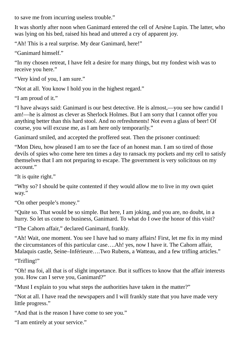to save me from incurring useless trouble."

It was shortly after noon when Ganimard entered the cell of Arsène Lupin. The latter, who was lying on his bed, raised his head and uttered a cry of apparent joy.

"Ah! This is a real surprise. My dear Ganimard, here!"

"Ganimard himself."

"In my chosen retreat, I have felt a desire for many things, but my fondest wish was to receive you here."

"Very kind of you, I am sure."

"Not at all. You know I hold you in the highest regard."

"I am proud of it."

"I have always said: Ganimard is our best detective. He is almost,—you see how candid I am!—he is almost as clever as Sherlock Holmes. But I am sorry that I cannot offer you anything better than this hard stool. And no refreshments! Not even a glass of beer! Of course, you will excuse me, as I am here only temporarily."

Ganimard smiled, and accepted the proffered seat. Then the prisoner continued:

"Mon Dieu, how pleased I am to see the face of an honest man. I am so tired of those devils of spies who come here ten times a day to ransack my pockets and my cell to satisfy themselves that I am not preparing to escape. The government is very solicitous on my account."

"It is quite right."

"Why so? I should be quite contented if they would allow me to live in my own quiet way."

"On other people's money."

"Quite so. That would be so simple. But here, I am joking, and you are, no doubt, in a hurry. So let us come to business, Ganimard. To what do I owe the honor of this visit?

```
"The Cahorn affair," declared Ganimard, frankly.
```
"Ah! Wait, one moment. You see I have had so many affairs! First, let me fix in my mind the circumstances of this particular case….Ah! yes, now I have it. The Cahorn affair, Malaquis castle, Seine–Inférieure….Two Rubens, a Watteau, and a few trifling articles."

"Trifling!"

"Oh! ma foi, all that is of slight importance. But it suffices to know that the affair interests you. How can I serve you, Ganimard?"

"Must I explain to you what steps the authorities have taken in the matter?"

"Not at all. I have read the newspapers and I will frankly state that you have made very little progress."

"And that is the reason I have come to see you."

"I am entirely at your service."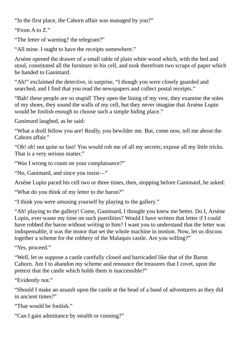"In the first place, the Cahorn affair was managed by you?"

"From A to Z."

"The letter of warning? the telegram?"

"All mine. I ought to have the receipts somewhere."

Arsène opened the drawer of a small table of plain white wood which, with the bed and stool, constituted all the furniture in his cell, and took therefrom two scraps of paper which he handed to Ganimard.

"Ah!" exclaimed the detective, in surprise, "I though you were closely guarded and searched, and I find that you read the newspapers and collect postal receipts."

"Bah! these people are so stupid! They open the lining of my vest, they examine the soles of my shoes, they sound the walls of my cell, but they never imagine that Arsène Lupin would be foolish enough to choose such a simple hiding place."

Ganimard laughed, as he said:

"What a droll fellow you are! Really, you bewilder me. But, come now, tell me about the Cahorn affair"

"Oh! oh! not quite so fast! You would rob me of all my secrets; expose all my little tricks. That is a very serious matter."

"Was I wrong to count on your complaisance?"

"No, Ganimard, and since you insist―"

Arsène Lupin paced his cell two or three times, then, stopping before Ganimard, he asked:

"What do you think of my letter to the baron?"

"I think you were amusing yourself by playing to the gallery."

"Ah! playing to the gallery! Come, Ganimard, I thought you knew me better. Do I, Arsène Lupin, ever waste my time on such puerilities? Would I have written that letter if I could have robbed the baron without writing to him? I want you to understand that the letter was indispensable; it was the motor that set the whole machine in motion. Now, let us discuss together a scheme for the robbery of the Malaquis castle. Are you willing?"

"Yes, proceed."

"Well, let us suppose a castle carefully closed and barricaded like that of the Baron Cahorn. Am I to abandon my scheme and renounce the treasures that I covet, upon the pretext that the castle which holds them is inaccessible?"

"Evidently not."

"Should I make an assault upon the castle at the head of a band of adventurers as they did in ancient times?"

"That would be foolish."

"Can I gain admittance by stealth or cunning?"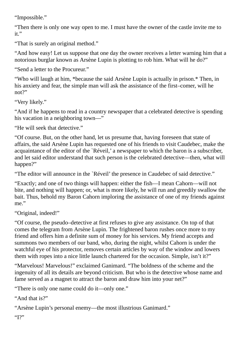"Impossible."

"Then there is only one way open to me. I must have the owner of the castle invite me to it."

"That is surely an original method."

"And how easy! Let us suppose that one day the owner receives a letter warning him that a notorious burglar known as Arsène Lupin is plotting to rob him. What will he do?"

"Send a letter to the Procureur."

"Who will laugh at him, \*because the said Arsène Lupin is actually in prison.\* Then, in his anxiety and fear, the simple man will ask the assistance of the first–comer, will he not?"

"Very likely."

"And if he happens to read in a country newspaper that a celebrated detective is spending his vacation in a neighboring town—"

"He will seek that detective."

"Of course. But, on the other hand, let us presume that, having foreseen that state of affairs, the said Arsène Lupin has requested one of his friends to visit Caudebec, make the acquaintance of the editor of the `Réveil,' a newspaper to which the baron is a subscriber, and let said editor understand that such person is the celebrated detective—then, what will happen?"

"The editor will announce in the `Réveil' the presence in Caudebec of said detective."

"Exactly; and one of two things will happen: either the fish—I mean Cahorn—will not bite, and nothing will happen; or, what is more likely, he will run and greedily swallow the bait. Thus, behold my Baron Cahorn imploring the assistance of one of my friends against me."

"Original, indeed!"

"Of course, the pseudo–detective at first refuses to give any assistance. On top of that comes the telegram from Arsène Lupin. The frightened baron rushes once more to my friend and offers him a definite sum of money for his services. My friend accepts and summons two members of our band, who, during the night, whilst Cahorn is under the watchful eye of his protector, removes certain articles by way of the window and lowers them with ropes into a nice little launch chartered for the occasion. Simple, isn't it?"

"Marvelous! Marvelous!" exclaimed Ganimard. "The boldness of the scheme and the ingenuity of all its details are beyond criticism. But who is the detective whose name and fame served as a magnet to attract the baron and draw him into your net?"

"There is only one name could do it—only one."

"And that is?"

"Arsène Lupin's personal enemy—the most illustrious Ganimard."

"I?"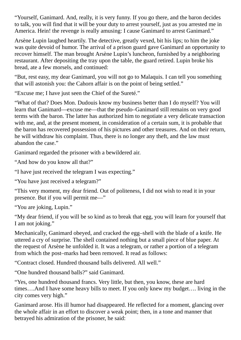"Yourself, Ganimard. And, really, it is very funny. If you go there, and the baron decides to talk, you will find that it will be your duty to arrest yourself, just as you arrested me in America. Hein! the revenge is really amusing: I cause Ganimard to arrest Ganimard."

Arsène Lupin laughed heartily. The detective, greatly vexed, bit his lips; to him the joke was quite devoid of humor. The arrival of a prison guard gave Ganimard an opportunity to recover himself. The man brought Arsène Lupin's luncheon, furnished by a neighboring restaurant. After depositing the tray upon the table, the guard retired. Lupin broke his bread, ate a few morsels, and continued:

"But, rest easy, my dear Ganimard, you will not go to Malaquis. I can tell you something that will astonish you: the Cahorn affair is on the point of being settled."

"Excuse me; I have just seen the Chief of the Sureté."

"What of that? Does Mon. Dudouis know my business better than I do myself? You will learn that Ganimard—excuse me—that the pseudo–Ganimard still remains on very good terms with the baron. The latter has authorized him to negotiate a very delicate transaction with me, and, at the present moment, in consideration of a certain sum, it is probable that the baron has recovered possession of his pictures and other treasures. And on their return, he will withdraw his complaint. Thus, there is no longer any theft, and the law must abandon the case."

Ganimard regarded the prisoner with a bewildered air.

"And how do you know all that?"

"I have just received the telegram I was expecting."

"You have just received a telegram?"

"This very moment, my dear friend. Out of politeness, I did not wish to read it in your presence. But if you will permit me―"

"You are joking, Lupin."

"My dear friend, if you will be so kind as to break that egg, you will learn for yourself that I am not joking."

Mechanically, Ganimard obeyed, and cracked the egg–shell with the blade of a knife. He uttered a cry of surprise. The shell contained nothing but a small piece of blue paper. At the request of Arsène he unfolded it. It was a telegram, or rather a portion of a telegram from which the post–marks had been removed. It read as follows:

"Contract closed. Hundred thousand balls delivered. All well."

"One hundred thousand balls?" said Ganimard.

"Yes, one hundred thousand francs. Very little, but then, you know, these are hard times….And I have some heavy bills to meet. If you only knew my budget…. living in the city comes very high."

Ganimard arose. His ill humor had disappeared. He reflected for a moment, glancing over the whole affair in an effort to discover a weak point; then, in a tone and manner that betrayed his admiration of the prisoner, he said: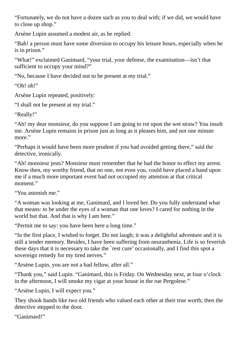"Fortunately, we do not have a dozen such as you to deal with; if we did, we would have to close up shop."

Arsène Lupin assumed a modest air, as he replied:

"Bah! a person must have some diversion to occupy his leisure hours, especially when he is in prison."

"What!" exclaimed Ganimard, "your trial, your defense, the examination—isn't that sufficient to occupy your mind?"

"No, because I have decided not to be present at my trial."

"Oh! oh!"

Arsène Lupin repeated, positively:

"I shall not be present at my trial."

"Really!"

"Ah! my dear monsieur, do you suppose I am going to rot upon the wet straw? You insult me. Arsène Lupin remains in prison just as long as it pleases him, and not one minute more."

"Perhaps it would have been more prudent if you had avoided getting there," said the detective, ironically.

"Ah! monsieur jests? Monsieur must remember that he had the honor to effect my arrest. Know then, my worthy friend, that no one, not even you, could have placed a hand upon me if a much more important event had not occupied my attention at that critical moment."

"You astonish me."

"A woman was looking at me, Ganimard, and I loved her. Do you fully understand what that means: to be under the eyes of a woman that one loves? I cared for nothing in the world but that. And that is why I am here."

"Permit me to say: you have been here a long time."

"In the first place, I wished to forget. Do not laugh; it was a delightful adventure and it is still a tender memory. Besides, I have been suffering from neurasthenia. Life is so feverish these days that it is necessary to take the `rest cure' occasionally, and I find this spot a sovereign remedy for my tired nerves."

"Arsène Lupin, you are not a bad fellow, after all."

"Thank you," said Lupin. "Ganimard, this is Friday. On Wednesday next, at four o'clock in the afternoon, I will smoke my cigar at your house in the rue Pergolese."

"Arsène Lupin, I will expect you."

They shook hands like two old friends who valued each other at their true worth; then the detective stepped to the door.

"Ganimard!"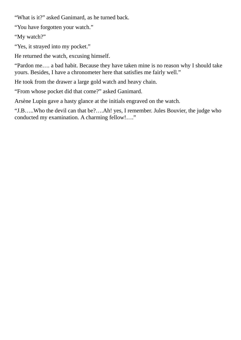"What is it?" asked Ganimard, as he turned back.

"You have forgotten your watch."

"My watch?"

"Yes, it strayed into my pocket."

He returned the watch, excusing himself.

"Pardon me…. a bad habit. Because they have taken mine is no reason why I should take yours. Besides, I have a chronometer here that satisfies me fairly well."

He took from the drawer a large gold watch and heavy chain.

"From whose pocket did that come?" asked Ganimard.

Arsène Lupin gave a hasty glance at the initials engraved on the watch.

"J.B…..Who the devil can that be?….Ah! yes, I remember. Jules Bouvier, the judge who conducted my examination. A charming fellow!…."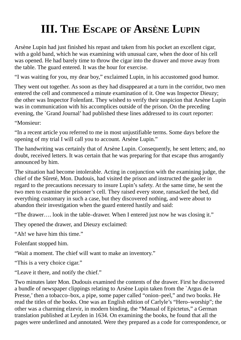## **III. THE ESCAPE OF ARSÈNE LUPIN**

<span id="page-26-0"></span>Arsène Lupin had just finished his repast and taken from his pocket an excellent cigar, with a gold band, which he was examining with unusual care, when the door of his cell was opened. He had barely time to throw the cigar into the drawer and move away from the table. The guard entered. It was the hour for exercise.

"I was waiting for you, my dear boy," exclaimed Lupin, in his accustomed good humor.

They went out together. As soon as they had disappeared at a turn in the corridor, two men entered the cell and commenced a minute examination of it. One was Inspector Dieuzy; the other was Inspector Folenfant. They wished to verify their suspicion that Arsène Lupin was in communication with his accomplices outside of the prison. On the preceding evening, the `Grand Journal' had published these lines addressed to its court reporter:

"Monsieur:

"In a recent article you referred to me in most unjustifiable terms. Some days before the opening of my trial I will call you to account. Arsène Lupin."

The handwriting was certainly that of Arsène Lupin. Consequently, he sent letters; and, no doubt, received letters. It was certain that he was preparing for that escape thus arrogantly announced by him.

The situation had become intolerable. Acting in conjunction with the examining judge, the chief of the Sûreté, Mon. Dudouis, had visited the prison and instructed the gaoler in regard to the precautions necessary to insure Lupin's safety. At the same time, he sent the two men to examine the prisoner's cell. They raised every stone, ransacked the bed, did everything customary in such a case, but they discovered nothing, and were about to abandon their investigation when the guard entered hastily and said:

"The drawer…. look in the table–drawer. When I entered just now he was closing it."

They opened the drawer, and Dieuzy exclaimed:

"Ah! we have him this time."

Folenfant stopped him.

"Wait a moment. The chief will want to make an inventory."

"This is a very choice cigar."

"Leave it there, and notify the chief."

Two minutes later Mon. Dudouis examined the contents of the drawer. First he discovered a bundle of newspaper clippings relating to Arsène Lupin taken from the `Argus de la Presse,' then a tobacco–box, a pipe, some paper called "onion–peel," and two books. He read the titles of the books. One was an English edition of Carlyle's "Hero–worship"; the other was a charming elzevir, in modern binding, the "Manual of Epictetus," a German translation published at Leyden in 1634. On examining the books, he found that all the pages were underlined and annotated. Were they prepared as a code for correspondence, or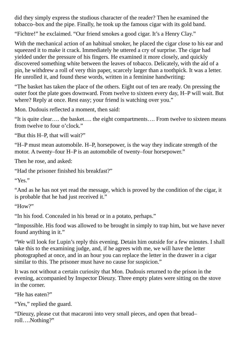did they simply express the studious character of the reader? Then he examined the tobacco–box and the pipe. Finally, he took up the famous cigar with its gold band.

"Fichtre!" he exclaimed. "Our friend smokes a good cigar. It's a Henry Clay."

With the mechanical action of an habitual smoker, he placed the cigar close to his ear and squeezed it to make it crack. Immediately he uttered a cry of surprise. The cigar had yielded under the pressure of his fingers. He examined it more closely, and quickly discovered something white between the leaves of tobacco. Delicately, with the aid of a pin, he withdrew a roll of very thin paper, scarcely larger than a toothpick. It was a letter. He unrolled it, and found these words, written in a feminine handwriting:

"The basket has taken the place of the others. Eight out of ten are ready. On pressing the outer foot the plate goes downward. From twelve to sixteen every day, H–P will wait. But where? Reply at once. Rest easy; your friend is watching over you."

Mon. Dudouis reflected a moment, then said:

"It is quite clear…. the basket…. the eight compartments…. From twelve to sixteen means from twelve to four o'clock."

"But this H–P, that will wait?"

"H–P must mean automobile. H–P, horsepower, is the way they indicate strength of the motor. A twenty–four H–P is an automobile of twenty–four horsepower."

Then he rose, and asked:

"Had the prisoner finished his breakfast?"

"Yes."

"And as he has not yet read the message, which is proved by the condition of the cigar, it is probable that he had just received it."

"How?"

"In his food. Concealed in his bread or in a potato, perhaps."

"Impossible. His food was allowed to be brought in simply to trap him, but we have never found anything in it."

"We will look for Lupin's reply this evening. Detain him outside for a few minutes. I shall take this to the examining judge, and, if he agrees with me, we will have the letter photographed at once, and in an hour you can replace the letter in the drawer in a cigar similar to this. The prisoner must have no cause for suspicion."

It was not without a certain curiosity that Mon. Dudouis returned to the prison in the evening, accompanied by Inspector Dieuzy. Three empty plates were sitting on the stove in the corner.

"He has eaten?"

"Yes," replied the guard.

"Dieuzy, please cut that macaroni into very small pieces, and open that bread– roll….Nothing?"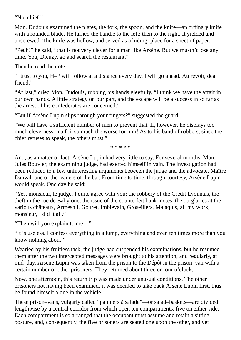"No, chief."

Mon. Dudouis examined the plates, the fork, the spoon, and the knife—an ordinary knife with a rounded blade. He turned the handle to the left; then to the right. It yielded and unscrewed. The knife was hollow, and served as a hiding–place for a sheet of paper.

"Peuh!" he said, "that is not very clever for a man like Arsène. But we mustn't lose any time. You, Dieuzy, go and search the restaurant."

Then he read the note:

"I trust to you, H–P will follow at a distance every day. I will go ahead. Au revoir, dear friend."

"At last," cried Mon. Dudouis, rubbing his hands gleefully, "I think we have the affair in our own hands. A little strategy on our part, and the escape will be a success in so far as the arrest of his confederates are concerned."

"But if Arsène Lupin slips through your fingers?" suggested the guard.

"We will have a sufficient number of men to prevent that. If, however, he displays too much cleverness, ma foi, so much the worse for him! As to his band of robbers, since the chief refuses to speak, the others must."

\* \* \* \* \*

And, as a matter of fact, Arsène Lupin had very little to say. For several months, Mon. Jules Bouvier, the examining judge, had exerted himself in vain. The investigation had been reduced to a few uninteresting arguments between the judge and the advocate, Maître Danval, one of the leaders of the bar. From time to time, through courtesy, Arsène Lupin would speak. One day he said:

"Yes, monsieur, le judge, I quite agree with you: the robbery of the Crédit Lyonnais, the theft in the rue de Babylone, the issue of the counterfeit bank–notes, the burglaries at the various châteaux, Armesnil, Gouret, Imblevain, Groseillers, Malaquis, all my work, monsieur, I did it all."

"Then will you explain to me―"

"It is useless. I confess everything in a lump, everything and even ten times more than you know nothing about."

Wearied by his fruitless task, the judge had suspended his examinations, but he resumed them after the two intercepted messages were brought to his attention; and regularly, at mid–day, Arsène Lupin was taken from the prison to the Dépôt in the prison–van with a certain number of other prisoners. They returned about three or four o'clock.

Now, one afternoon, this return trip was made under unusual conditions. The other prisoners not having been examined, it was decided to take back Arsène Lupin first, thus he found himself alone in the vehicle.

These prison–vans, vulgarly called "panniers à salade"—or salad–baskets—are divided lengthwise by a central corridor from which open ten compartments, five on either side. Each compartment is so arranged that the occupant must assume and retain a sitting posture, and, consequently, the five prisoners are seated one upon the other, and yet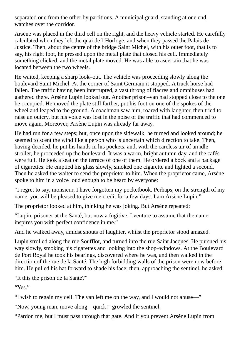separated one from the other by partitions. A municipal guard, standing at one end, watches over the corridor.

Arsène was placed in the third cell on the right, and the heavy vehicle started. He carefully calculated when they left the quai de l'Horloge, and when they passed the Palais de Justice. Then, about the centre of the bridge Saint Michel, with his outer foot, that is to say, his right foot, he pressed upon the metal plate that closed his cell. Immediately something clicked, and the metal plate moved. He was able to ascertain that he was located between the two wheels.

He waited, keeping a sharp look–out. The vehicle was proceeding slowly along the boulevard Saint Michel. At the corner of Saint Germain it stopped. A truck horse had fallen. The traffic having been interrupted, a vast throng of fiacres and omnibuses had gathered there. Arsène Lupin looked out. Another prison–van had stopped close to the one he occupied. He moved the plate still farther, put his foot on one of the spokes of the wheel and leaped to the ground. A coachman saw him, roared with laughter, then tried to raise an outcry, but his voice was lost in the noise of the traffic that had commenced to move again. Moreover, Arsène Lupin was already far away.

He had run for a few steps; but, once upon the sidewalk, he turned and looked around; he seemed to scent the wind like a person who is uncertain which direction to take. Then, having decided, he put his hands in his pockets, and, with the careless air of an idle stroller, he proceeded up the boulevard. It was a warm, bright autumn day, and the cafés were full. He took a seat on the terrace of one of them. He ordered a bock and a package of cigarettes. He emptied his glass slowly, smoked one cigarette and lighted a second. Then he asked the waiter to send the proprietor to him. When the proprietor came, Arsène spoke to him in a voice loud enough to be heard by everyone:

"I regret to say, monsieur, I have forgotten my pocketbook. Perhaps, on the strength of my name, you will be pleased to give me credit for a few days. I am Arsène Lupin."

The proprietor looked at him, thinking he was joking. But Arsène repeated:

"Lupin, prisoner at the Santé, but now a fugitive. I venture to assume that the name inspires you with perfect confidence in me."

And he walked away, amidst shouts of laughter, whilst the proprietor stood amazed.

Lupin strolled along the rue Soufflot, and turned into the rue Saint Jacques. He pursued his way slowly, smoking his cigarettes and looking into the shop–windows. At the Boulevard de Port Royal he took his bearings, discovered where he was, and then walked in the direction of the rue de la Santé. The high forbidding walls of the prison were now before him. He pulled his hat forward to shade his face; then, approaching the sentinel, he asked:

"It this the prison de la Santé?"

"Yes."

"I wish to regain my cell. The van left me on the way, and I would not abuse—"

"Now, young man, move along—quick!" growled the sentinel.

"Pardon me, but I must pass through that gate. And if you prevent Arsène Lupin from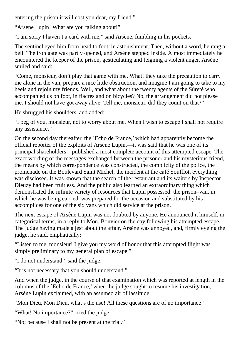entering the prison it will cost you dear, my friend."

"Arsène Lupin! What are you talking about!"

"I am sorry I haven't a card with me," said Arsène, fumbling in his pockets.

The sentinel eyed him from head to foot, in astonishment. Then, without a word, he rang a bell. The iron gate was partly opened, and Arsène stepped inside. Almost immediately he encountered the keeper of the prison, gesticulating and feigning a violent anger. Arsène smiled and said:

"Come, monsieur, don't play that game with me. What! they take the precaution to carry me alone in the van, prepare a nice little obstruction, and imagine I am going to take to my heels and rejoin my friends. Well, and what about the twenty agents of the Sûreté who accompanied us on foot, in fiacres and on bicycles? No, the arrangement did not please me. I should not have got away alive. Tell me, monsieur, did they count on that?"

He shrugged his shoulders, and added:

"I beg of you, monsieur, not to worry about me. When I wish to escape I shall not require any assistance."

On the second day thereafter, the `Echo de France,' which had apparently become the official reporter of the exploits of Arsène Lupin,—it was said that he was one of its principal shareholders—published a most complete account of this attempted escape. The exact wording of the messages exchanged between the prisoner and his mysterious friend, the means by which correspondence was constructed, the complicity of the police, the promenade on the Boulevard Saint Michel, the incident at the café Soufflot, everything was disclosed. It was known that the search of the restaurant and its waiters by Inspector Dieuzy had been fruitless. And the public also learned an extraordinary thing which demonstrated the infinite variety of resources that Lupin possessed: the prison–van, in which he was being carried, was prepared for the occasion and substituted by his accomplices for one of the six vans which did service at the prison.

The next escape of Arsène Lupin was not doubted by anyone. He announced it himself, in categorical terms, in a reply to Mon. Bouvier on the day following his attempted escape. The judge having made a jest about the affair, Arsène was annoyed, and, firmly eyeing the judge, he said, emphatically:

"Listen to me, monsieur! I give you my word of honor that this attempted flight was simply preliminary to my general plan of escape."

"I do not understand," said the judge.

```
"It is not necessary that you should understand."
```
And when the judge, in the course of that examination which was reported at length in the columns of the `Echo de France,' when the judge sought to resume his investigation, Arsène Lupin exclaimed, with an assumed air of lassitude:

"Mon Dieu, Mon Dieu, what's the use! All these questions are of no importance!"

"What! No importance?" cried the judge.

"No; because I shall not be present at the trial."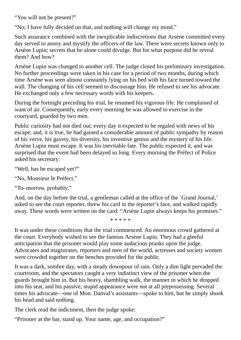"You will not be present?"

"No; I have fully decided on that, and nothing will change my mind."

Such assurance combined with the inexplicable indiscretions that Arsène committed every day served to annoy and mystify the officers of the law. There were secrets known only to Arsène Lupin; secrets that he alone could divulge. But for what purpose did he reveal them? And how?

Arsène Lupin was changed to another cell. The judge closed his preliminary investigation. No further proceedings were taken in his case for a period of two months, during which time Arsène was seen almost constantly lying on his bed with his face turned toward the wall. The changing of his cell seemed to discourage him. He refused to see his advocate. He exchanged only a few necessary words with his keepers.

During the fortnight preceding his trial, he resumed his vigorous life. He complained of want of air. Consequently, early every morning he was allowed to exercise in the courtyard, guarded by two men.

Public curiosity had not died out; every day it expected to be regaled with news of his escape; and, it is true, he had gained a considerable amount of public sympathy by reason of his verve, his gayety, his diversity, his inventive genius and the mystery of his life. Arsène Lupin must escape. It was his inevitable fate. The public expected it, and was surprised that the event had been delayed so long. Every morning the Préfect of Police asked his secretary:

"Well, has he escaped yet?"

"No, Monsieur le Préfect."

"To–morrow, probably."

And, on the day before the trial, a gentleman called at the office of the `Grand Journal,' asked to see the court reporter, threw his card in the reporter's face, and walked rapidly away. These words were written on the card: "Arsène Lupin always keeps his promises."

\* \* \* \* \*

It was under these conditions that the trial commenced. An enormous crowd gathered at the court. Everybody wished to see the famous Arsène Lupin. They had a gleeful anticipation that the prisoner would play some audacious pranks upon the judge. Advocates and magistrates, reporters and men of the world, actresses and society women were crowded together on the benches provided for the public.

It was a dark, sombre day, with a steady downpour of rain. Only a dim light pervaded the courtroom, and the spectators caught a very indistinct view of the prisoner when the guards brought him in. But his heavy, shambling walk, the manner in which he dropped into his seat, and his passive, stupid appearance were not at all prepossessing. Several times his advocate—one of Mon. Danval's assistants—spoke to him, but he simply shook his head and said nothing.

The clerk read the indictment, then the judge spoke:

"Prisoner at the bar, stand up. Your name, age, and occupation?"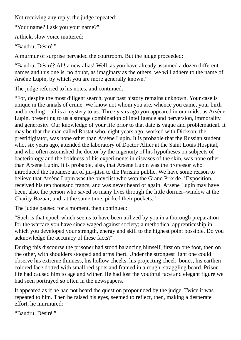Not receiving any reply, the judge repeated:

"Your name? I ask you your name?"

A thick, slow voice muttered:

"Baudru, Désiré."

A murmur of surprise pervaded the courtroom. But the judge proceeded:

"Baudru, Désiré? Ah! a new alias! Well, as you have already assumed a dozen different names and this one is, no doubt, as imaginary as the others, we will adhere to the name of Arsène Lupin, by which you are more generally known."

The judge referred to his notes, and continued:

"For, despite the most diligent search, your past history remains unknown. Your case is unique in the annals of crime. We know not whom you are, whence you came, your birth and breeding—all is a mystery to us. Three years ago you appeared in our midst as Arsène Lupin, presenting to us a strange combination of intelligence and perversion, immorality and generosity. Our knowledge of your life prior to that date is vague and problematical. It may be that the man called Rostat who, eight years ago, worked with Dickson, the prestidigitator, was none other than Arsène Lupin. It is probable that the Russian student who, six years ago, attended the laboratory of Doctor Altier at the Saint Louis Hospital, and who often astonished the doctor by the ingenuity of his hypotheses on subjects of bacteriology and the boldness of his experiments in diseases of the skin, was none other than Arsène Lupin. It is probable, also, that Arsène Lupin was the professor who introduced the Japanese art of jiu–jitsu to the Parisian public. We have some reason to believe that Arsène Lupin was the bicyclist who won the Grand Prix de l'Exposition, received his ten thousand francs, and was never heard of again. Arsène Lupin may have been, also, the person who saved so many lives through the little dormer–window at the Charity Bazaar; and, at the same time, picked their pockets."

The judge paused for a moment, then continued:

"Such is that epoch which seems to have been utilized by you in a thorough preparation for the warfare you have since waged against society; a methodical apprenticeship in which you developed your strength, energy and skill to the highest point possible. Do you acknowledge the accuracy of these facts?"

During this discourse the prisoner had stood balancing himself, first on one foot, then on the other, with shoulders stooped and arms inert. Under the strongest light one could observe his extreme thinness, his hollow cheeks, his projecting cheek–bones, his earthen– colored face dotted with small red spots and framed in a rough, straggling beard. Prison life had caused him to age and wither. He had lost the youthful face and elegant figure we had seen portrayed so often in the newspapers.

It appeared as if he had not heard the question propounded by the judge. Twice it was repeated to him. Then he raised his eyes, seemed to reflect, then, making a desperate effort, he murmured:

"Baudru, Désiré."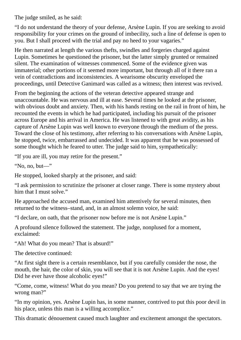The judge smiled, as he said:

"I do not understand the theory of your defense, Arsène Lupin. If you are seeking to avoid responsibility for your crimes on the ground of imbecility, such a line of defense is open to you. But I shall proceed with the trial and pay no heed to your vagaries."

He then narrated at length the various thefts, swindles and forgeries charged against Lupin. Sometimes he questioned the prisoner, but the latter simply grunted or remained silent. The examination of witnesses commenced. Some of the evidence given was immaterial; other portions of it seemed more important, but through all of it there ran a vein of contradictions and inconsistencies. A wearisome obscurity enveloped the proceedings, until Detective Ganimard was called as a witness; then interest was revived.

From the beginning the actions of the veteran detective appeared strange and unaccountable. He was nervous and ill at ease. Several times he looked at the prisoner, with obvious doubt and anxiety. Then, with his hands resting on the rail in front of him, he recounted the events in which he had participated, including his pursuit of the prisoner across Europe and his arrival in America. He was listened to with great avidity, as his capture of Arsène Lupin was well known to everyone through the medium of the press. Toward the close of his testimony, after referring to his conversations with Arsène Lupin, he stopped, twice, embarrassed and undecided. It was apparent that he was possessed of some thought which he feared to utter. The judge said to him, sympathetically:

"If you are ill, you may retire for the present."

"No, no, but―"

He stopped, looked sharply at the prisoner, and said:

"I ask permission to scrutinize the prisoner at closer range. There is some mystery about him that I must solve."

He approached the accused man, examined him attentively for several minutes, then returned to the witness–stand, and, in an almost solemn voice, he said:

"I declare, on oath, that the prisoner now before me is not Arsène Lupin."

A profound silence followed the statement. The judge, nonplused for a moment, exclaimed:

"Ah! What do you mean? That is absurd!"

The detective continued:

"At first sight there is a certain resemblance, but if you carefully consider the nose, the mouth, the hair, the color of skin, you will see that it is not Arsène Lupin. And the eyes! Did he ever have those alcoholic eyes!"

"Come, come, witness! What do you mean? Do you pretend to say that we are trying the wrong man?"

"In my opinion, yes. Arsène Lupin has, in some manner, contrived to put this poor devil in his place, unless this man is a willing accomplice."

This dramatic dénouement caused much laughter and excitement amongst the spectators.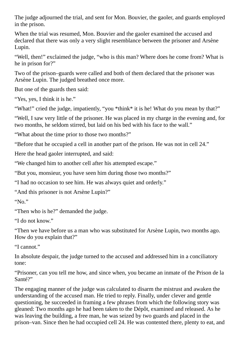The judge adjourned the trial, and sent for Mon. Bouvier, the gaoler, and guards employed in the prison.

When the trial was resumed, Mon. Bouvier and the gaoler examined the accused and declared that there was only a very slight resemblance between the prisoner and Arsène Lupin.

"Well, then!" exclaimed the judge, "who is this man? Where does he come from? What is he in prison for?"

Two of the prison–guards were called and both of them declared that the prisoner was Arsène Lupin. The judged breathed once more.

But one of the guards then said:

"Yes, yes, I think it is he."

"What!" cried the judge, impatiently, "you \*think\* it is he! What do you mean by that?"

"Well, I saw very little of the prisoner. He was placed in my charge in the evening and, for two months, he seldom stirred, but laid on his bed with his face to the wall."

"What about the time prior to those two months?"

"Before that he occupied a cell in another part of the prison. He was not in cell 24."

Here the head gaoler interrupted, and said:

"We changed him to another cell after his attempted escape."

"But you, monsieur, you have seen him during those two months?"

"I had no occasion to see him. He was always quiet and orderly."

"And this prisoner is not Arsène Lupin?"

" $N_0$ "

"Then who is he?" demanded the judge.

"I do not know."

"Then we have before us a man who was substituted for Arsène Lupin, two months ago. How do you explain that?"

"I cannot."

In absolute despair, the judge turned to the accused and addressed him in a conciliatory tone:

"Prisoner, can you tell me how, and since when, you became an inmate of the Prison de la Santé?"

The engaging manner of the judge was calculated to disarm the mistrust and awaken the understanding of the accused man. He tried to reply. Finally, under clever and gentle questioning, he succeeded in framing a few phrases from which the following story was gleaned: Two months ago he had been taken to the Dépôt, examined and released. As he was leaving the building, a free man, he was seized by two guards and placed in the prison–van. Since then he had occupied cell 24. He was contented there, plenty to eat, and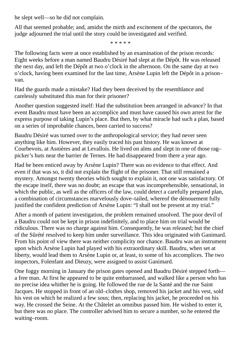he slept well—so he did not complain.

All that seemed probable; and, amidst the mirth and excitement of the spectators, the judge adjourned the trial until the story could be investigated and verified.

\* \* \* \* \*

The following facts were at once established by an examination of the prison records: Eight weeks before a man named Baudru Désiré had slept at the Dépôt. He was released the next day, and left the Dépôt at two o'clock in the afternoon. On the same day at two o'clock, having been examined for the last time, Arsène Lupin left the Dépôt in a prison– van.

Had the guards made a mistake? Had they been deceived by the resemblance and carelessly substituted this man for their prisoner?

Another question suggested itself: Had the substitution been arranged in advance? In that event Baudru must have been an accomplice and must have caused his own arrest for the express purpose of taking Lupin's place. But then, by what miracle had such a plan, based on a series of improbable chances, been carried to success?

Baudru Désiré was turned over to the anthropological service; they had never seen anything like him. However, they easily traced his past history. He was known at Courbevois, at Asnières and at Levallois. He lived on alms and slept in one of those rag– picker's huts near the barrier de Ternes. He had disappeared from there a year ago.

Had he been enticed away by Arsène Lupin? There was no evidence to that effect. And even if that was so, it did not explain the flight of the prisoner. That still remained a mystery. Amongst twenty theories which sought to explain it, not one was satisfactory. Of the escape itself, there was no doubt; an escape that was incomprehensible, sensational, in which the public, as well as the officers of the law, could detect a carefully prepared plan, a combination of circumstances marvelously dove–tailed, whereof the dénouement fully justified the confident prediction of Arsène Lupin: "I shall not be present at my trial."

After a month of patient investigation, the problem remained unsolved. The poor devil of a Baudru could not be kept in prison indefinitely, and to place him on trial would be ridiculous. There was no charge against him. Consequently, he was released; but the chief of the Sûrété resolved to keep him under surveillance. This idea originated with Ganimard. From his point of view there was neither complicity nor chance. Baudru was an instrument upon which Arsène Lupin had played with his extraordinary skill. Baudru, when set at liberty, would lead them to Arsène Lupin or, at least, to some of his accomplices. The two inspectors, Folenfant and Dieuzy, were assigned to assist Ganimard.

One foggy morning in January the prison gates opened and Baudru Désiré stepped forth a free man. At first he appeared to be quite embarrassed, and walked like a person who has no precise idea whither he is going. He followed the rue de la Santé and the rue Saint Jacques. He stopped in front of an old–clothes shop, removed his jacket and his vest, sold his vest on which he realized a few sous; then, replacing his jacket, he proceeded on his way. He crossed the Seine. At the Châtelet an omnibus passed him. He wished to enter it, but there was no place. The controller advised him to secure a number, so he entered the waiting–room.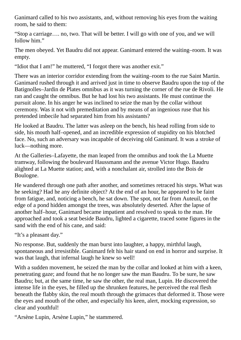Ganimard called to his two assistants, and, without removing his eyes from the waiting room, he said to them:

"Stop a carriage…. no, two. That will be better. I will go with one of you, and we will follow him."

The men obeyed. Yet Baudru did not appear. Ganimard entered the waiting–room. It was empty.

"Idiot that I am!" he muttered, "I forgot there was another exit."

There was an interior corridor extending from the waiting–room to the rue Saint Martin. Ganimard rushed through it and arrived just in time to observe Baudru upon the top of the Batignolles–Jardin de Plates omnibus as it was turning the corner of the rue de Rivoli. He ran and caught the omnibus. But he had lost his two assistants. He must continue the pursuit alone. In his anger he was inclined to seize the man by the collar without ceremony. Was it not with premeditation and by means of an ingenious ruse that his pretended imbecile had separated him from his assistants?

He looked at Baudru. The latter was asleep on the bench, his head rolling from side to side, his mouth half–opened, and an incredible expression of stupidity on his blotched face. No, such an adversary was incapable of deceiving old Ganimard. It was a stroke of luck—nothing more.

At the Galleries–Lafayette, the man leaped from the omnibus and took the La Muette tramway, following the boulevard Haussmann and the avenue Victor Hugo. Baudru alighted at La Muette station; and, with a nonchalant air, strolled into the Bois de Boulogne.

He wandered through one path after another, and sometimes retraced his steps. What was he seeking? Had he any definite object? At the end of an hour, he appeared to be faint from fatigue, and, noticing a bench, he sat down. The spot, not far from Auteuil, on the edge of a pond hidden amongst the trees, was absolutely deserted. After the lapse of another half–hour, Ganimard became impatient and resolved to speak to the man. He approached and took a seat beside Baudru, lighted a cigarette, traced some figures in the sand with the end of his cane, and said:

"It's a pleasant day."

No response. But, suddenly the man burst into laughter, a happy, mirthful laugh, spontaneous and irresistible. Ganimard felt his hair stand on end in horror and surprise. It was that laugh, that infernal laugh he knew so well!

With a sudden movement, he seized the man by the collar and looked at him with a keen, penetrating gaze; and found that he no longer saw the man Baudru. To be sure, he saw Baudru; but, at the same time, he saw the other, the real man, Lupin. He discovered the intense life in the eyes, he filled up the shrunken features, he perceived the real flesh beneath the flabby skin, the real mouth through the grimaces that deformed it. Those were the eyes and mouth of the other, and especially his keen, alert, mocking expression, so clear and youthful!

"Arsène Lupin, Arsène Lupin," he stammered.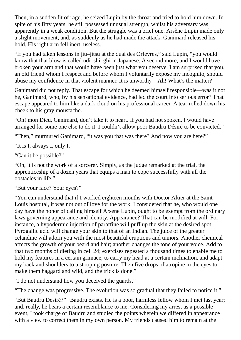Then, in a sudden fit of rage, he seized Lupin by the throat and tried to hold him down. In spite of his fifty years, he still possessed unusual strength, whilst his adversary was apparently in a weak condition. But the struggle was a brief one. Arsène Lupin made only a slight movement, and, as suddenly as he had made the attack, Ganimard released his hold. His right arm fell inert, useless.

"If you had taken lessons in jiu–jitsu at the quai des Orfèvres," said Lupin, "you would know that that blow is called udi–shi–ghi in Japanese. A second more, and I would have broken your arm and that would have been just what you deserve. I am surprised that you, an old friend whom I respect and before whom I voluntarily expose my incognito, should abuse my confidence in that violent manner. It is unworthy—Ah! What's the matter?"

Ganimard did not reply. That escape for which he deemed himself responsible—was it not he, Ganimard, who, by his sensational evidence, had led the court into serious error? That escape appeared to him like a dark cloud on his professional career. A tear rolled down his cheek to his gray moustache.

"Oh! mon Dieu, Ganimard, don't take it to heart. If you had not spoken, I would have arranged for some one else to do it. I couldn't allow poor Baudru Désiré to be convicted."

"Then," murmured Ganimard, "it was you that was there? And now you are here?"

"It is I, always I, only I."

"Can it be possible?"

"Oh, it is not the work of a sorcerer. Simply, as the judge remarked at the trial, the apprenticeship of a dozen years that equips a man to cope successfully with all the obstacles in life."

"But your face? Your eyes?"

"You can understand that if I worked eighteen months with Doctor Altier at the Saint– Louis hospital, it was not out of love for the work. I considered that he, who would one day have the honor of calling himself Arsène Lupin, ought to be exempt from the ordinary laws governing appearance and identity. Appearance? That can be modified at will. For instance, a hypodermic injection of paraffine will puff up the skin at the desired spot. Pyrogallic acid will change your skin to that of an Indian. The juice of the greater celandine will adorn you with the most beautiful eruptions and tumors. Another chemical affects the growth of your beard and hair; another changes the tone of your voice. Add to that two months of dieting in cell 24; exercises repeated a thousand times to enable me to hold my features in a certain grimace, to carry my head at a certain inclination, and adapt my back and shoulders to a stooping posture. Then five drops of atropine in the eyes to make them haggard and wild, and the trick is done."

"I do not understand how you deceived the guards."

"The change was progressive. The evolution was so gradual that they failed to notice it."

"But Baudru Désiré?" "Baudru exists. He is a poor, harmless fellow whom I met last year; and, really, he bears a certain resemblance to me. Considering my arrest as a possible event, I took charge of Baudru and studied the points wherein we differed in appearance with a view to correct them in my own person. My friends caused him to remain at the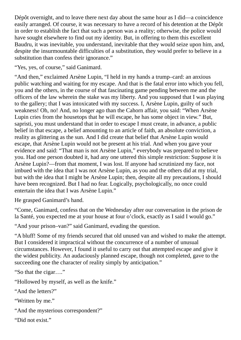Dépôt overnight, and to leave there next day about the same hour as I did—a coincidence easily arranged. Of course, it was necessary to have a record of his detention at the Dépôt in order to establish the fact that such a person was a reality; otherwise, the police would have sought elsewhere to find out my identity. But, in offering to them this excellent Baudru, it was inevitable, you understand, inevitable that they would seize upon him, and, despite the insurmountable difficulties of a substitution, they would prefer to believe in a substitution than confess their ignorance."

"Yes, yes, of course," said Ganimard.

"And then," exclaimed Arsène Lupin, "I held in my hands a trump–card: an anxious public watching and waiting for my escape. And that is the fatal error into which you fell, you and the others, in the course of that fascinating game pending between me and the officers of the law wherein the stake was my liberty. And you supposed that I was playing to the gallery; that I was intoxicated with my success. I, Arsène Lupin, guilty of such weakness! Oh, no! And, no longer ago than the Cahorn affair, you said: "When Arsène Lupin cries from the housetops that he will escape, he has some object in view." But, sapristi, you must understand that in order to escape I must create, in advance, a public belief in that escape, a belief amounting to an article of faith, an absolute conviction, a reality as glittering as the sun. And I did create that belief that Arsène Lupin would escape, that Arsène Lupin would not be present at his trial. And when you gave your evidence and said: "That man is not Arsène Lupin," everybody was prepared to believe you. Had one person doubted it, had any one uttered this simple restriction: Suppose it is Arsène Lupin?—from that moment, I was lost. If anyone had scrutinized my face, not imbued with the idea that I was not Arsène Lupin, as you and the others did at my trial, but with the idea that I might be Arsène Lupin; then, despite all my precautions, I should have been recognized. But I had no fear. Logically, psychologically, no once could entertain the idea that I was Arsène Lupin."

He grasped Ganimard's hand.

"Come, Ganimard, confess that on the Wednesday after our conversation in the prison de la Santé, you expected me at your house at four o'clock, exactly as I said I would go."

"And your prison–van?" said Ganimard, evading the question.

"A bluff! Some of my friends secured that old unused van and wished to make the attempt. But I considered it impractical without the concurrence of a number of unusual circumstances. However, I found it useful to carry out that attempted escape and give it the widest publicity. An audaciously planned escape, though not completed, gave to the succeeding one the character of reality simply by anticipation."

"So that the cigar…."

"Hollowed by myself, as well as the knife."

"And the letters?"

"Written by me."

```
"And the mysterious correspondent?"
```
"Did not exist."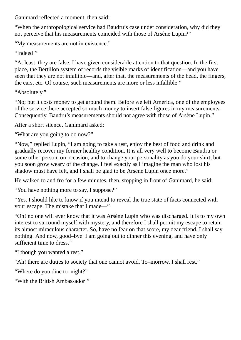Ganimard reflected a moment, then said:

"When the anthropological service had Baudru's case under consideration, why did they not perceive that his measurements coincided with those of Arsène Lupin?"

"My measurements are not in existence."

"Indeed!"

"At least, they are false. I have given considerable attention to that question. In the first place, the Bertillon system of records the visible marks of identification—and you have seen that they are not infallible—and, after that, the measurements of the head, the fingers, the ears, etc. Of course, such measurements are more or less infallible."

"Absolutely."

"No; but it costs money to get around them. Before we left America, one of the employees of the service there accepted so much money to insert false figures in my measurements. Consequently, Baudru's measurements should not agree with those of Arsène Lupin."

After a short silence, Ganimard asked:

"What are you going to do now?"

"Now," replied Lupin, "I am going to take a rest, enjoy the best of food and drink and gradually recover my former healthy condition. It is all very well to become Baudru or some other person, on occasion, and to change your personality as you do your shirt, but you soon grow weary of the change. I feel exactly as I imagine the man who lost his shadow must have felt, and I shall be glad to be Arsène Lupin once more."

He walked to and fro for a few minutes, then, stopping in front of Ganimard, he said:

"You have nothing more to say, I suppose?"

"Yes. I should like to know if you intend to reveal the true state of facts connected with your escape. The mistake that I made―"

"Oh! no one will ever know that it was Arsène Lupin who was discharged. It is to my own interest to surround myself with mystery, and therefore I shall permit my escape to retain its almost miraculous character. So, have no fear on that score, my dear friend. I shall say nothing. And now, good–bye. I am going out to dinner this evening, and have only sufficient time to dress."

"I though you wanted a rest."

"Ah! there are duties to society that one cannot avoid. To–morrow, I shall rest."

"Where do you dine to–night?"

"With the British Ambassador!"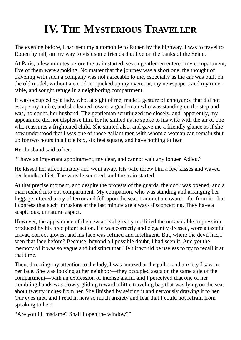# **IV. THE MYSTERIOUS TRAVELLER**

The evening before, I had sent my automobile to Rouen by the highway. I was to travel to Rouen by rail, on my way to visit some friends that live on the banks of the Seine.

At Paris, a few minutes before the train started, seven gentlemen entered my compartment; five of them were smoking. No matter that the journey was a short one, the thought of traveling with such a company was not agreeable to me, especially as the car was built on the old model, without a corridor. I picked up my overcoat, my newspapers and my time– table, and sought refuge in a neighboring compartment.

It was occupied by a lady, who, at sight of me, made a gesture of annoyance that did not escape my notice, and she leaned toward a gentleman who was standing on the step and was, no doubt, her husband. The gentleman scrutinized me closely, and, apparently, my appearance did not displease him, for he smiled as he spoke to his wife with the air of one who reassures a frightened child. She smiled also, and gave me a friendly glance as if she now understood that I was one of those gallant men with whom a woman can remain shut up for two hours in a little box, six feet square, and have nothing to fear.

Her husband said to her:

"I have an important appointment, my dear, and cannot wait any longer. Adieu."

He kissed her affectionately and went away. His wife threw him a few kisses and waved her handkerchief. The whistle sounded, and the train started.

At that precise moment, and despite the protests of the guards, the door was opened, and a man rushed into our compartment. My companion, who was standing and arranging her luggage, uttered a cry of terror and fell upon the seat. I am not a coward—far from it—but I confess that such intrusions at the last minute are always disconcerting. They have a suspicious, unnatural aspect.

However, the appearance of the new arrival greatly modified the unfavorable impression produced by his precipitant action. He was correctly and elegantly dressed, wore a tasteful cravat, correct gloves, and his face was refined and intelligent. But, where the devil had I seen that face before? Because, beyond all possible doubt, I had seen it. And yet the memory of it was so vague and indistinct that I felt it would be useless to try to recall it at that time.

Then, directing my attention to the lady, I was amazed at the pallor and anxiety I saw in her face. She was looking at her neighbor—they occupied seats on the same side of the compartment—with an expression of intense alarm, and I perceived that one of her trembling hands was slowly gliding toward a little traveling bag that was lying on the seat about twenty inches from her. She finished by seizing it and nervously drawing it to her. Our eyes met, and I read in hers so much anxiety and fear that I could not refrain from speaking to her:

"Are you ill, madame? Shall I open the window?"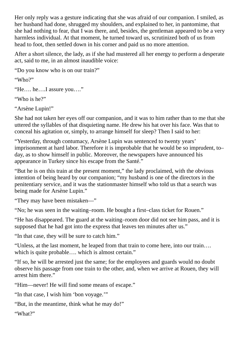Her only reply was a gesture indicating that she was afraid of our companion. I smiled, as her husband had done, shrugged my shoulders, and explained to her, in pantomime, that she had nothing to fear, that I was there, and, besides, the gentleman appeared to be a very harmless individual. At that moment, he turned toward us, scrutinized both of us from head to foot, then settled down in his corner and paid us no more attention.

After a short silence, the lady, as if she had mustered all her energy to perform a desperate act, said to me, in an almost inaudible voice:

"Do you know who is on our train?"

"Who?"

"He…. he….I assure you…."

"Who is he?"

"Arsène Lupin!"

She had not taken her eyes off our companion, and it was to him rather than to me that she uttered the syllables of that disquieting name. He drew his hat over his face. Was that to conceal his agitation or, simply, to arrange himself for sleep? Then I said to her:

"Yesterday, through contumacy, Arsène Lupin was sentenced to twenty years' imprisonment at hard labor. Therefore it is improbable that he would be so imprudent, to– day, as to show himself in public. Moreover, the newspapers have announced his appearance in Turkey since his escape from the Santé."

"But he is on this train at the present moment," the lady proclaimed, with the obvious intention of being heard by our companion; "my husband is one of the directors in the penitentiary service, and it was the stationmaster himself who told us that a search was being made for Arsène Lupin."

"They may have been mistaken―"

"No; he was seen in the waiting–room. He bought a first–class ticket for Rouen."

"He has disappeared. The guard at the waiting–room door did not see him pass, and it is supposed that he had got into the express that leaves ten minutes after us."

"In that case, they will be sure to catch him."

"Unless, at the last moment, he leaped from that train to come here, into our train…. which is quite probable.... which is almost certain."

"If so, he will be arrested just the same; for the employees and guards would no doubt observe his passage from one train to the other, and, when we arrive at Rouen, they will arrest him there."

"Him—never! He will find some means of escape."

"In that case, I wish him 'bon voyage.'"

"But, in the meantime, think what he may do!"

"What?"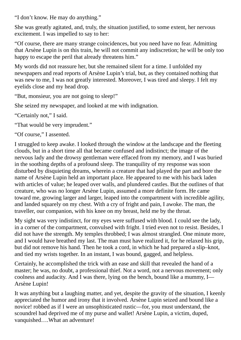"I don't know. He may do anything."

She was greatly agitated, and, truly, the situation justified, to some extent, her nervous excitement. I was impelled to say to her:

"Of course, there are many strange coincidences, but you need have no fear. Admitting that Arsène Lupin is on this train, he will not commit any indiscretion; he will be only too happy to escape the peril that already threatens him."

My words did not reassure her, but she remained silent for a time. I unfolded my newspapers and read reports of Arsène Lupin's trial, but, as they contained nothing that was new to me, I was not greatly interested. Moreover, I was tired and sleepy. I felt my eyelids close and my head drop.

"But, monsieur, you are not going to sleep!"

She seized my newspaper, and looked at me with indignation.

"Certainly not," I said.

"That would be very imprudent."

"Of course," I assented.

I struggled to keep awake. I looked through the window at the landscape and the fleeting clouds, but in a short time all that became confused and indistinct; the image of the nervous lady and the drowsy gentleman were effaced from my memory, and I was buried in the soothing depths of a profound sleep. The tranquility of my response was soon disturbed by disquieting dreams, wherein a creature that had played the part and bore the name of Arsène Lupin held an important place. He appeared to me with his back laden with articles of value; he leaped over walls, and plundered castles. But the outlines of that creature, who was no longer Arsène Lupin, assumed a more definite form. He came toward me, growing larger and larger, leaped into the compartment with incredible agility, and landed squarely on my chest. With a cry of fright and pain, I awoke. The man, the traveller, our companion, with his knee on my breast, held me by the throat.

My sight was very indistinct, for my eyes were suffused with blood. I could see the lady, in a corner of the compartment, convulsed with fright. I tried even not to resist. Besides, I did not have the strength. My temples throbbed; I was almost strangled. One minute more, and I would have breathed my last. The man must have realized it, for he relaxed his grip, but did not remove his hand. Then he took a cord, in which he had prepared a slip–knot, and tied my wrists together. In an instant, I was bound, gagged, and helpless.

Certainly, he accomplished the trick with an ease and skill that revealed the hand of a master; he was, no doubt, a professional thief. Not a word, not a nervous movement; only coolness and audacity. And I was there, lying on the bench, bound like a mummy, I— Arsène Lupin!

It was anything but a laughing matter, and yet, despite the gravity of the situation, I keenly appreciated the humor and irony that it involved. Arsène Lupin seized and bound like a novice! robbed as if I were an unsophisticated rustic—for, you must understand, the scoundrel had deprived me of my purse and wallet! Arsène Lupin, a victim, duped, vanquished….What an adventure!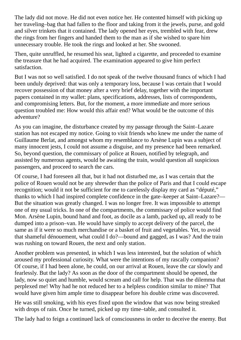The lady did not move. He did not even notice her. He contented himself with picking up her traveling–bag that had fallen to the floor and taking from it the jewels, purse, and gold and silver trinkets that it contained. The lady opened her eyes, trembled with fear, drew the rings from her fingers and handed them to the man as if she wished to spare him unnecessary trouble. He took the rings and looked at her. She swooned.

Then, quite unruffled, he resumed his seat, lighted a cigarette, and proceeded to examine the treasure that he had acquired. The examination appeared to give him perfect satisfaction.

But I was not so well satisfied. I do not speak of the twelve thousand francs of which I had been unduly deprived: that was only a temporary loss, because I was certain that I would recover possession of that money after a very brief delay, together with the important papers contained in my wallet: plans, specifications, addresses, lists of correspondents, and compromising letters. But, for the moment, a more immediate and more serious question troubled me: How would this affair end? What would be the outcome of this adventure?

As you can imagine, the disturbance created by my passage through the Saint–Lazare station has not escaped my notice. Going to visit friends who knew me under the name of Guillaume Berlat, and amongst whom my resemblance to Arsène Lupin was a subject of many innocent jests, I could not assume a disguise, and my presence had been remarked. So, beyond question, the commissary of police at Rouen, notified by telegraph, and assisted by numerous agents, would be awaiting the train, would question all suspicious passengers, and proceed to search the cars.

Of course, I had foreseen all that, but it had not disturbed me, as I was certain that the police of Rouen would not be any shrewder than the police of Paris and that I could escape recognition; would it not be sufficient for me to carelessly display my card as "député," thanks to which I had inspired complete confidence in the gate–keeper at Saint–Lazare?— But the situation was greatly changed. I was no longer free. It was impossible to attempt one of my usual tricks. In one of the compartments, the commissary of police would find Mon. Arsène Lupin, bound hand and foot, as docile as a lamb, packed up, all ready to be dumped into a prison–van. He would have simply to accept delivery of the parcel, the same as if it were so much merchandise or a basket of fruit and vegetables. Yet, to avoid that shameful dénouement, what could I do?—bound and gagged, as I was? And the train was rushing on toward Rouen, the next and only station.

Another problem was presented, in which I was less interested, but the solution of which aroused my professional curiosity. What were the intentions of my rascally companion? Of course, if I had been alone, he could, on our arrival at Rouen, leave the car slowly and fearlessly. But the lady? As soon as the door of the compartment should be opened, the lady, now so quiet and humble, would scream and call for help. That was the dilemma that perplexed me! Why had he not reduced her to a helpless condition similar to mine? That would have given him ample time to disappear before his double crime was discovered.

He was still smoking, with his eyes fixed upon the window that was now being streaked with drops of rain. Once he turned, picked up my time–table, and consulted it.

The lady had to feign a continued lack of consciousness in order to deceive the enemy. But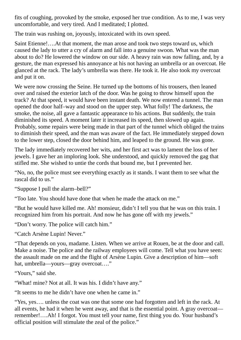fits of coughing, provoked by the smoke, exposed her true condition. As to me, I was very uncomfortable, and very tired. And I meditated; I plotted.

The train was rushing on, joyously, intoxicated with its own speed.

Saint Etienne!….At that moment, the man arose and took two steps toward us, which caused the lady to utter a cry of alarm and fall into a genuine swoon. What was the man about to do? He lowered the window on our side. A heavy rain was now falling, and, by a gesture, the man expressed his annoyance at his not having an umbrella or an overcoat. He glanced at the rack. The lady's umbrella was there. He took it. He also took my overcoat and put it on.

We were now crossing the Seine. He turned up the bottoms of his trousers, then leaned over and raised the exterior latch of the door. Was he going to throw himself upon the track? At that speed, it would have been instant death. We now entered a tunnel. The man opened the door half–way and stood on the upper step. What folly! The darkness, the smoke, the noise, all gave a fantastic appearance to his actions. But suddenly, the train diminished its speed. A moment later it increased its speed, then slowed up again. Probably, some repairs were being made in that part of the tunnel which obliged the trains to diminish their speed, and the man was aware of the fact. He immediately stepped down to the lower step, closed the door behind him, and leaped to the ground. He was gone.

The lady immediately recovered her wits, and her first act was to lament the loss of her jewels. I gave her an imploring look. She understood, and quickly removed the gag that stifled me. She wished to untie the cords that bound me, but I prevented her.

"No, no, the police must see everything exactly as it stands. I want them to see what the rascal did to us."

"Suppose I pull the alarm–bell?"

"Too late. You should have done that when he made the attack on me."

"But he would have killed me. Ah! monsieur, didn't I tell you that he was on this train. I recognized him from his portrait. And now he has gone off with my jewels."

"Don't worry. The police will catch him."

"Catch Arsène Lupin! Never."

"That depends on you, madame. Listen. When we arrive at Rouen, be at the door and call. Make a noise. The police and the railway employees will come. Tell what you have seen: the assault made on me and the flight of Arsène Lupin. Give a description of him—soft hat, umbrella—yours—gray overcoat…."

"Yours," said she.

"What! mine? Not at all. It was his. I didn't have any."

"It seems to me he didn't have one when he came in."

"Yes, yes…. unless the coat was one that some one had forgotten and left in the rack. At all events, he had it when he went away, and that is the essential point. A gray overcoat remember!….Ah! I forgot. You must tell your name, first thing you do. Your husband's official position will stimulate the zeal of the police."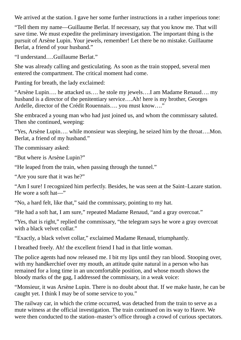We arrived at the station. I gave her some further instructions in a rather imperious tone:

"Tell them my name—Guillaume Berlat. If necessary, say that you know me. That will save time. We must expedite the preliminary investigation. The important thing is the pursuit of Arsène Lupin. Your jewels, remember! Let there be no mistake. Guillaume Berlat, a friend of your husband."

"I understand….Guillaume Berlat."

She was already calling and gesticulating. As soon as the train stopped, several men entered the compartment. The critical moment had come.

Panting for breath, the lady exclaimed:

"Arsène Lupin…. he attacked us…. he stole my jewels….I am Madame Renaud…. my husband is a director of the penitentiary service....Ah! here is my brother, Georges Ardelle, director of the Crédit Rouennais…. you must know…."

She embraced a young man who had just joined us, and whom the commissary saluted. Then she continued, weeping:

"Yes, Arsène Lupin…. while monsieur was sleeping, he seized him by the throat….Mon. Berlat, a friend of my husband."

The commissary asked:

"But where is Arsène Lupin?"

"He leaped from the train, when passing through the tunnel."

"Are you sure that it was he?"

"Am I sure! I recognized him perfectly. Besides, he was seen at the Saint–Lazare station. He wore a soft hat―"

"No, a hard felt, like that," said the commissary, pointing to my hat.

"He had a soft hat, I am sure," repeated Madame Renaud, "and a gray overcoat."

"Yes, that is right," replied the commissary, "the telegram says he wore a gray overcoat with a black velvet collar."

"Exactly, a black velvet collar," exclaimed Madame Renaud, triumphantly.

I breathed freely. Ah! the excellent friend I had in that little woman.

The police agents had now released me. I bit my lips until they ran blood. Stooping over, with my handkerchief over my mouth, an attitude quite natural in a person who has remained for a long time in an uncomfortable position, and whose mouth shows the bloody marks of the gag, I addressed the commissary, in a weak voice:

"Monsieur, it was Arsène Lupin. There is no doubt about that. If we make haste, he can be caught yet. I think I may be of some service to you."

The railway car, in which the crime occurred, was detached from the train to serve as a mute witness at the official investigation. The train continued on its way to Havre. We were then conducted to the station–master's office through a crowd of curious spectators.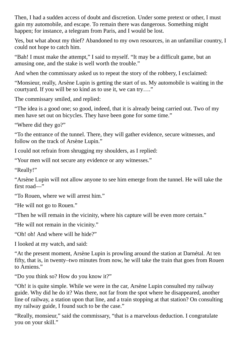Then, I had a sudden access of doubt and discretion. Under some pretext or other, I must gain my automobile, and escape. To remain there was dangerous. Something might happen; for instance, a telegram from Paris, and I would be lost.

Yes, but what about my thief? Abandoned to my own resources, in an unfamiliar country, I could not hope to catch him.

"Bah! I must make the attempt," I said to myself. "It may be a difficult game, but an amusing one, and the stake is well worth the trouble."

And when the commissary asked us to repeat the story of the robbery, I exclaimed:

"Monsieur, really, Arsène Lupin is getting the start of us. My automobile is waiting in the courtyard. If you will be so kind as to use it, we can try…."

The commissary smiled, and replied:

"The idea is a good one; so good, indeed, that it is already being carried out. Two of my men have set out on bicycles. They have been gone for some time."

"Where did they go?"

"To the entrance of the tunnel. There, they will gather evidence, secure witnesses, and follow on the track of Arsène Lupin."

I could not refrain from shrugging my shoulders, as I replied:

"Your men will not secure any evidence or any witnesses."

"Really!"

"Arsène Lupin will not allow anyone to see him emerge from the tunnel. He will take the first road—"

"To Rouen, where we will arrest him."

"He will not go to Rouen."

"Then he will remain in the vicinity, where his capture will be even more certain."

"He will not remain in the vicinity."

"Oh! oh! And where will he hide?"

I looked at my watch, and said:

"At the present moment, Arsène Lupin is prowling around the station at Darnétal. At ten fifty, that is, in twenty–two minutes from now, he will take the train that goes from Rouen to Amiens."

"Do you think so? How do you know it?"

"Oh! it is quite simple. While we were in the car, Arsène Lupin consulted my railway guide. Why did he do it? Was there, not far from the spot where he disappeared, another line of railway, a station upon that line, and a train stopping at that station? On consulting my railway guide, I found such to be the case."

"Really, monsieur," said the commissary, "that is a marvelous deduction. I congratulate you on your skill."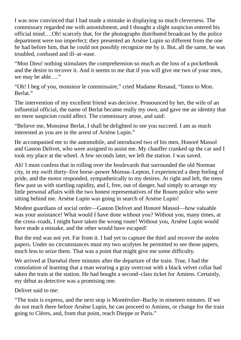I was now convinced that I had made a mistake in displaying so much cleverness. The commissary regarded me with astonishment, and I thought a slight suspicion entered his official mind….Oh! scarcely that, for the photographs distributed broadcast by the police department were too imperfect; they presented an Arsène Lupin so different from the one he had before him, that he could not possibly recognize me by it. But, all the same, he was troubled, confused and ill–at–ease.

"Mon Dieu! nothing stimulates the comprehension so much as the loss of a pocketbook and the desire to recover it. And it seems to me that if you will give me two of your men, we may be able…."

"Oh! I beg of you, monsieur le commissaire," cried Madame Renaud, "listen to Mon. Berlat."

The intervention of my excellent friend was decisive. Pronounced by her, the wife of an influential official, the name of Berlat became really my own, and gave me an identity that no mere suspicion could affect. The commissary arose, and said:

"Believe me, Monsieur Berlat, I shall be delighted to see you succeed. I am as much interested as you are in the arrest of Arsène Lupin."

He accompanied me to the automobile, and introduced two of his men, Honoré Massol and Gaston Delivet, who were assigned to assist me. My chauffer cranked up the car and I took my place at the wheel. A few seconds later, we left the station. I was saved.

Ah! I must confess that in rolling over the boulevards that surrounded the old Norman city, in my swift thirty–five horse–power Moreau–Lepton, I experienced a deep feeling of pride, and the motor responded, sympathetically to my desires. At right and left, the trees flew past us with startling rapidity, and I, free, out of danger, had simply to arrange my little personal affairs with the two honest representatives of the Rouen police who were sitting behind me. Arsène Lupin was going in search of Arsène Lupin!

Modest guardians of social order—Gaston Delivet and Honoré Massol—how valuable was your assistance! What would I have done without you? Without you, many times, at the cross–roads, I might have taken the wrong route! Without you, Arsène Lupin would have made a mistake, and the other would have escaped!

But the end was not yet. Far from it. I had yet to capture the thief and recover the stolen papers. Under no circumstances must my two acolytes be permitted to see those papers, much less to seize them. That was a point that might give me some difficulty.

We arrived at Darnétal three minutes after the departure of the train. True, I had the consolation of learning that a man wearing a gray overcoat with a black velvet collar had taken the train at the station. He had bought a second–class ticket for Amiens. Certainly, my début as detective was a promising one.

Delivet said to me:

"The train is express, and the next stop is Montérolier–Buchy in nineteen minutes. If we do not reach there before Arsène Lupin, he can proceed to Amiens, or change for the train going to Clères, and, from that point, reach Dieppe or Paris."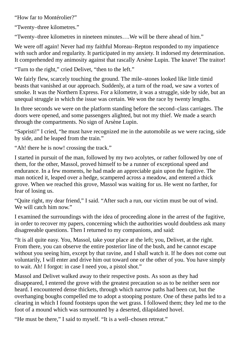"How far to Montérolier?"

"Twenty–three kilometres."

"Twenty–three kilometres in nineteen minutes….We will be there ahead of him."

We were off again! Never had my faithful Moreau–Repton responded to my impatience with such ardor and regularity. It participated in my anxiety. It indorsed my determination. It comprehended my animosity against that rascally Arsène Lupin. The knave! The traitor!

"Turn to the right," cried Delivet, "then to the left."

We fairly flew, scarcely touching the ground. The mile–stones looked like little timid beasts that vanished at our approach. Suddenly, at a turn of the road, we saw a vortex of smoke. It was the Northern Express. For a kilometre, it was a struggle, side by side, but an unequal struggle in which the issue was certain. We won the race by twenty lengths.

In three seconds we were on the platform standing before the second–class carriages. The doors were opened, and some passengers alighted, but not my thief. We made a search through the compartments. No sign of Arsène Lupin.

"Sapristi!" I cried, "he must have recognized me in the automobile as we were racing, side by side, and he leaped from the train."

"Ah! there he is now! crossing the track."

I started in pursuit of the man, followed by my two acolytes, or rather followed by one of them, for the other, Massol, proved himself to be a runner of exceptional speed and endurance. In a few moments, he had made an appreciable gain upon the fugitive. The man noticed it, leaped over a hedge, scampered across a meadow, and entered a thick grove. When we reached this grove, Massol was waiting for us. He went no farther, for fear of losing us.

"Quite right, my dear friend," I said. "After such a run, our victim must be out of wind. We will catch him now."

I examined the surroundings with the idea of proceeding alone in the arrest of the fugitive, in order to recover my papers, concerning which the authorities would doubtless ask many disagreeable questions. Then I returned to my companions, and said:

"It is all quite easy. You, Massol, take your place at the left; you, Delivet, at the right. From there, you can observe the entire posterior line of the bush, and he cannot escape without you seeing him, except by that ravine, and I shall watch it. If he does not come out voluntarily, I will enter and drive him out toward one or the other of you. You have simply to wait. Ah! I forgot: in case I need you, a pistol shot."

Massol and Delivet walked away to their respective posts. As soon as they had disappeared, I entered the grove with the greatest precaution so as to be neither seen nor heard. I encountered dense thickets, through which narrow paths had been cut, but the overhanging boughs compelled me to adopt a stooping posture. One of these paths led to a clearing in which I found footsteps upon the wet grass. I followed them; they led me to the foot of a mound which was surmounted by a deserted, dilapidated hovel.

"He must be there," I said to myself. "It is a well–chosen retreat."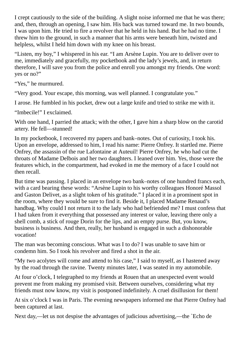I crept cautiously to the side of the building. A slight noise informed me that he was there; and, then, through an opening, I saw him. His back was turned toward me. In two bounds, I was upon him. He tried to fire a revolver that he held in his hand. But he had no time. I threw him to the ground, in such a manner that his arms were beneath him, twisted and helpless, whilst I held him down with my knee on his breast.

"Listen, my boy," I whispered in his ear. "I am Arsène Lupin. You are to deliver over to me, immediately and gracefully, my pocketbook and the lady's jewels, and, in return therefore, I will save you from the police and enroll you amongst my friends. One word: yes or no?"

"Yes," he murmured.

"Very good. Your escape, this morning, was well planned. I congratulate you."

I arose. He fumbled in his pocket, drew out a large knife and tried to strike me with it.

"Imbecile!" I exclaimed.

With one hand, I parried the attack; with the other, I gave him a sharp blow on the carotid artery. He fell—stunned!

In my pocketbook, I recovered my papers and bank–notes. Out of curiosity, I took his. Upon an envelope, addressed to him, I read his name: Pierre Onfrey. It startled me. Pierre Onfrey, the assassin of the rue Lafontaine at Auteuil! Pierre Onfrey, he who had cut the throats of Madame Delbois and her two daughters. I leaned over him. Yes, those were the features which, in the compartment, had evoked in me the memory of a face I could not then recall.

But time was passing. I placed in an envelope two bank–notes of one hundred francs each, with a card bearing these words: "Arsène Lupin to his worthy colleagues Honoré Massol and Gaston Delivet, as a slight token of his gratitude." I placed it in a prominent spot in the room, where they would be sure to find it. Beside it, I placed Madame Renaud's handbag. Why could I not return it to the lady who had befriended me? I must confess that I had taken from it everything that possessed any interest or value, leaving there only a shell comb, a stick of rouge Dorin for the lips, and an empty purse. But, you know, business is business. And then, really, her husband is engaged in such a dishonorable vocation!

The man was becoming conscious. What was I to do? I was unable to save him or condemn him. So I took his revolver and fired a shot in the air.

"My two acolytes will come and attend to his case," I said to myself, as I hastened away by the road through the ravine. Twenty minutes later, I was seated in my automobile.

At four o'clock, I telegraphed to my friends at Rouen that an unexpected event would prevent me from making my promised visit. Between ourselves, considering what my friends must now know, my visit is postponed indefinitely. A cruel disillusion for them!

At six o'clock I was in Paris. The evening newspapers informed me that Pierre Onfrey had been captured at last.

Next day,—let us not despise the advantages of judicious advertising,—the `Echo de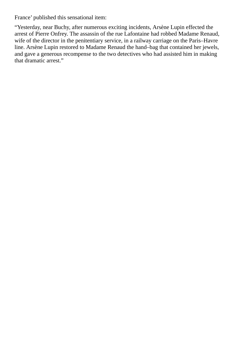France' published this sensational item:

"Yesterday, near Buchy, after numerous exciting incidents, Arsène Lupin effected the arrest of Pierre Onfrey. The assassin of the rue Lafontaine had robbed Madame Renaud, wife of the director in the penitentiary service, in a railway carriage on the Paris–Havre line. Arsène Lupin restored to Madame Renaud the hand–bag that contained her jewels, and gave a generous recompense to the two detectives who had assisted him in making that dramatic arrest."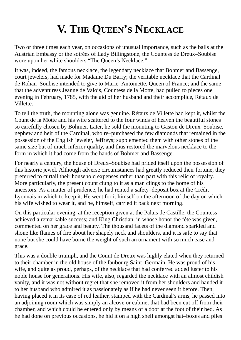## **V. THE QUEEN'S NECKLACE**

Two or three times each year, on occasions of unusual importance, such as the balls at the Austrian Embassy or the soirées of Lady Billingstone, the Countess de Dreux–Soubise wore upon her white shoulders "The Queen's Necklace."

It was, indeed, the famous necklace, the legendary necklace that Bohmer and Bassenge, court jewelers, had made for Madame Du Barry; the veritable necklace that the Cardinal de Rohan–Soubise intended to give to Marie–Antoinette, Queen of France; and the same that the adventuress Jeanne de Valois, Countess de la Motte, had pulled to pieces one evening in February, 1785, with the aid of her husband and their accomplice, Rétaux de Villette.

To tell the truth, the mounting alone was genuine. Rétaux de Villette had kept it, whilst the Count de la Motte and his wife scattered to the four winds of heaven the beautiful stones so carefully chosen by Bohmer. Later, he sold the mounting to Gaston de Dreux–Soubise, nephew and heir of the Cardinal, who re–purchased the few diamonds that remained in the possession of the English jeweler, Jeffreys; supplemented them with other stones of the same size but of much inferior quality, and thus restored the marvelous necklace to the form in which it had come from the hands of Bohmer and Bassenge.

For nearly a century, the house of Dreux–Soubise had prided itself upon the possession of this historic jewel. Although adverse circumstances had greatly reduced their fortune, they preferred to curtail their household expenses rather than part with this relic of royalty. More particularly, the present count clung to it as a man clings to the home of his ancestors. As a matter of prudence, he had rented a safety–deposit box at the Crédit Lyonnais in which to keep it. He went for it himself on the afternoon of the day on which his wife wished to wear it, and he, himself, carried it back next morning.

On this particular evening, at the reception given at the Palais de Castille, the Countess achieved a remarkable success; and King Christian, in whose honor the fête was given, commented on her grace and beauty. The thousand facets of the diamond sparkled and shone like flames of fire about her shapely neck and shoulders, and it is safe to say that none but she could have borne the weight of such an ornament with so much ease and grace.

This was a double triumph, and the Count de Dreux was highly elated when they returned to their chamber in the old house of the faubourg Saint–Germain. He was proud of his wife, and quite as proud, perhaps, of the necklace that had conferred added luster to his noble house for generations. His wife, also, regarded the necklace with an almost childish vanity, and it was not without regret that she removed it from her shoulders and handed it to her husband who admired it as passionately as if he had never seen it before. Then, having placed it in its case of red leather, stamped with the Cardinal's arms, he passed into an adjoining room which was simply an alcove or cabinet that had been cut off from their chamber, and which could be entered only by means of a door at the foot of their bed. As he had done on previous occasions, he hid it on a high shelf amongst hat–boxes and piles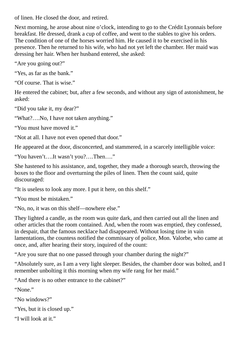of linen. He closed the door, and retired.

Next morning, he arose about nine o'clock, intending to go to the Crédit Lyonnais before breakfast. He dressed, drank a cup of coffee, and went to the stables to give his orders. The condition of one of the horses worried him. He caused it to be exercised in his presence. Then he returned to his wife, who had not yet left the chamber. Her maid was dressing her hair. When her husband entered, she asked:

"Are you going out?"

"Yes, as far as the bank."

"Of course. That is wise."

He entered the cabinet; but, after a few seconds, and without any sign of astonishment, he asked:

"Did you take it, my dear?"

"What?….No, I have not taken anything."

"You must have moved it."

"Not at all. I have not even opened that door."

He appeared at the door, disconcerted, and stammered, in a scarcely intelligible voice:

"You haven't….It wasn't you?….Then…."

She hastened to his assistance, and, together, they made a thorough search, throwing the boxes to the floor and overturning the piles of linen. Then the count said, quite discouraged:

"It is useless to look any more. I put it here, on this shelf."

"You must be mistaken."

"No, no, it was on this shelf—nowhere else."

They lighted a candle, as the room was quite dark, and then carried out all the linen and other articles that the room contained. And, when the room was emptied, they confessed, in despair, that the famous necklace had disappeared. Without losing time in vain lamentations, the countess notified the commissary of police, Mon. Valorbe, who came at once, and, after hearing their story, inquired of the count:

"Are you sure that no one passed through your chamber during the night?"

"Absolutely sure, as I am a very light sleeper. Besides, the chamber door was bolted, and I remember unbolting it this morning when my wife rang for her maid."

"And there is no other entrance to the cabinet?"

"None." "No windows?" "Yes, but it is closed up." "I will look at it."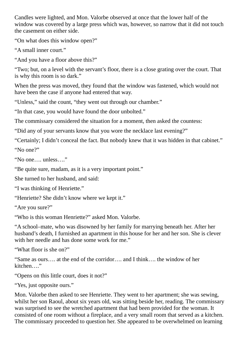Candles were lighted, and Mon. Valorbe observed at once that the lower half of the window was covered by a large press which was, however, so narrow that it did not touch the casement on either side.

"On what does this window open?"

"A small inner court."

"And you have a floor above this?"

"Two; but, on a level with the servant's floor, there is a close grating over the court. That is why this room is so dark."

When the press was moved, they found that the window was fastened, which would not have been the case if anyone had entered that way.

"Unless," said the count, "they went out through our chamber."

"In that case, you would have found the door unbolted."

The commissary considered the situation for a moment, then asked the countess:

"Did any of your servants know that you wore the necklace last evening?"

"Certainly; I didn't conceal the fact. But nobody knew that it was hidden in that cabinet." "No one?"

"No one…. unless…."

"Be quite sure, madam, as it is a very important point."

She turned to her husband, and said:

"I was thinking of Henriette."

"Henriette? She didn't know where we kept it."

"Are you sure?"

"Who is this woman Henriette?" asked Mon. Valorbe.

"A school–mate, who was disowned by her family for marrying beneath her. After her husband's death, I furnished an apartment in this house for her and her son. She is clever with her needle and has done some work for me."

"What floor is she on?"

"Same as ours…. at the end of the corridor…. and I think…. the window of her kitchen…."

"Opens on this little court, does it not?"

"Yes, just opposite ours."

Mon. Valorbe then asked to see Henriette. They went to her apartment; she was sewing, whilst her son Raoul, about six years old, was sitting beside her, reading. The commissary was surprised to see the wretched apartment that had been provided for the woman. It consisted of one room without a fireplace, and a very small room that served as a kitchen. The commissary proceeded to question her. She appeared to be overwhelmed on learning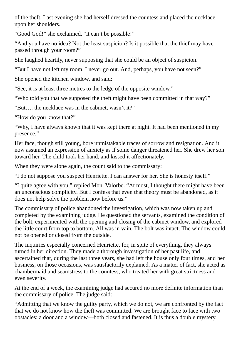of the theft. Last evening she had herself dressed the countess and placed the necklace upon her shoulders.

"Good God!" she exclaimed, "it can't be possible!"

"And you have no idea? Not the least suspicion? Is it possible that the thief may have passed through your room?"

She laughed heartily, never supposing that she could be an object of suspicion.

"But I have not left my room. I never go out. And, perhaps, you have not seen?"

She opened the kitchen window, and said:

"See, it is at least three metres to the ledge of the opposite window."

"Who told you that we supposed the theft might have been committed in that way?"

"But…. the necklace was in the cabinet, wasn't it?"

"How do you know that?"

"Why, I have always known that it was kept there at night. It had been mentioned in my presence."

Her face, though still young, bore unmistakable traces of sorrow and resignation. And it now assumed an expression of anxiety as if some danger threatened her. She drew her son toward her. The child took her hand, and kissed it affectionately.

When they were alone again, the count said to the commissary:

"I do not suppose you suspect Henriette. I can answer for her. She is honesty itself."

"I quite agree with you," replied Mon. Valorbe. "At most, I thought there might have been an unconscious complicity. But I confess that even that theory must be abandoned, as it does not help solve the problem now before us."

The commissary of police abandoned the investigation, which was now taken up and completed by the examining judge. He questioned the servants, examined the condition of the bolt, experimented with the opening and closing of the cabinet window, and explored the little court from top to bottom. All was in vain. The bolt was intact. The window could not be opened or closed from the outside.

The inquiries especially concerned Henriette, for, in spite of everything, they always turned in her direction. They made a thorough investigation of her past life, and ascertained that, during the last three years, she had left the house only four times, and her business, on those occasions, was satisfactorily explained. As a matter of fact, she acted as chambermaid and seamstress to the countess, who treated her with great strictness and even severity.

At the end of a week, the examining judge had secured no more definite information than the commissary of police. The judge said:

"Admitting that we know the guilty party, which we do not, we are confronted by the fact that we do not know how the theft was committed. We are brought face to face with two obstacles: a door and a window—both closed and fastened. It is thus a double mystery.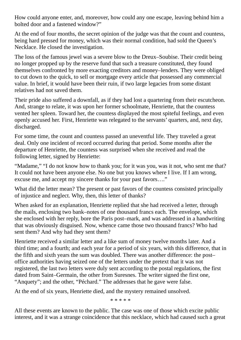How could anyone enter, and, moreover, how could any one escape, leaving behind him a bolted door and a fastened window?"

At the end of four months, the secret opinion of the judge was that the count and countess, being hard pressed for money, which was their normal condition, had sold the Queen's Necklace. He closed the investigation.

The loss of the famous jewel was a severe blow to the Dreux–Soubise. Their credit being no longer propped up by the reserve fund that such a treasure constituted, they found themselves confronted by more exacting creditors and money–lenders. They were obliged to cut down to the quick, to sell or mortgage every article that possessed any commercial value. In brief, it would have been their ruin, if two large legacies from some distant relatives had not saved them.

Their pride also suffered a downfall, as if they had lost a quartering from their escutcheon. And, strange to relate, it was upon her former schoolmate, Henriette, that the countess vented her spleen. Toward her, the countess displayed the most spiteful feelings, and even openly accused her. First, Henriette was relegated to the servants' quarters, and, next day, discharged.

For some time, the count and countess passed an uneventful life. They traveled a great deal. Only one incident of record occurred during that period. Some months after the departure of Henriette, the countess was surprised when she received and read the following letter, signed by Henriette:

"Madame," "I do not know how to thank you; for it was you, was it not, who sent me that? It could not have been anyone else. No one but you knows where I live. If I am wrong, excuse me, and accept my sincere thanks for your past favors…."

What did the letter mean? The present or past favors of the countess consisted principally of injustice and neglect. Why, then, this letter of thanks?

When asked for an explanation, Henriette replied that she had received a letter, through the mails, enclosing two bank–notes of one thousand francs each. The envelope, which she enclosed with her reply, bore the Paris post–mark, and was addressed in a handwriting that was obviously disguised. Now, whence came those two thousand francs? Who had sent them? And why had they sent them?

Henriette received a similar letter and a like sum of money twelve months later. And a third time; and a fourth; and each year for a period of six years, with this difference, that in the fifth and sixth years the sum was doubled. There was another difference: the post– office authorities having seized one of the letters under the pretext that it was not registered, the last two letters were duly sent according to the postal regulations, the first dated from Saint–Germain, the other from Suresnes. The writer signed the first one, "Anquety"; and the other, "Péchard." The addresses that he gave were false.

At the end of six years, Henriette died, and the mystery remained unsolved.

\* \* \* \* \*

All these events are known to the public. The case was one of those which excite public interest, and it was a strange coincidence that this necklace, which had caused such a great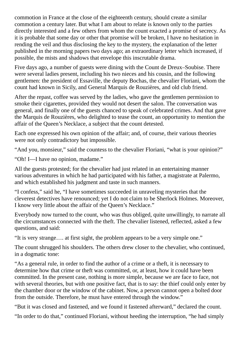commotion in France at the close of the eighteenth century, should create a similar commotion a century later. But what I am about to relate is known only to the parties directly interested and a few others from whom the count exacted a promise of secrecy. As it is probable that some day or other that promise will be broken, I have no hesitation in rending the veil and thus disclosing the key to the mystery, the explanation of the letter published in the morning papers two days ago; an extraordinary letter which increased, if possible, the mists and shadows that envelope this inscrutable drama.

Five days ago, a number of guests were dining with the Count de Dreux–Soubise. There were several ladies present, including his two nieces and his cousin, and the following gentlemen: the president of Essaville, the deputy Bochas, the chevalier Floriani, whom the count had known in Sicily, and General Marquis de Rouzières, and old club friend.

After the repast, coffee was served by the ladies, who gave the gentlemen permission to smoke their cigarettes, provided they would not desert the salon. The conversation was general, and finally one of the guests chanced to speak of celebrated crimes. And that gave the Marquis de Rouzières, who delighted to tease the count, an opportunity to mention the affair of the Queen's Necklace, a subject that the count detested.

Each one expressed his own opinion of the affair; and, of course, their various theories were not only contradictory but impossible.

"And you, monsieur," said the countess to the chevalier Floriani, "what is your opinion?"

"Oh! I—I have no opinion, madame."

All the guests protested; for the chevalier had just related in an entertaining manner various adventures in which he had participated with his father, a magistrate at Palermo, and which established his judgment and taste in such manners.

"I confess," said he, "I have sometimes succeeded in unraveling mysteries that the cleverest detectives have renounced; yet I do not claim to be Sherlock Holmes. Moreover, I know very little about the affair of the Queen's Necklace."

Everybody now turned to the count, who was thus obliged, quite unwillingly, to narrate all the circumstances connected with the theft. The chevalier listened, reflected, asked a few questions, and said:

"It is very strange…. at first sight, the problem appears to be a very simple one."

The count shrugged his shoulders. The others drew closer to the chevalier, who continued, in a dogmatic tone:

"As a general rule, in order to find the author of a crime or a theft, it is necessary to determine how that crime or theft was committed, or, at least, how it could have been committed. In the present case, nothing is more simple, because we are face to face, not with several theories, but with one positive fact, that is to say: the thief could only enter by the chamber door or the window of the cabinet. Now, a person cannot open a bolted door from the outside. Therefore, he must have entered through the window."

"But it was closed and fastened, and we found it fastened afterward," declared the count.

"In order to do that," continued Floriani, without heeding the interruption, "he had simply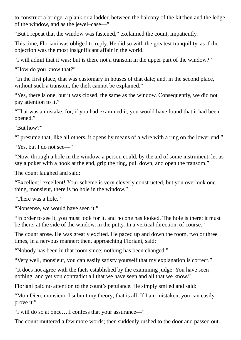to construct a bridge, a plank or a ladder, between the balcony of the kitchen and the ledge of the window, and as the jewel–case―"

"But I repeat that the window was fastened," exclaimed the count, impatiently.

This time, Floriani was obliged to reply. He did so with the greatest tranquility, as if the objection was the most insignificant affair in the world.

"I will admit that it was; but is there not a transom in the upper part of the window?"

"How do you know that?"

"In the first place, that was customary in houses of that date; and, in the second place, without such a transom, the theft cannot be explained."

"Yes, there is one, but it was closed, the same as the window. Consequently, we did not pay attention to it."

"That was a mistake; for, if you had examined it, you would have found that it had been opened."

"But how?"

"I presume that, like all others, it opens by means of a wire with a ring on the lower end."

"Yes, but I do not see―"

"Now, through a hole in the window, a person could, by the aid of some instrument, let us say a poker with a hook at the end, grip the ring, pull down, and open the transom."

The count laughed and said:

"Excellent! excellent! Your scheme is very cleverly constructed, but you overlook one thing, monsieur, there is no hole in the window."

"There was a hole."

"Nonsense, we would have seen it."

"In order to see it, you must look for it, and no one has looked. The hole is there; it must be there, at the side of the window, in the putty. In a vertical direction, of course."

The count arose. He was greatly excited. He paced up and down the room, two or three times, in a nervous manner; then, approaching Floriani, said:

"Nobody has been in that room since; nothing has been changed."

"Very well, monsieur, you can easily satisfy yourself that my explanation is correct."

"It does not agree with the facts established by the examining judge. You have seen nothing, and yet you contradict all that we have seen and all that we know."

Floriani paid no attention to the count's petulance. He simply smiled and said:

"Mon Dieu, monsieur, I submit my theory; that is all. If I am mistaken, you can easily prove it."

"I will do so at once….I confess that your assurance―"

The count muttered a few more words; then suddenly rushed to the door and passed out.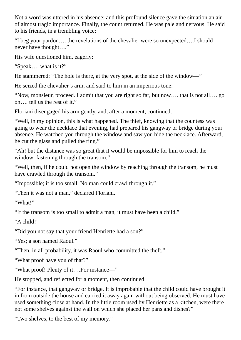Not a word was uttered in his absence; and this profound silence gave the situation an air of almost tragic importance. Finally, the count returned. He was pale and nervous. He said to his friends, in a trembling voice:

"I beg your pardon…. the revelations of the chevalier were so unexpected….I should never have thought…."

His wife questioned him, eagerly:

"Speak…. what is it?"

He stammered: "The hole is there, at the very spot, at the side of the window―"

He seized the chevalier's arm, and said to him in an imperious tone:

"Now, monsieur, proceed. I admit that you are right so far, but now…. that is not all…. go on…. tell us the rest of it."

Floriani disengaged his arm gently, and, after a moment, continued:

"Well, in my opinion, this is what happened. The thief, knowing that the countess was going to wear the necklace that evening, had prepared his gangway or bridge during your absence. He watched you through the window and saw you hide the necklace. Afterward, he cut the glass and pulled the ring."

"Ah! but the distance was so great that it would be impossible for him to reach the window–fastening through the transom."

"Well, then, if he could not open the window by reaching through the transom, he must have crawled through the transom."

"Impossible; it is too small. No man could crawl through it."

"Then it was not a man," declared Floriani.

"What!"

"If the transom is too small to admit a man, it must have been a child."

"A child!"

"Did you not say that your friend Henriette had a son?"

"Yes; a son named Raoul."

"Then, in all probability, it was Raoul who committed the theft."

"What proof have you of that?"

"What proof! Plenty of it….For instance―"

He stopped, and reflected for a moment, then continued:

"For instance, that gangway or bridge. It is improbable that the child could have brought it in from outside the house and carried it away again without being observed. He must have used something close at hand. In the little room used by Henriette as a kitchen, were there not some shelves against the wall on which she placed her pans and dishes?"

"Two shelves, to the best of my memory."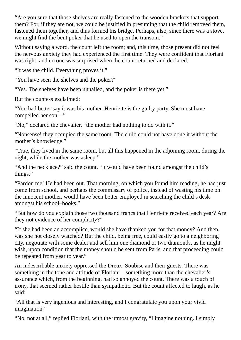"Are you sure that those shelves are really fastened to the wooden brackets that support them? For, if they are not, we could be justified in presuming that the child removed them, fastened them together, and thus formed his bridge. Perhaps, also, since there was a stove, we might find the bent poker that he used to open the transom."

Without saying a word, the count left the room; and, this time, those present did not feel the nervous anxiety they had experienced the first time. They were confident that Floriani was right, and no one was surprised when the count returned and declared:

"It was the child. Everything proves it."

"You have seen the shelves and the poker?"

"Yes. The shelves have been unnailed, and the poker is there yet."

But the countess exclaimed:

"You had better say it was his mother. Henriette is the guilty party. She must have compelled her son―"

"No," declared the chevalier, "the mother had nothing to do with it."

"Nonsense! they occupied the same room. The child could not have done it without the mother's knowledge."

"True, they lived in the same room, but all this happened in the adjoining room, during the night, while the mother was asleep."

"And the necklace?" said the count. "It would have been found amongst the child's things."

"Pardon me! He had been out. That morning, on which you found him reading, he had just come from school, and perhaps the commissary of police, instead of wasting his time on the innocent mother, would have been better employed in searching the child's desk amongst his school–books."

"But how do you explain those two thousand francs that Henriette received each year? Are they not evidence of her complicity?"

"If she had been an accomplice, would she have thanked you for that money? And then, was she not closely watched? But the child, being free, could easily go to a neighboring city, negotiate with some dealer and sell him one diamond or two diamonds, as he might wish, upon condition that the money should be sent from Paris, and that proceeding could be repeated from year to year."

An indescribable anxiety oppressed the Dreux–Soubise and their guests. There was something in the tone and attitude of Floriani—something more than the chevalier's assurance which, from the beginning, had so annoyed the count. There was a touch of irony, that seemed rather hostile than sympathetic. But the count affected to laugh, as he said:

"All that is very ingenious and interesting, and I congratulate you upon your vivid imagination."

"No, not at all," replied Floriani, with the utmost gravity, "I imagine nothing. I simply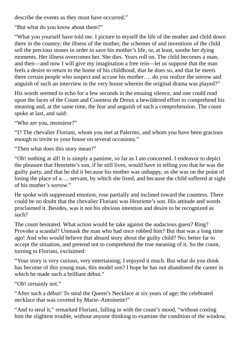describe the events as they must have occurred."

"But what do you know about them?"

"What you yourself have told me. I picture to myself the life of the mother and child down there in the country; the illness of the mother, the schemes of and inventions of the child sell the precious stones in order to save his mother's life, or, at least, soothe her dying moments. Her illness overcomes her. She dies. Years roll on. The child becomes a man; and then—and now I will give my imagination a free rein—let us suppose that the man feels a desire to return to the home of his childhood, that he does so, and that he meets there certain people who suspect and accuse his mother…. do you realize the sorrow and anguish of such an interview in the very house wherein the original drama was played?"

His words seemed to echo for a few seconds in the ensuing silence, and one could read upon the faces of the Count and Countess de Dreux a bewildered effort to comprehend his meaning and, at the same time, the fear and anguish of such a comprehension. The count spoke at last, and said:

"Who are you, monsieur?"

"I? The chevalier Floriani, whom you met at Palermo, and whom you have been gracious enough to invite to your house on several occasions."

"Then what does this story mean?"

"Oh! nothing at all! It is simply a pastime, so far as I am concerned. I endeavor to depict the pleasure that Henriette's son, if he still lives, would have in telling you that he was the guilty party, and that he did it because his mother was unhappy, as she was on the point of losing the place of a…. servant, by which she lived, and because the child suffered at sight of his mother's sorrow."

He spoke with suppressed emotion, rose partially and inclined toward the countess. There could be no doubt that the chevalier Floriani was Henriette's son. His attitude and words proclaimed it. Besides, was it not his obvious intention and desire to be recognized as such?

The count hesitated. What action would he take against the audacious guest? Ring? Provoke a scandal? Unmask the man who had once robbed him? But that was a long time ago! And who would believe that absurd story about the guilty child? No; better far to accept the situation, and pretend not to comprehend the true meaning of it. So the count, turning to Floriani, exclaimed:

"Your story is very curious, very entertaining; I enjoyed it much. But what do you think has become of this young man, this model son? I hope he has not abandoned the career in which he made such a brilliant début."

"Oh! certainly not."

"After such a début! To steal the Queen's Necklace at six years of age; the celebrated necklace that was coveted by Marie–Antoinette!"

"And to steal it," remarked Floriani, falling in with the count's mood, "without costing him the slightest trouble, without anyone thinking to examine the condition of the window,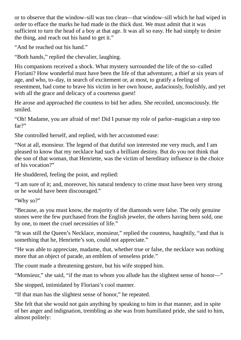or to observe that the window–sill was too clean—that window–sill which he had wiped in order to efface the marks he had made in the thick dust. We must admit that it was sufficient to turn the head of a boy at that age. It was all so easy. He had simply to desire the thing, and reach out his hand to get it."

"And he reached out his hand."

"Both hands," replied the chevalier, laughing.

His companions received a shock. What mystery surrounded the life of the so–called Floriani? How wonderful must have been the life of that adventurer, a thief at six years of age, and who, to–day, in search of excitement or, at most, to gratify a feeling of resentment, had come to brave his victim in her own house, audaciously, foolishly, and yet with all the grace and delicacy of a courteous guest!

He arose and approached the countess to bid her adieu. She recoiled, unconsciously. He smiled.

"Oh! Madame, you are afraid of me! Did I pursue my role of parlor–magician a step too far?"

She controlled herself, and replied, with her accustomed ease:

"Not at all, monsieur. The legend of that dutiful son interested me very much, and I am pleased to know that my necklace had such a brilliant destiny. But do you not think that the son of that woman, that Henriette, was the victim of hereditary influence in the choice of his vocation?"

He shuddered, feeling the point, and replied:

"I am sure of it; and, moreover, his natural tendency to crime must have been very strong or he would have been discouraged."

"Why so?"

"Because, as you must know, the majority of the diamonds were false. The only genuine stones were the few purchased from the English jeweler, the others having been sold, one by one, to meet the cruel necessities of life."

"It was still the Queen's Necklace, monsieur," replied the countess, haughtily, "and that is something that he, Henriette's son, could not appreciate."

"He was able to appreciate, madame, that, whether true or false, the necklace was nothing more that an object of parade, an emblem of senseless pride."

The count made a threatening gesture, but his wife stopped him.

"Monsieur," she said, "if the man to whom you allude has the slightest sense of honor―"

She stopped, intimidated by Floriani's cool manner.

"If that man has the slightest sense of honor," he repeated.

She felt that she would not gain anything by speaking to him in that manner, and in spite of her anger and indignation, trembling as she was from humiliated pride, she said to him, almost politely: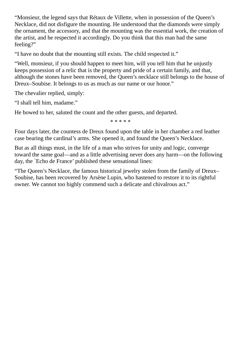"Monsieur, the legend says that Rétaux de Villette, when in possession of the Queen's Necklace, did not disfigure the mounting. He understood that the diamonds were simply the ornament, the accessory, and that the mounting was the essential work, the creation of the artist, and he respected it accordingly. Do you think that this man had the same feeling?"

"I have no doubt that the mounting still exists. The child respected it."

"Well, monsieur, if you should happen to meet him, will you tell him that he unjustly keeps possession of a relic that is the property and pride of a certain family, and that, although the stones have been removed, the Queen's necklace still belongs to the house of Dreux–Soubise. It belongs to us as much as our name or our honor."

The chevalier replied, simply:

"I shall tell him, madame."

He bowed to her, saluted the count and the other guests, and departed.

\* \* \* \* \*

Four days later, the countess de Dreux found upon the table in her chamber a red leather case bearing the cardinal's arms. She opened it, and found the Queen's Necklace.

But as all things must, in the life of a man who strives for unity and logic, converge toward the same goal—and as a little advertising never does any harm—on the following day, the `Echo de France' published these sensational lines:

"The Queen's Necklace, the famous historical jewelry stolen from the family of Dreux– Soubise, has been recovered by Arsène Lupin, who hastened to restore it to its rightful owner. We cannot too highly commend such a delicate and chivalrous act."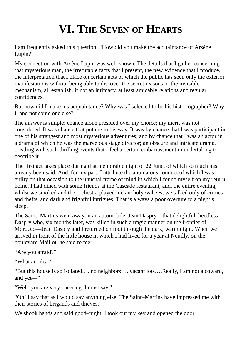## **VI. THE SEVEN OF HEARTS**

I am frequently asked this question: "How did you make the acquaintance of Arsène Lupin?"

My connection with Arsène Lupin was well known. The details that I gather concerning that mysterious man, the irrefutable facts that I present, the new evidence that I produce, the interpretation that I place on certain acts of which the public has seen only the exterior manifestations without being able to discover the secret reasons or the invisible mechanism, all establish, if not an intimacy, at least amicable relations and regular confidences.

But how did I make his acquaintance? Why was I selected to be his historiographer? Why I, and not some one else?

The answer is simple: chance alone presided over my choice; my merit was not considered. It was chance that put me in his way. It was by chance that I was participant in one of his strangest and most mysterious adventures; and by chance that I was an actor in a drama of which he was the marvelous stage director; an obscure and intricate drama, bristling with such thrilling events that I feel a certain embarrassment in undertaking to describe it.

The first act takes place during that memorable night of 22 June, of which so much has already been said. And, for my part, I attribute the anomalous conduct of which I was guilty on that occasion to the unusual frame of mind in which I found myself on my return home. I had dined with some friends at the Cascade restaurant, and, the entire evening, whilst we smoked and the orchestra played melancholy waltzes, we talked only of crimes and thefts, and dark and frightful intrigues. That is always a poor overture to a night's sleep.

The Saint–Martins went away in an automobile. Jean Daspry—that delightful, heedless Daspry who, six months later, was killed in such a tragic manner on the frontier of Morocco—Jean Daspry and I returned on foot through the dark, warm night. When we arrived in front of the little house in which I had lived for a year at Neuilly, on the boulevard Maillot, he said to me:

"Are you afraid?"

"What an idea!"

"But this house is so isolated…. no neighbors…. vacant lots….Really, I am not a coward, and yet―"

"Well, you are very cheering, I must say."

"Oh! I say that as I would say anything else. The Saint–Martins have impressed me with their stories of brigands and thieves."

We shook hands and said good–night. I took out my key and opened the door.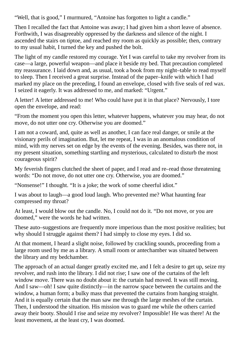"Well, that is good," I murmured, "Antoine has forgotten to light a candle."

Then I recalled the fact that Antoine was away; I had given him a short leave of absence. Forthwith, I was disagreeably oppressed by the darkness and silence of the night. I ascended the stairs on tiptoe, and reached my room as quickly as possible; then, contrary to my usual habit, I turned the key and pushed the bolt.

The light of my candle restored my courage. Yet I was careful to take my revolver from its case—a large, powerful weapon—and place it beside my bed. That precaution completed my reassurance. I laid down and, as usual, took a book from my night–table to read myself to sleep. Then I received a great surprise. Instead of the paper–knife with which I had marked my place on the preceding, I found an envelope, closed with five seals of red wax. I seized it eagerly. It was addressed to me, and marked: "Urgent."

A letter! A letter addressed to me! Who could have put it in that place? Nervously, I tore open the envelope, and read:

"From the moment you open this letter, whatever happens, whatever you may hear, do not move, do not utter one cry. Otherwise you are doomed."

I am not a coward, and, quite as well as another, I can face real danger, or smile at the visionary perils of imagination. But, let me repeat, I was in an anomalous condition of mind, with my nerves set on edge by the events of the evening. Besides, was there not, in my present situation, something startling and mysterious, calculated to disturb the most courageous spirit?

My feverish fingers clutched the sheet of paper, and I read and re–read those threatening words: "Do not move, do not utter one cry. Otherwise, you are doomed."

"Nonsense!" I thought. "It is a joke; the work of some cheerful idiot."

I was about to laugh—a good loud laugh. Who prevented me? What haunting fear compressed my throat?

At least, I would blow out the candle. No, I could not do it. "Do not move, or you are doomed," were the words he had written.

These auto–suggestions are frequently more imperious than the most positive realities; but why should I struggle against them? I had simply to close my eyes. I did so.

At that moment, I heard a slight noise, followed by crackling sounds, proceeding from a large room used by me as a library. A small room or antechamber was situated between the library and my bedchamber.

The approach of an actual danger greatly excited me, and I felt a desire to get up, seize my revolver, and rush into the library. I did not rise; I saw one of the curtains of the left window move. There was no doubt about it: the curtain had moved. It was still moving. And I saw—oh! I saw quite distinctly—in the narrow space between the curtains and the window, a human form; a bulky mass that prevented the curtains from hanging straight. And it is equally certain that the man saw me through the large meshes of the curtain. Then, I understood the situation. His mission was to guard me while the others carried away their booty. Should I rise and seize my revolver? Impossible! He was there! At the least movement, at the least cry, I was doomed.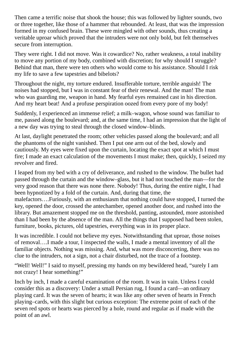Then came a terrific noise that shook the house; this was followed by lighter sounds, two or three together, like those of a hammer that rebounded. At least, that was the impression formed in my confused brain. These were mingled with other sounds, thus creating a veritable uproar which proved that the intruders were not only bold, but felt themselves secure from interruption.

They were right. I did not move. Was it cowardice? No, rather weakness, a total inability to move any portion of my body, combined with discretion; for why should I struggle? Behind that man, there were ten others who would come to his assistance. Should I risk my life to save a few tapestries and bibelots?

Throughout the night, my torture endured. Insufferable torture, terrible anguish! The noises had stopped, but I was in constant fear of their renewal. And the man! The man who was guarding me, weapon in hand. My fearful eyes remained cast in his direction. And my heart beat! And a profuse perspiration oozed from every pore of my body!

Suddenly, I experienced an immense relief; a milk–wagon, whose sound was familiar to me, passed along the boulevard; and, at the same time, I had an impression that the light of a new day was trying to steal through the closed window–blinds.

At last, daylight penetrated the room; other vehicles passed along the boulevard; and all the phantoms of the night vanished. Then I put one arm out of the bed, slowly and cautiously. My eyes were fixed upon the curtain, locating the exact spot at which I must fire; I made an exact calculation of the movements I must make; then, quickly, I seized my revolver and fired.

I leaped from my bed with a cry of deliverance, and rushed to the window. The bullet had passed through the curtain and the window–glass, but it had not touched the man—for the very good reason that there was none there. Nobody! Thus, during the entire night, I had been hypnotized by a fold of the curtain. And, during that time, the malefactors….Furiously, with an enthusiasm that nothing could have stopped, I turned the key, opened the door, crossed the antechamber, opened another door, and rushed into the library. But amazement stopped me on the threshold, panting, astounded, more astonished than I had been by the absence of the man. All the things that I supposed had been stolen, furniture, books, pictures, old tapestries, everything was in its proper place.

It was incredible. I could not believe my eyes. Notwithstanding that uproar, those noises of removal….I made a tour, I inspected the walls, I made a mental inventory of all the familiar objects. Nothing was missing. And, what was more disconcerting, there was no clue to the intruders, not a sign, not a chair disturbed, not the trace of a footstep.

"Well! Well!" I said to myself, pressing my hands on my bewildered head, "surely I am not crazy! I hear something!"

Inch by inch, I made a careful examination of the room. It was in vain. Unless I could consider this as a discovery: Under a small Persian rug, I found a card—an ordinary playing card. It was the seven of hearts; it was like any other seven of hearts in French playing–cards, with this slight but curious exception: The extreme point of each of the seven red spots or hearts was pierced by a hole, round and regular as if made with the point of an awl.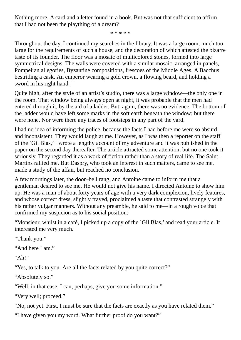Nothing more. A card and a letter found in a book. But was not that sufficient to affirm that I had not been the plaything of a dream?

\* \* \* \* \*

Throughout the day, I continued my searches in the library. It was a large room, much too large for the requirements of such a house, and the decoration of which attested the bizarre taste of its founder. The floor was a mosaic of multicolored stones, formed into large symmetrical designs. The walls were covered with a similar mosaic, arranged in panels, Pompeiian allegories, Byzantine compositions, frescoes of the Middle Ages. A Bacchus bestriding a cask. An emperor wearing a gold crown, a flowing beard, and holding a sword in his right hand.

Quite high, after the style of an artist's studio, there was a large window—the only one in the room. That window being always open at night, it was probable that the men had entered through it, by the aid of a ladder. But, again, there was no evidence. The bottom of the ladder would have left some marks in the soft earth beneath the window; but there were none. Nor were there any traces of footsteps in any part of the yard.

I had no idea of informing the police, because the facts I had before me were so absurd and inconsistent. They would laugh at me. However, as I was then a reporter on the staff of the `Gil Blas,' I wrote a lengthy account of my adventure and it was published in the paper on the second day thereafter. The article attracted some attention, but no one took it seriously. They regarded it as a work of fiction rather than a story of real life. The Saint– Martins rallied me. But Daspry, who took an interest in such matters, came to see me, made a study of the affair, but reached no conclusion.

A few mornings later, the door–bell rang, and Antoine came to inform me that a gentleman desired to see me. He would not give his name. I directed Antoine to show him up. He was a man of about forty years of age with a very dark complexion, lively features, and whose correct dress, slightly frayed, proclaimed a taste that contrasted strangely with his rather vulgar manners. Without any preamble, he said to me—in a rough voice that confirmed my suspicion as to his social position:

"Monsieur, whilst in a café, I picked up a copy of the `Gil Blas,' and read your article. It interested me very much.

"Thank you."

"And here I am."

 $"Ah!"$ 

"Yes, to talk to you. Are all the facts related by you quite correct?"

"Absolutely so."

"Well, in that case, I can, perhaps, give you some information."

"Very well; proceed."

"No, not yet. First, I must be sure that the facts are exactly as you have related them."

"I have given you my word. What further proof do you want?"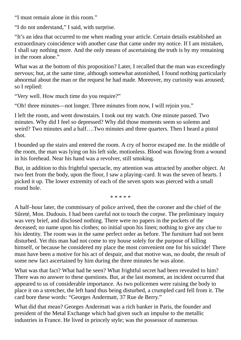"I must remain alone in this room."

"I do not understand," I said, with surprise.

"It's an idea that occurred to me when reading your article. Certain details established an extraordinary coincidence with another case that came under my notice. If I am mistaken, I shall say nothing more. And the only means of ascertaining the truth is by my remaining in the room alone."

What was at the bottom of this proposition? Later, I recalled that the man was exceedingly nervous; but, at the same time, although somewhat astonished, I found nothing particularly abnormal about the man or the request he had made. Moreover, my curiosity was aroused; so I replied:

"Very well. How much time do you require?"

"Oh! three minutes—not longer. Three minutes from now, I will rejoin you."

I left the room, and went downstairs. I took out my watch. One minute passed. Two minutes. Why did I feel so depressed? Why did those moments seem so solemn and weird? Two minutes and a half….Two minutes and three quarters. Then I heard a pistol shot.

I bounded up the stairs and entered the room. A cry of horror escaped me. In the middle of the room, the man was lying on his left side, motionless. Blood was flowing from a wound in his forehead. Near his hand was a revolver, still smoking.

But, in addition to this frightful spectacle, my attention was attracted by another object. At two feet from the body, upon the floor, I saw a playing–card. It was the seven of hearts. I picked it up. The lower extremity of each of the seven spots was pierced with a small round hole.

\* \* \* \* \*

A half–hour later, the commissary of police arrived, then the coroner and the chief of the Sûreté, Mon. Dudouis. I had been careful not to touch the corpse. The preliminary inquiry was very brief, and disclosed nothing. There were no papers in the pockets of the deceased; no name upon his clothes; no initial upon his linen; nothing to give any clue to his identity. The room was in the same perfect order as before. The furniture had not been disturbed. Yet this man had not come to my house solely for the purpose of killing himself, or because he considered my place the most convenient one for his suicide! There must have been a motive for his act of despair, and that motive was, no doubt, the result of some new fact ascertained by him during the three minutes he was alone.

What was that fact? What had he seen? What frightful secret had been revealed to him? There was no answer to these questions. But, at the last moment, an incident occurred that appeared to us of considerable importance. As two policemen were raising the body to place it on a stretcher, the left hand thus being disturbed, a crumpled card fell from it. The card bore these words: "Georges Andermatt, 37 Rue de Berry."

What did that mean? Georges Andermatt was a rich banker in Paris, the founder and president of the Metal Exchange which had given such an impulse to the metallic industries in France. He lived in princely style; was the possessor of numerous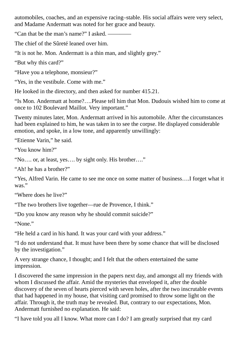automobiles, coaches, and an expensive racing–stable. His social affairs were very select, and Madame Andermatt was noted for her grace and beauty.

"Can that be the man's name?" I asked. ――――

The chief of the Sûreté leaned over him.

"It is not he. Mon. Andermatt is a thin man, and slightly grey."

"But why this card?"

"Have you a telephone, monsieur?"

"Yes, in the vestibule. Come with me."

He looked in the directory, and then asked for number 415.21.

"Is Mon. Andermatt at home?….Please tell him that Mon. Dudouis wished him to come at once to 102 Boulevard Maillot. Very important."

Twenty minutes later, Mon. Andermatt arrived in his automobile. After the circumstances had been explained to him, he was taken in to see the corpse. He displayed considerable emotion, and spoke, in a low tone, and apparently unwillingly:

"Etienne Varin," he said.

"You know him?"

"No…. or, at least, yes…. by sight only. His brother…."

"Ah! he has a brother?"

"Yes, Alfred Varin. He came to see me once on some matter of business….I forget what it was."

"Where does he live?"

"The two brothers live together—rue de Provence, I think."

"Do you know any reason why he should commit suicide?"

"None."

"He held a card in his hand. It was your card with your address."

"I do not understand that. It must have been there by some chance that will be disclosed by the investigation."

A very strange chance, I thought; and I felt that the others entertained the same impression.

I discovered the same impression in the papers next day, and amongst all my friends with whom I discussed the affair. Amid the mysteries that enveloped it, after the double discovery of the seven of hearts pierced with seven holes, after the two inscrutable events that had happened in my house, that visiting card promised to throw some light on the affair. Through it, the truth may be revealed. But, contrary to our expectations, Mon. Andermatt furnished no explanation. He said:

"I have told you all I know. What more can I do? I am greatly surprised that my card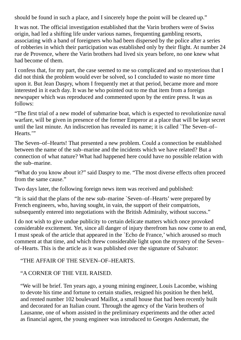should be found in such a place, and I sincerely hope the point will be cleared up."

It was not. The official investigation established that the Varin brothers were of Swiss origin, had led a shifting life under various names, frequenting gambling resorts, associating with a band of foreigners who had been dispersed by the police after a series of robberies in which their participation was established only by their flight. At number 24 rue de Provence, where the Varin brothers had lived six years before, no one knew what had become of them.

I confess that, for my part, the case seemed to me so complicated and so mysterious that I did not think the problem would ever be solved, so I concluded to waste no more time upon it. But Jean Daspry, whom I frequently met at that period, became more and more interested in it each day. It was he who pointed out to me that item from a foreign newspaper which was reproduced and commented upon by the entire press. It was as follows:

"The first trial of a new model of submarine boat, which is expected to revolutionize naval warfare, will be given in presence of the former Emperor at a place that will be kept secret until the last minute. An indiscretion has revealed its name; it is called `The Seven–of– Hearts.'"

The Seven–of–Hearts! That presented a new problem. Could a connection be established between the name of the sub–marine and the incidents which we have related? But a connection of what nature? What had happened here could have no possible relation with the sub–marine.

"What do you know about it?" said Daspry to me. "The most diverse effects often proceed from the same cause."

Two days later, the following foreign news item was received and published:

"It is said that the plans of the new sub–marine `Seven–of–Hearts' were prepared by French engineers, who, having sought, in vain, the support of their compatriots, subsequently entered into negotiations with the British Admiralty, without success."

I do not wish to give undue publicity to certain delicate matters which once provoked considerable excitement. Yet, since all danger of injury therefrom has now come to an end, I must speak of the article that appeared in the `Echo de France,' which aroused so much comment at that time, and which threw considerable light upon the mystery of the Seven– of–Hearts. This is the article as it was published over the signature of Salvator:

#### "THE AFFAIR OF THE SEVEN–OF–HEARTS.

### "A CORNER OF THE VEIL RAISED.

"We will be brief. Ten years ago, a young mining engineer, Louis Lacombe, wishing to devote his time and fortune to certain studies, resigned his position he then held, and rented number 102 boulevard Maillot, a small house that had been recently built and decorated for an Italian count. Through the agency of the Varin brothers of Lausanne, one of whom assisted in the preliminary experiments and the other acted as financial agent, the young engineer was introduced to Georges Andermatt, the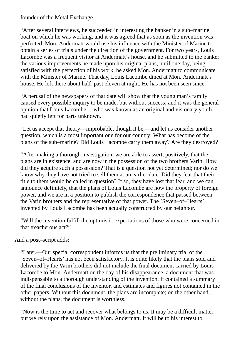founder of the Metal Exchange.

"After several interviews, he succeeded in interesting the banker in a sub–marine boat on which he was working, and it was agreed that as soon as the invention was perfected, Mon. Andermatt would use his influence with the Minister of Marine to obtain a series of trials under the direction of the government. For two years, Louis Lacombe was a frequent visitor at Andermatt's house, and he submitted to the banker the various improvements he made upon his original plans, until one day, being satisfied with the perfection of his work, he asked Mon. Andermatt to communicate with the Minister of Marine. That day, Louis Lacombe dined at Mon. Andermatt's house. He left there about half–past eleven at night. He has not been seen since.

"A perusal of the newspapers of that date will show that the young man's family caused every possible inquiry to be made, but without success; and it was the general opinion that Louis Lacombe— who was known as an original and visionary youth had quietly left for parts unknown.

"Let us accept that theory—improbable, though it be,—and let us consider another question, which is a most important one for our country: What has become of the plans of the sub–marine? Did Louis Lacombe carry them away? Are they destroyed?

"After making a thorough investigation, we are able to assert, positively, that the plans are in existence, and are now in the possession of the two brothers Varin. How did they acquire such a possession? That is a question not yet determined; nor do we know why they have not tried to sell them at an earlier date. Did they fear that their title to them would be called in question? If so, they have lost that fear, and we can announce definitely, that the plans of Louis Lacombe are now the property of foreign power, and we are in a position to publish the correspondence that passed between the Varin brothers and the representative of that power. The `Seven–of–Hearts' invented by Louis Lacombe has been actually constructed by our neighbor.

"Will the invention fulfill the optimistic expectations of those who were concerned in that treacherous act?"

### And a post–script adds:

"Later.—Our special correspondent informs us that the preliminary trial of the `Seven–of–Hearts' has not been satisfactory. It is quite likely that the plans sold and delivered by the Varin brothers did not include the final document carried by Louis Lacombe to Mon. Andermatt on the day of his disappearance, a document that was indispensable to a thorough understanding of the invention. It contained a summary of the final conclusions of the inventor, and estimates and figures not contained in the other papers. Without this document, the plans are incomplete; on the other hand, without the plans, the document is worthless.

"Now is the time to act and recover what belongs to us. It may be a difficult matter, but we rely upon the assistance of Mon. Andermatt. It will be to his interest to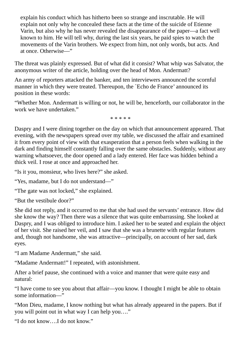explain his conduct which has hitherto been so strange and inscrutable. He will explain not only why he concealed these facts at the time of the suicide of Etienne Varin, but also why he has never revealed the disappearance of the paper—a fact well known to him. He will tell why, during the last six years, he paid spies to watch the movements of the Varin brothers. We expect from him, not only words, but acts. And at once. Otherwise―"

The threat was plainly expressed. But of what did it consist? What whip was Salvator, the anonymous writer of the article, holding over the head of Mon. Andermatt?

An army of reporters attacked the banker, and ten interviewers announced the scornful manner in which they were treated. Thereupon, the `Echo de France' announced its position in these words:

"Whether Mon. Andermatt is willing or not, he will be, henceforth, our collaborator in the work we have undertaken."

\* \* \* \* \*

Daspry and I were dining together on the day on which that announcement appeared. That evening, with the newspapers spread over my table, we discussed the affair and examined it from every point of view with that exasperation that a person feels when walking in the dark and finding himself constantly falling over the same obstacles. Suddenly, without any warning whatsoever, the door opened and a lady entered. Her face was hidden behind a thick veil. I rose at once and approached her.

"Is it you, monsieur, who lives here?" she asked.

"Yes, madame, but I do not understand―"

"The gate was not locked," she explained.

"But the vestibule door?"

She did not reply, and it occurred to me that she had used the servants' entrance. How did she know the way? Then there was a silence that was quite embarrassing. She looked at Daspry, and I was obliged to introduce him. I asked her to be seated and explain the object of her visit. She raised her veil, and I saw that she was a brunette with regular features and, though not handsome, she was attractive—principally, on account of her sad, dark eyes.

"I am Madame Andermatt," she said.

"Madame Andermatt!" I repeated, with astonishment.

After a brief pause, she continued with a voice and manner that were quite easy and natural:

"I have come to see you about that affair—you know. I thought I might be able to obtain some information―"

"Mon Dieu, madame, I know nothing but what has already appeared in the papers. But if you will point out in what way I can help you…."

"I do not know….I do not know."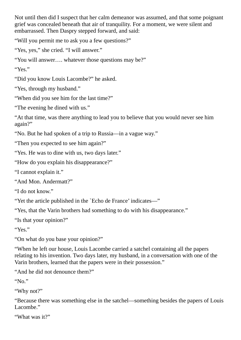Not until then did I suspect that her calm demeanor was assumed, and that some poignant grief was concealed beneath that air of tranquility. For a moment, we were silent and embarrassed. Then Daspry stepped forward, and said:

"Will you permit me to ask you a few questions?"

"Yes, yes," she cried. "I will answer."

"You will answer…. whatever those questions may be?"

"Yes."

"Did you know Louis Lacombe?" he asked.

"Yes, through my husband."

"When did you see him for the last time?"

"The evening he dined with us."

"At that time, was there anything to lead you to believe that you would never see him again?"

"No. But he had spoken of a trip to Russia—in a vague way."

"Then you expected to see him again?"

"Yes. He was to dine with us, two days later."

"How do you explain his disappearance?"

"I cannot explain it."

"And Mon. Andermatt?"

"I do not know."

"Yet the article published in the `Echo de France' indicates―"

"Yes, that the Varin brothers had something to do with his disappearance."

"Is that your opinion?"

"Yes."

"On what do you base your opinion?"

"When he left our house, Louis Lacombe carried a satchel containing all the papers relating to his invention. Two days later, my husband, in a conversation with one of the Varin brothers, learned that the papers were in their possession."

"And he did not denounce them?"

"No."

"Why not?"

"Because there was something else in the satchel—something besides the papers of Louis Lacombe."

```
"What was it?"
```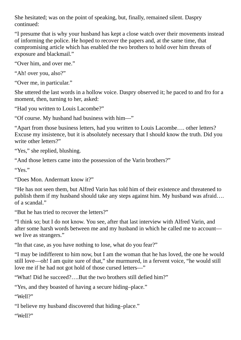She hesitated; was on the point of speaking, but, finally, remained silent. Daspry continued:

"I presume that is why your husband has kept a close watch over their movements instead of informing the police. He hoped to recover the papers and, at the same time, that compromising article which has enabled the two brothers to hold over him threats of exposure and blackmail."

"Over him, and over me."

"Ah! over you, also?"

"Over me, in particular."

She uttered the last words in a hollow voice. Daspry observed it; he paced to and fro for a moment, then, turning to her, asked:

"Had you written to Louis Lacombe?"

"Of course. My husband had business with him—"

"Apart from those business letters, had you written to Louis Lacombe…. other letters? Excuse my insistence, but it is absolutely necessary that I should know the truth. Did you write other letters?"

"Yes," she replied, blushing.

"And those letters came into the possession of the Varin brothers?"

"Yes."

"Does Mon. Andermatt know it?"

"He has not seen them, but Alfred Varin has told him of their existence and threatened to publish them if my husband should take any steps against him. My husband was afraid…. of a scandal."

"But he has tried to recover the letters?"

"I think so; but I do not know. You see, after that last interview with Alfred Varin, and after some harsh words between me and my husband in which he called me to account we live as strangers."

"In that case, as you have nothing to lose, what do you fear?"

"I may be indifferent to him now, but I am the woman that he has loved, the one he would still love—oh! I am quite sure of that," she murmured, in a fervent voice, "he would still love me if he had not got hold of those cursed letters―"

"What! Did he succeed?….But the two brothers still defied him?"

"Yes, and they boasted of having a secure hiding–place."

"Well?"

"I believe my husband discovered that hiding–place."

"Well?"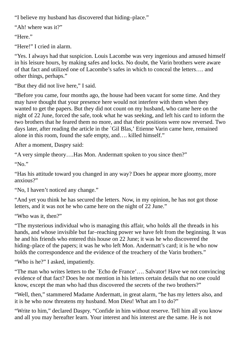"I believe my husband has discovered that hiding–place."

"Ah! where was it?"

"Here."

"Here!" I cried in alarm.

"Yes. I always had that suspicion. Louis Lacombe was very ingenious and amused himself in his leisure hours, by making safes and locks. No doubt, the Varin brothers were aware of that fact and utilized one of Lacombe's safes in which to conceal the letters…. and other things, perhaps."

"But they did not live here," I said.

"Before you came, four months ago, the house had been vacant for some time. And they may have thought that your presence here would not interfere with them when they wanted to get the papers. But they did not count on my husband, who came here on the night of 22 June, forced the safe, took what he was seeking, and left his card to inform the two brothers that he feared them no more, and that their positions were now reversed. Two days later, after reading the article in the `Gil Blas,' Etienne Varin came here, remained alone in this room, found the safe empty, and…. killed himself."

After a moment, Daspry said:

"A very simple theory….Has Mon. Andermatt spoken to you since then?"

"No."

"Has his attitude toward you changed in any way? Does he appear more gloomy, more anxious?"

"No, I haven't noticed any change."

"And yet you think he has secured the letters. Now, in my opinion, he has not got those letters, and it was not he who came here on the night of 22 June."

"Who was it, then?"

"The mysterious individual who is managing this affair, who holds all the threads in his hands, and whose invisible but far–reaching power we have felt from the beginning. It was he and his friends who entered this house on 22 June; it was he who discovered the hiding–place of the papers; it was he who left Mon. Andermatt's card; it is he who now holds the correspondence and the evidence of the treachery of the Varin brothers."

"Who is he?" I asked, impatiently.

"The man who writes letters to the `Echo de France'…. Salvator! Have we not convincing evidence of that fact? Does he not mention in his letters certain details that no one could know, except the man who had thus discovered the secrets of the two brothers?"

"Well, then," stammered Madame Andermatt, in great alarm, "he has my letters also, and it is he who now threatens my husband. Mon Dieu! What am I to do?"

"Write to him," declared Daspry. "Confide in him without reserve. Tell him all you know and all you may hereafter learn. Your interest and his interest are the same. He is not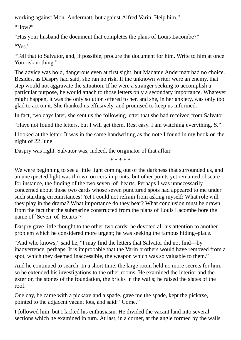working against Mon. Andermatt, but against Alfred Varin. Help him."

"How?"

"Has your husband the document that completes the plans of Louis Lacombe?"

"Yes."

"Tell that to Salvator, and, if possible, procure the document for him. Write to him at once. You risk nothing."

The advice was bold, dangerous even at first sight, but Madame Andermatt had no choice. Besides, as Daspry had said, she ran no risk. If the unknown writer were an enemy, that step would not aggravate the situation. If he were a stranger seeking to accomplish a particular purpose, he would attach to those letters only a secondary importance. Whatever might happen, it was the only solution offered to her, and she, in her anxiety, was only too glad to act on it. She thanked us effusively, and promised to keep us informed.

In fact, two days later, she sent us the following letter that she had received from Salvator:

"Have not found the letters, but I will get them. Rest easy. I am watching everything. S."

I looked at the letter. It was in the same handwriting as the note I found in my book on the night of 22 June.

Daspry was right. Salvator was, indeed, the originator of that affair.

\* \* \* \* \*

We were beginning to see a little light coming out of the darkness that surrounded us, and an unexpected light was thrown on certain points; but other points yet remained obscure for instance, the finding of the two seven–of–hearts. Perhaps I was unnecessarily concerned about those two cards whose seven punctured spots had appeared to me under such startling circumstances! Yet I could not refrain from asking myself: What role will they play in the drama? What importance do they bear? What conclusion must be drawn from the fact that the submarine constructed from the plans of Louis Lacombe bore the name of `Seven–of–Hearts'?

Daspry gave little thought to the other two cards; he devoted all his attention to another problem which he considered more urgent; he was seeking the famous hiding–place.

"And who knows," said he, "I may find the letters that Salvator did not find—by inadvertence, perhaps. It is improbable that the Varin brothers would have removed from a spot, which they deemed inaccessible, the weapon which was so valuable to them."

And he continued to search. In a short time, the large room held no more secrets for him, so he extended his investigations to the other rooms. He examined the interior and the exterior, the stones of the foundation, the bricks in the walls; he raised the slates of the roof.

One day, he came with a pickaxe and a spade, gave me the spade, kept the pickaxe, pointed to the adjacent vacant lots, and said: "Come."

I followed him, but I lacked his enthusiasm. He divided the vacant land into several sections which he examined in turn. At last, in a corner, at the angle formed by the walls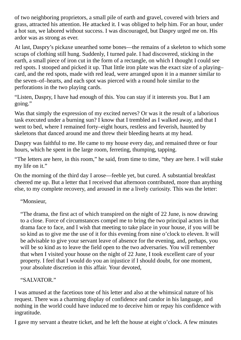of two neighboring proprietors, a small pile of earth and gravel, covered with briers and grass, attracted his attention. He attacked it. I was obliged to help him. For an hour, under a hot sun, we labored without success. I was discouraged, but Daspry urged me on. His ardor was as strong as ever.

At last, Daspry's pickaxe unearthed some bones—the remains of a skeleton to which some scraps of clothing still hung. Suddenly, I turned pale. I had discovered, sticking in the earth, a small piece of iron cut in the form of a rectangle, on which I thought I could see red spots. I stooped and picked it up. That little iron plate was the exact size of a playing– card, and the red spots, made with red lead, were arranged upon it in a manner similar to the seven–of–hearts, and each spot was pierced with a round hole similar to the perforations in the two playing cards.

"Listen, Daspry, I have had enough of this. You can stay if it interests you. But I am going."

Was that simply the expression of my excited nerves? Or was it the result of a laborious task executed under a burning sun? I know that I trembled as I walked away, and that I went to bed, where I remained forty–eight hours, restless and feverish, haunted by skeletons that danced around me and threw their bleeding hearts at my head.

Daspry was faithful to me. He came to my house every day, and remained three or four hours, which he spent in the large room, ferreting, thumping, tapping.

"The letters are here, in this room," he said, from time to time, "they are here. I will stake my life on it."

On the morning of the third day I arose—feeble yet, but cured. A substantial breakfast cheered me up. But a letter that I received that afternoon contributed, more than anything else, to my complete recovery, and aroused in me a lively curiosity. This was the letter:

"Monsieur,

"The drama, the first act of which transpired on the night of 22 June, is now drawing to a close. Force of circumstances compel me to bring the two principal actors in that drama face to face, and I wish that meeting to take place in your house, if you will be so kind as to give me the use of it for this evening from nine o'clock to eleven. It will be advisable to give your servant leave of absence for the evening, and, perhaps, you will be so kind as to leave the field open to the two adversaries. You will remember that when I visited your house on the night of 22 June, I took excellent care of your property. I feel that I would do you an injustice if I should doubt, for one moment, your absolute discretion in this affair. Your devoted,

"SALVATOR."

I was amused at the facetious tone of his letter and also at the whimsical nature of his request. There was a charming display of confidence and candor in his language, and nothing in the world could have induced me to deceive him or repay his confidence with ingratitude.

I gave my servant a theatre ticket, and he left the house at eight o'clock. A few minutes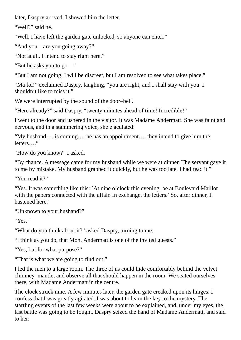later, Daspry arrived. I showed him the letter.

"Well?" said he.

"Well, I have left the garden gate unlocked, so anyone can enter."

"And you—are you going away?"

"Not at all. I intend to stay right here."

"But he asks you to go―"

"But I am not going. I will be discreet, but I am resolved to see what takes place."

"Ma foi!" exclaimed Daspry, laughing, "you are right, and I shall stay with you. I shouldn't like to miss it."

We were interrupted by the sound of the door–bell.

"Here already?" said Daspry, "twenty minutes ahead of time! Incredible!"

I went to the door and ushered in the visitor. It was Madame Andermatt. She was faint and nervous, and in a stammering voice, she ejaculated:

"My husband…. is coming…. he has an appointment…. they intend to give him the letters…."

"How do you know?" I asked.

"By chance. A message came for my husband while we were at dinner. The servant gave it to me by mistake. My husband grabbed it quickly, but he was too late. I had read it."

"You read it?"

"Yes. It was something like this: `At nine o'clock this evening, be at Boulevard Maillot with the papers connected with the affair. In exchange, the letters.' So, after dinner, I hastened here."

"Unknown to your husband?"

"Yes."

"What do you think about it?" asked Daspry, turning to me.

"I think as you do, that Mon. Andermatt is one of the invited guests."

"Yes, but for what purpose?"

"That is what we are going to find out."

I led the men to a large room. The three of us could hide comfortably behind the velvet chimney–mantle, and observe all that should happen in the room. We seated ourselves there, with Madame Andermatt in the centre.

The clock struck nine. A few minutes later, the garden gate creaked upon its hinges. I confess that I was greatly agitated. I was about to learn the key to the mystery. The startling events of the last few weeks were about to be explained, and, under my eyes, the last battle was going to be fought. Daspry seized the hand of Madame Andermatt, and said to her: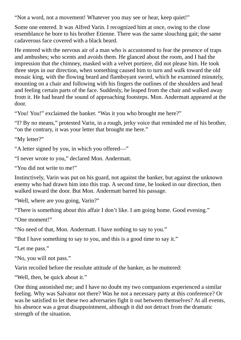"Not a word, not a movement! Whatever you may see or hear, keep quiet!"

Some one entered. It was Alfred Varin. I recognized him at once, owing to the close resemblance he bore to his brother Etienne. There was the same slouching gait; the same cadaverous face covered with a black beard.

He entered with the nervous air of a man who is accustomed to fear the presence of traps and ambushes; who scents and avoids them. He glanced about the room, and I had the impression that the chimney, masked with a velvet portiere, did not please him. He took three steps in our direction, when something caused him to turn and walk toward the old mosaic king, with the flowing beard and flamboyant sword, which he examined minutely, mounting on a chair and following with his fingers the outlines of the shoulders and head and feeling certain parts of the face. Suddenly, he leaped from the chair and walked away from it. He had heard the sound of approaching footsteps. Mon. Andermatt appeared at the door.

"You! You!" exclaimed the banker. "Was it you who brought me here?"

"I? By no means," protested Varin, in a rough, jerky voice that reminded me of his brother, "on the contrary, it was your letter that brought me here."

"My letter?"

"A letter signed by you, in which you offered―"

"I never wrote to you," declared Mon. Andermatt.

"You did not write to me!"

Instinctively, Varin was put on his guard, not against the banker, but against the unknown enemy who had drawn him into this trap. A second time, he looked in our direction, then walked toward the door. But Mon. Andermatt barred his passage.

"Well, where are you going, Varin?"

"There is something about this affair I don't like. I am going home. Good evening."

"One moment!"

"No need of that, Mon. Andermatt. I have nothing to say to you."

"But I have something to say to you, and this is a good time to say it."

"Let me pass."

"No, you will not pass."

Varin recoiled before the resolute attitude of the banker, as he muttered:

"Well, then, be quick about it."

One thing astonished me; and I have no doubt my two companions experienced a similar feeling. Why was Salvator not there? Was he not a necessary party at this conference? Or was he satisfied to let these two adversaries fight it out between themselves? At all events, his absence was a great disappointment, although it did not detract from the dramatic strength of the situation.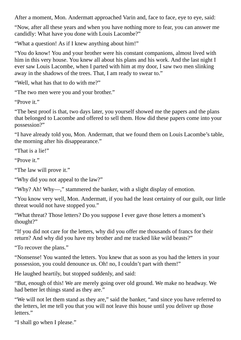After a moment, Mon. Andermatt approached Varin and, face to face, eye to eye, said:

"Now, after all these years and when you have nothing more to fear, you can answer me candidly: What have you done with Louis Lacombe?"

"What a question! As if I knew anything about him!"

"You do know! You and your brother were his constant companions, almost lived with him in this very house. You knew all about his plans and his work. And the last night I ever saw Louis Lacombe, when I parted with him at my door, I saw two men slinking away in the shadows of the trees. That, I am ready to swear to."

"Well, what has that to do with me?"

"The two men were you and your brother."

"Prove it."

"The best proof is that, two days later, you yourself showed me the papers and the plans that belonged to Lacombe and offered to sell them. How did these papers come into your possession?"

"I have already told you, Mon. Andermatt, that we found them on Louis Lacombe's table, the morning after his disappearance."

"That is a lie!"

"Prove it."

"The law will prove it."

"Why did you not appeal to the law?"

"Why? Ah! Why―," stammered the banker, with a slight display of emotion.

"You know very well, Mon. Andermatt, if you had the least certainty of our guilt, our little threat would not have stopped you."

"What threat? Those letters? Do you suppose I ever gave those letters a moment's thought?"

"If you did not care for the letters, why did you offer me thousands of francs for their return? And why did you have my brother and me tracked like wild beasts?"

"To recover the plans."

"Nonsense! You wanted the letters. You knew that as soon as you had the letters in your possession, you could denounce us. Oh! no, I couldn't part with them!"

He laughed heartily, but stopped suddenly, and said:

"But, enough of this! We are merely going over old ground. We make no headway. We had better let things stand as they are."

"We will not let them stand as they are," said the banker, "and since you have referred to the letters, let me tell you that you will not leave this house until you deliver up those letters."

"I shall go when I please."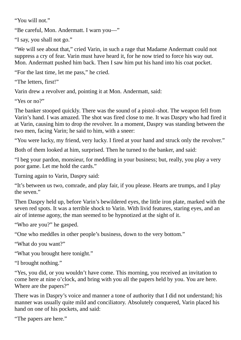"You will not."

"Be careful, Mon. Andermatt. I warn you―"

"I say, you shall not go."

"We will see about that," cried Varin, in such a rage that Madame Andermatt could not suppress a cry of fear. Varin must have heard it, for he now tried to force his way out. Mon. Andermatt pushed him back. Then I saw him put his hand into his coat pocket.

"For the last time, let me pass," he cried.

```
"The letters, first!"
```
Varin drew a revolver and, pointing it at Mon. Andermatt, said:

"Yes or no?"

The banker stooped quickly. There was the sound of a pistol–shot. The weapon fell from Varin's hand. I was amazed. The shot was fired close to me. It was Daspry who had fired it at Varin, causing him to drop the revolver. In a moment, Daspry was standing between the two men, facing Varin; he said to him, with a sneer:

"You were lucky, my friend, very lucky. I fired at your hand and struck only the revolver."

Both of them looked at him, surprised. Then he turned to the banker, and said:

"I beg your pardon, monsieur, for meddling in your business; but, really, you play a very poor game. Let me hold the cards."

Turning again to Varin, Daspry said:

"It's between us two, comrade, and play fair, if you please. Hearts are trumps, and I play the seven."

Then Daspry held up, before Varin's bewildered eyes, the little iron plate, marked with the seven red spots. It was a terrible shock to Varin. With livid features, staring eyes, and an air of intense agony, the man seemed to be hypnotized at the sight of it.

"Who are you?" he gasped.

"One who meddles in other people's business, down to the very bottom."

"What do you want?"

"What you brought here tonight."

"I brought nothing."

"Yes, you did, or you wouldn't have come. This morning, you received an invitation to come here at nine o'clock, and bring with you all the papers held by you. You are here. Where are the papers?"

There was in Daspry's voice and manner a tone of authority that I did not understand; his manner was usually quite mild and conciliatory. Absolutely conquered, Varin placed his hand on one of his pockets, and said:

"The papers are here."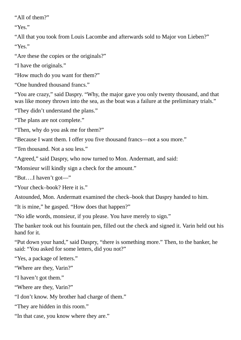"All of them?"

"Yes."

"All that you took from Louis Lacombe and afterwards sold to Major von Lieben?" "Yes."

"Are these the copies or the originals?"

"I have the originals."

"How much do you want for them?"

"One hundred thousand francs."

"You are crazy," said Daspry. "Why, the major gave you only twenty thousand, and that was like money thrown into the sea, as the boat was a failure at the preliminary trials."

"They didn't understand the plans."

"The plans are not complete."

"Then, why do you ask me for them?"

"Because I want them. I offer you five thousand francs—not a sou more."

"Ten thousand. Not a sou less."

"Agreed," said Daspry, who now turned to Mon. Andermatt, and said:

"Monsieur will kindly sign a check for the amount."

"But….I haven't got―"

"Your check–book? Here it is."

Astounded, Mon. Andermatt examined the check–book that Daspry handed to him.

"It is mine," he gasped. "How does that happen?"

"No idle words, monsieur, if you please. You have merely to sign."

The banker took out his fountain pen, filled out the check and signed it. Varin held out his hand for it.

"Put down your hand," said Daspry, "there is something more." Then, to the banker, he said: "You asked for some letters, did you not?"

"Yes, a package of letters."

"Where are they, Varin?"

"I haven't got them."

"Where are they, Varin?"

"I don't know. My brother had charge of them."

"They are hidden in this room."

"In that case, you know where they are."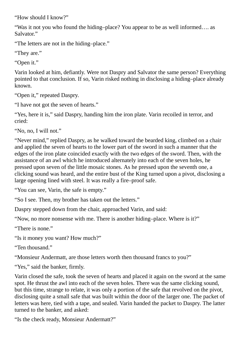"How should I know?"

"Was it not you who found the hiding–place? You appear to be as well informed…. as Salvator."

"The letters are not in the hiding–place."

"They are."

"Open it."

Varin looked at him, defiantly. Were not Daspry and Salvator the same person? Everything pointed to that conclusion. If so, Varin risked nothing in disclosing a hiding–place already known.

"Open it," repeated Daspry.

"I have not got the seven of hearts."

"Yes, here it is," said Daspry, handing him the iron plate. Varin recoiled in terror, and cried:

"No, no, I will not."

"Never mind," replied Daspry, as he walked toward the bearded king, climbed on a chair and applied the seven of hearts to the lower part of the sword in such a manner that the edges of the iron plate coincided exactly with the two edges of the sword. Then, with the assistance of an awl which he introduced alternately into each of the seven holes, he pressed upon seven of the little mosaic stones. As he pressed upon the seventh one, a clicking sound was heard, and the entire bust of the King turned upon a pivot, disclosing a large opening lined with steel. It was really a fire–proof safe.

"You can see, Varin, the safe is empty."

"So I see. Then, my brother has taken out the letters."

Daspry stepped down from the chair, approached Varin, and said:

"Now, no more nonsense with me. There is another hiding–place. Where is it?"

"There is none."

"Is it money you want? How much?"

"Ten thousand."

"Monsieur Andermatt, are those letters worth then thousand francs to you?"

"Yes," said the banker, firmly.

Varin closed the safe, took the seven of hearts and placed it again on the sword at the same spot. He thrust the awl into each of the seven holes. There was the same clicking sound, but this time, strange to relate, it was only a portion of the safe that revolved on the pivot, disclosing quite a small safe that was built within the door of the larger one. The packet of letters was here, tied with a tape, and sealed. Varin handed the packet to Daspry. The latter turned to the banker, and asked:

"Is the check ready, Monsieur Andermatt?"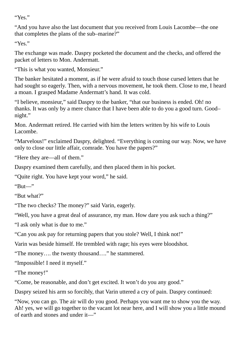"Yes."

"And you have also the last document that you received from Louis Lacombe—the one that completes the plans of the sub–marine?"

"Yes."

The exchange was made. Daspry pocketed the document and the checks, and offered the packet of letters to Mon. Andermatt.

"This is what you wanted, Monsieur."

The banker hesitated a moment, as if he were afraid to touch those cursed letters that he had sought so eagerly. Then, with a nervous movement, he took them. Close to me, I heard a moan. I grasped Madame Andermatt's hand. It was cold.

"I believe, monsieur," said Daspry to the banker, "that our business is ended. Oh! no thanks. It was only by a mere chance that I have been able to do you a good turn. Good– night."

Mon. Andermatt retired. He carried with him the letters written by his wife to Louis Lacombe.

"Marvelous!" exclaimed Daspry, delighted. "Everything is coming our way. Now, we have only to close our little affair, comrade. You have the papers?"

"Here they are—all of them."

Daspry examined them carefully, and then placed them in his pocket.

"Quite right. You have kept your word," he said.

"But―"

"But what?"

"The two checks? The money?" said Varin, eagerly.

"Well, you have a great deal of assurance, my man. How dare you ask such a thing?"

"I ask only what is due to me."

"Can you ask pay for returning papers that you stole? Well, I think not!"

Varin was beside himself. He trembled with rage; his eyes were bloodshot.

"The money…. the twenty thousand…." he stammered.

"Impossible! I need it myself."

"The money!"

"Come, be reasonable, and don't get excited. It won't do you any good."

Daspry seized his arm so forcibly, that Varin uttered a cry of pain. Daspry continued:

"Now, you can go. The air will do you good. Perhaps you want me to show you the way. Ah! yes, we will go together to the vacant lot near here, and I will show you a little mound of earth and stones and under it―"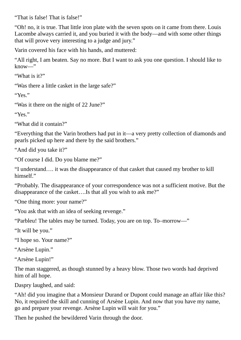"That is false! That is false!"

"Oh! no, it is true. That little iron plate with the seven spots on it came from there. Louis Lacombe always carried it, and you buried it with the body—and with some other things that will prove very interesting to a judge and jury."

Varin covered his face with his hands, and muttered:

"All right, I am beaten. Say no more. But I want to ask you one question. I should like to know―"

"What is it?"

"Was there a little casket in the large safe?"

"Yes."

"Was it there on the night of 22 June?"

"Yes."

"What did it contain?"

"Everything that the Varin brothers had put in it—a very pretty collection of diamonds and pearls picked up here and there by the said brothers."

"And did you take it?"

"Of course I did. Do you blame me?"

"I understand…. it was the disappearance of that casket that caused my brother to kill himself"

"Probably. The disappearance of your correspondence was not a sufficient motive. But the disappearance of the casket….Is that all you wish to ask me?"

"One thing more: your name?"

"You ask that with an idea of seeking revenge."

"Parbleu! The tables may be turned. Today, you are on top. To–morrow―"

"It will be you."

"I hope so. Your name?"

"Arsène Lupin."

"Arsène Lupin!"

The man staggered, as though stunned by a heavy blow. Those two words had deprived him of all hope.

Daspry laughed, and said:

"Ah! did you imagine that a Monsieur Durand or Dupont could manage an affair like this? No, it required the skill and cunning of Arsène Lupin. And now that you have my name, go and prepare your revenge. Arsène Lupin will wait for you."

Then he pushed the bewildered Varin through the door.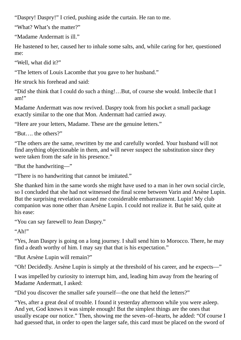"Daspry! Daspry!" I cried, pushing aside the curtain. He ran to me.

"What? What's the matter?"

"Madame Andermatt is ill."

He hastened to her, caused her to inhale some salts, and, while caring for her, questioned me:

"Well, what did it?"

"The letters of Louis Lacombe that you gave to her husband."

He struck his forehead and said:

"Did she think that I could do such a thing!…But, of course she would. Imbecile that I am!"

Madame Andermatt was now revived. Daspry took from his pocket a small package exactly similar to the one that Mon. Andermatt had carried away.

"Here are your letters, Madame. These are the genuine letters."

"But…. the others?"

"The others are the same, rewritten by me and carefully worded. Your husband will not find anything objectionable in them, and will never suspect the substitution since they were taken from the safe in his presence."

"But the handwriting―"

"There is no handwriting that cannot be imitated."

She thanked him in the same words she might have used to a man in her own social circle, so I concluded that she had not witnessed the final scene between Varin and Arsène Lupin. But the surprising revelation caused me considerable embarrassment. Lupin! My club companion was none other than Arsène Lupin. I could not realize it. But he said, quite at his ease:

"You can say farewell to Jean Daspry."

 $"Ah"$ 

"Yes, Jean Daspry is going on a long journey. I shall send him to Morocco. There, he may find a death worthy of him. I may say that that is his expectation."

"But Arsène Lupin will remain?"

"Oh! Decidedly. Arsène Lupin is simply at the threshold of his career, and he expects―"

I was impelled by curiosity to interrupt him, and, leading him away from the hearing of Madame Andermatt, I asked:

"Did you discover the smaller safe yourself—the one that held the letters?"

"Yes, after a great deal of trouble. I found it yesterday afternoon while you were asleep. And yet, God knows it was simple enough! But the simplest things are the ones that usually escape our notice." Then, showing me the seven–of–hearts, he added: "Of course I had guessed that, in order to open the larger safe, this card must be placed on the sword of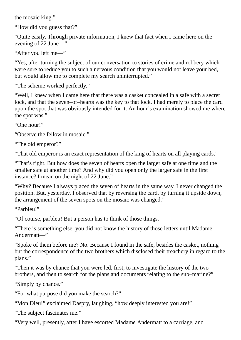the mosaic king."

"How did you guess that?"

"Quite easily. Through private information, I knew that fact when I came here on the evening of 22 June―"

"After you left me―"

"Yes, after turning the subject of our conversation to stories of crime and robbery which were sure to reduce you to such a nervous condition that you would not leave your bed, but would allow me to complete my search uninterrupted."

"The scheme worked perfectly."

"Well, I knew when I came here that there was a casket concealed in a safe with a secret lock, and that the seven–of–hearts was the key to that lock. I had merely to place the card upon the spot that was obviously intended for it. An hour's examination showed me where the spot was."

"One hour!"

"Observe the fellow in mosaic."

"The old emperor?"

"That old emperor is an exact representation of the king of hearts on all playing cards."

"That's right. But how does the seven of hearts open the larger safe at one time and the smaller safe at another time? And why did you open only the larger safe in the first instance? I mean on the night of 22 June."

"Why? Because I always placed the seven of hearts in the same way. I never changed the position. But, yesterday, I observed that by reversing the card, by turning it upside down, the arrangement of the seven spots on the mosaic was changed."

"Parbleu!"

"Of course, parbleu! But a person has to think of those things."

"There is something else: you did not know the history of those letters until Madame Andermatt―"

"Spoke of them before me? No. Because I found in the safe, besides the casket, nothing but the correspondence of the two brothers which disclosed their treachery in regard to the plans."

"Then it was by chance that you were led, first, to investigate the history of the two brothers, and then to search for the plans and documents relating to the sub–marine?"

"Simply by chance."

"For what purpose did you make the search?"

"Mon Dieu!" exclaimed Daspry, laughing, "how deeply interested you are!"

"The subject fascinates me."

"Very well, presently, after I have escorted Madame Andermatt to a carriage, and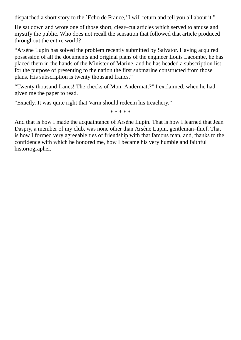dispatched a short story to the `Echo de France,' I will return and tell you all about it."

He sat down and wrote one of those short, clear–cut articles which served to amuse and mystify the public. Who does not recall the sensation that followed that article produced throughout the entire world?

"Arsène Lupin has solved the problem recently submitted by Salvator. Having acquired possession of all the documents and original plans of the engineer Louis Lacombe, he has placed them in the hands of the Minister of Marine, and he has headed a subscription list for the purpose of presenting to the nation the first submarine constructed from those plans. His subscription is twenty thousand francs."

"Twenty thousand francs! The checks of Mon. Andermatt?" I exclaimed, when he had given me the paper to read.

"Exactly. It was quite right that Varin should redeem his treachery."

\* \* \* \* \*

And that is how I made the acquaintance of Arsène Lupin. That is how I learned that Jean Daspry, a member of my club, was none other than Arsène Lupin, gentleman–thief. That is how I formed very agreeable ties of friendship with that famous man, and, thanks to the confidence with which he honored me, how I became his very humble and faithful historiographer.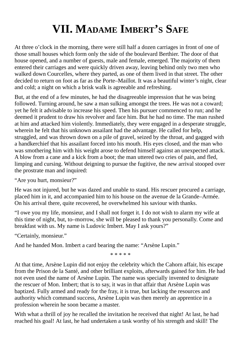## **VII. MADAME IMBERT'S SAFE**

At three o'clock in the morning, there were still half a dozen carriages in front of one of those small houses which form only the side of the boulevard Berthier. The door of that house opened, and a number of guests, male and female, emerged. The majority of them entered their carriages and were quickly driven away, leaving behind only two men who walked down Courcelles, where they parted, as one of them lived in that street. The other decided to return on foot as far as the Porte–Maillot. It was a beautiful winter's night, clear and cold; a night on which a brisk walk is agreeable and refreshing.

But, at the end of a few minutes, he had the disagreeable impression that he was being followed. Turning around, he saw a man sulking amongst the trees. He was not a coward; yet he felt it advisable to increase his speed. Then his pursuer commenced to run; and he deemed it prudent to draw his revolver and face him. But he had no time. The man rushed at him and attacked him violently. Immediately, they were engaged in a desperate struggle, wherein he felt that his unknown assailant had the advantage. He called for help, struggled, and was thrown down on a pile of gravel, seized by the throat, and gagged with a handkerchief that his assailant forced into his mouth. His eyes closed, and the man who was smothering him with his weight arose to defend himself against an unexpected attack. A blow from a cane and a kick from a boot; the man uttered two cries of pain, and fled, limping and cursing. Without deigning to pursue the fugitive, the new arrival stooped over the prostrate man and inquired:

"Are you hurt, monsieur?"

He was not injured, but he was dazed and unable to stand. His rescuer procured a carriage, placed him in it, and accompanied him to his house on the avenue de la Grande–Armée. On his arrival there, quite recovered, he overwhelmed his saviour with thanks.

"I owe you my life, monsieur, and I shall not forget it. I do not wish to alarm my wife at this time of night, but, to–morrow, she will be pleased to thank you personally. Come and breakfast with us. My name is Ludovic Imbert. May I ask yours?"

"Certainly, monsieur."

And he handed Mon. Imbert a card bearing the name: "Arsène Lupin."

\* \* \* \* \*

At that time, Arsène Lupin did not enjoy the celebrity which the Cahorn affair, his escape from the Prison de la Santé, and other brilliant exploits, afterwards gained for him. He had not even used the name of Arsène Lupin. The name was specially invented to designate the rescuer of Mon. Imbert; that is to say, it was in that affair that Arsène Lupin was baptized. Fully armed and ready for the fray, it is true, but lacking the resources and authority which command success, Arsène Lupin was then merely an apprentice in a profession wherein he soon became a master.

With what a thrill of joy he recalled the invitation he received that night! At last, he had reached his goal! At last, he had undertaken a task worthy of his strength and skill! The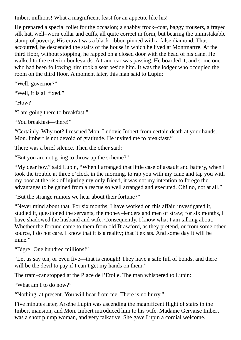Imbert millions! What a magnificent feast for an appetite like his!

He prepared a special toilet for the occasion; a shabby frock–coat, baggy trousers, a frayed silk hat, well–worn collar and cuffs, all quite correct in form, but bearing the unmistakable stamp of poverty. His cravat was a black ribbon pinned with a false diamond. Thus accoutred, he descended the stairs of the house in which he lived at Montmartre. At the third floor, without stopping, he rapped on a closed door with the head of his cane. He walked to the exterior boulevards. A tram–car was passing. He boarded it, and some one who had been following him took a seat beside him. It was the lodger who occupied the room on the third floor. A moment later, this man said to Lupin:

"Well, governor?"

"Well, it is all fixed."

"How?"

"I am going there to breakfast."

"You breakfast—there!"

"Certainly. Why not? I rescued Mon. Ludovic Imbert from certain death at your hands. Mon. Imbert is not devoid of gratitude. He invited me to breakfast."

There was a brief silence. Then the other said:

"But you are not going to throw up the scheme?"

"My dear boy," said Lupin, "When I arranged that little case of assault and battery, when I took the trouble at three o'clock in the morning, to rap you with my cane and tap you with my boot at the risk of injuring my only friend, it was not my intention to forego the advantages to be gained from a rescue so well arranged and executed. Oh! no, not at all."

"But the strange rumors we hear about their fortune?"

"Never mind about that. For six months, I have worked on this affair, investigated it, studied it, questioned the servants, the money–lenders and men of straw; for six months, I have shadowed the husband and wife. Consequently, I know what I am talking about. Whether the fortune came to them from old Brawford, as they pretend, or from some other source, I do not care. I know that it is a reality; that it exists. And some day it will be mine."

"Bigre! One hundred millions!"

"Let us say ten, or even five—that is enough! They have a safe full of bonds, and there will be the devil to pay if I can't get my hands on them."

The tram–car stopped at the Place de l'Etoile. The man whispered to Lupin:

"What am I to do now?"

"Nothing, at present. You will hear from me. There is no hurry."

Five minutes later, Arsène Lupin was ascending the magnificent flight of stairs in the Imbert mansion, and Mon. Imbert introduced him to his wife. Madame Gervaise Imbert was a short plump woman, and very talkative. She gave Lupin a cordial welcome.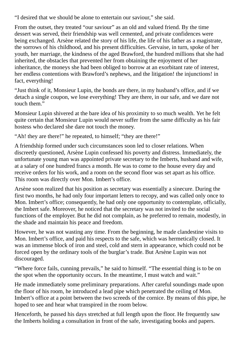"I desired that we should be alone to entertain our saviour," she said.

From the outset, they treated "our saviour" as an old and valued friend. By the time dessert was served, their friendship was well cemented, and private confidences were being exchanged. Arsène related the story of his life, the life of his father as a magistrate, the sorrows of his childhood, and his present difficulties. Gervaise, in turn, spoke of her youth, her marriage, the kindness of the aged Brawford, the hundred millions that she had inherited, the obstacles that prevented her from obtaining the enjoyment of her inheritance, the moneys she had been obliged to borrow at an exorbitant rate of interest, her endless contentions with Brawford's nephews, and the litigation! the injunctions! in fact, everything!

"Just think of it, Monsieur Lupin, the bonds are there, in my husband's office, and if we detach a single coupon, we lose everything! They are there, in our safe, and we dare not touch them."

Monsieur Lupin shivered at the bare idea of his proximity to so much wealth. Yet he felt quite certain that Monsieur Lupin would never suffer from the same difficulty as his fair hostess who declared she dare not touch the money.

"Ah! they are there!" he repeated, to himself; "they are there!"

A friendship formed under such circumstances soon led to closer relations. When discreetly questioned, Arsène Lupin confessed his poverty and distress. Immediately, the unfortunate young man was appointed private secretary to the Imberts, husband and wife, at a salary of one hundred francs a month. He was to come to the house every day and receive orders for his work, and a room on the second floor was set apart as his office. This room was directly over Mon. Imbert's office.

Arsène soon realized that his position as secretary was essentially a sinecure. During the first two months, he had only four important letters to recopy, and was called only once to Mon. Imbert's office: consequently, he had only one opportunity to contemplate, officially, the Imbert safe. Moreover, he noticed that the secretary was not invited to the social functions of the employer. But he did not complain, as he preferred to remain, modestly, in the shade and maintain his peace and freedom.

However, he was not wasting any time. From the beginning, he made clandestine visits to Mon. Imbert's office, and paid his respects to the safe, which was hermetically closed. It was an immense block of iron and steel, cold and stern in appearance, which could not be forced open by the ordinary tools of the burglar's trade. But Arsène Lupin was not discouraged.

"Where force fails, cunning prevails," he said to himself. "The essential thing is to be on the spot when the opportunity occurs. In the meantime, I must watch and wait."

He made immediately some preliminary preparations. After careful soundings made upon the floor of his room, he introduced a lead pipe which penetrated the ceiling of Mon. Imbert's office at a point between the two screeds of the cornice. By means of this pipe, he hoped to see and hear what transpired in the room below.

Henceforth, he passed his days stretched at full length upon the floor. He frequently saw the Imberts holding a consultation in front of the safe, investigating books and papers.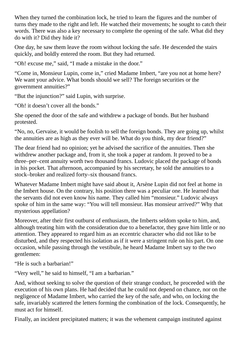When they turned the combination lock, he tried to learn the figures and the number of turns they made to the right and left. He watched their movements; he sought to catch their words. There was also a key necessary to complete the opening of the safe. What did they do with it? Did they hide it?

One day, he saw them leave the room without locking the safe. He descended the stairs quickly, and boldly entered the room. But they had returned.

"Oh! excuse me," said, "I made a mistake in the door."

"Come in, Monsieur Lupin, come in," cried Madame Imbert, "are you not at home here? We want your advice. What bonds should we sell? The foreign securities or the government annuities?"

"But the injunction?" said Lupin, with surprise.

"Oh! it doesn't cover all the bonds."

She opened the door of the safe and withdrew a package of bonds. But her husband protested.

"No, no, Gervaise, it would be foolish to sell the foreign bonds. They are going up, whilst the annuities are as high as they ever will be. What do you think, my dear friend?"

The dear friend had no opinion; yet he advised the sacrifice of the annuities. Then she withdrew another package and, from it, she took a paper at random. It proved to be a three–per–cent annuity worth two thousand francs. Ludovic placed the package of bonds in his pocket. That afternoon, accompanied by his secretary, he sold the annuities to a stock–broker and realized forty–six thousand francs.

Whatever Madame Imbert might have said about it, Arsène Lupin did not feel at home in the Imbert house. On the contrary, his position there was a peculiar one. He learned that the servants did not even know his name. They called him "monsieur." Ludovic always spoke of him in the same way: "You will tell monsieur. Has monsieur arrived?" Why that mysterious appellation?

Moreover, after their first outburst of enthusiasm, the Imberts seldom spoke to him, and, although treating him with the consideration due to a benefactor, they gave him little or no attention. They appeared to regard him as an eccentric character who did not like to be disturbed, and they respected his isolation as if it were a stringent rule on his part. On one occasion, while passing through the vestibule, he heard Madame Imbert say to the two gentlemen:

"He is such a barbarian!"

"Very well," he said to himself, "I am a barbarian."

And, without seeking to solve the question of their strange conduct, he proceeded with the execution of his own plans. He had decided that he could not depend on chance, nor on the negligence of Madame Imbert, who carried the key of the safe, and who, on locking the safe, invariably scattered the letters forming the combination of the lock. Consequently, he must act for himself.

Finally, an incident precipitated matters; it was the vehement campaign instituted against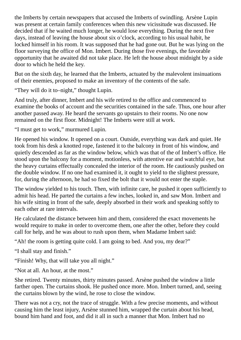the Imberts by certain newspapers that accused the Imberts of swindling. Arsène Lupin was present at certain family conferences when this new vicissitude was discussed. He decided that if he waited much longer, he would lose everything. During the next five days, instead of leaving the house about six o'clock, according to his usual habit, he locked himself in his room. It was supposed that he had gone out. But he was lying on the floor surveying the office of Mon. Imbert. During those five evenings, the favorable opportunity that he awaited did not take place. He left the house about midnight by a side door to which he held the key.

But on the sixth day, he learned that the Imberts, actuated by the malevolent insinuations of their enemies, proposed to make an inventory of the contents of the safe.

"They will do it to–night," thought Lupin.

And truly, after dinner, Imbert and his wife retired to the office and commenced to examine the books of account and the securities contained in the safe. Thus, one hour after another passed away. He heard the servants go upstairs to their rooms. No one now remained on the first floor. Midnight! The Imberts were still at work.

"I must get to work," murmured Lupin.

He opened his window. It opened on a court. Outside, everything was dark and quiet. He took from his desk a knotted rope, fastened it to the balcony in front of his window, and quietly descended as far as the window below, which was that of the of Imbert's office. He stood upon the balcony for a moment, motionless, with attentive ear and watchful eye, but the heavy curtains effectually concealed the interior of the room. He cautiously pushed on the double window. If no one had examined it, it ought to yield to the slightest pressure, for, during the afternoon, he had so fixed the bolt that it would not enter the staple.

The window yielded to his touch. Then, with infinite care, he pushed it open sufficiently to admit his head. He parted the curtains a few inches, looked in, and saw Mon. Imbert and his wife sitting in front of the safe, deeply absorbed in their work and speaking softly to each other at rare intervals.

He calculated the distance between him and them, considered the exact movements he would require to make in order to overcome them, one after the other, before they could call for help, and he was about to rush upon them, when Madame Imbert said:

"Ah! the room is getting quite cold. I am going to bed. And you, my dear?"

"I shall stay and finish."

"Finish! Why, that will take you all night."

"Not at all. An hour, at the most."

She retired. Twenty minutes, thirty minutes passed. Arsène pushed the window a little farther open. The curtains shook. He pushed once more. Mon. Imbert turned, and, seeing the curtains blown by the wind, he rose to close the window.

There was not a cry, not the trace of struggle. With a few precise moments, and without causing him the least injury, Arsène stunned him, wrapped the curtain about his head, bound him hand and foot, and did it all in such a manner that Mon. Imbert had no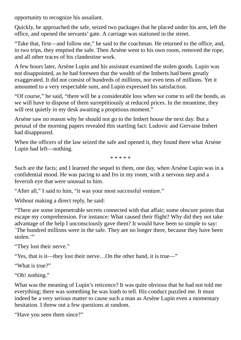opportunity to recognize his assailant.

Quickly, he approached the safe, seized two packages that he placed under his arm, left the office, and opened the servants' gate. A carriage was stationed in the street.

"Take that, first—and follow me," he said to the coachman. He returned to the office, and, in two trips, they emptied the safe. Then Arsène went to his own room, removed the rope, and all other traces of his clandestine work.

A few hours later, Arsène Lupin and his assistant examined the stolen goods. Lupin was not disappointed, as he had foreseen that the wealth of the Imberts had been greatly exaggerated. It did not consist of hundreds of millions, nor even tens of millions. Yet it amounted to a very respectable sum, and Lupin expressed his satisfaction.

"Of course," he said, "there will be a considerable loss when we come to sell the bonds, as we will have to dispose of them surreptitiously at reduced prices. In the meantime, they will rest quietly in my desk awaiting a propitious moment."

Arsène saw no reason why he should not go to the Imbert house the next day. But a perusal of the morning papers revealed this startling fact: Ludovic and Gervaise Imbert had disappeared.

When the officers of the law seized the safe and opened it, they found there what Arsène Lupin had left—nothing.

\* \* \* \* \*

Such are the facts; and I learned the sequel to them, one day, when Arsène Lupin was in a confidential mood. He was pacing to and fro in my room, with a nervous step and a feverish eye that were unusual to him.

"After all," I said to him, "it was your most successful venture."

Without making a direct reply, he said:

"There are some impenetrable secrets connected with that affair; some obscure points that escape my comprehension. For instance: What caused their flight? Why did they not take advantage of the help I unconsciously gave them? It would have been so simple to say: `The hundred millions were in the safe. They are no longer there, because they have been stolen."

"They lost their nerve."

"Yes, that is it—they lost their nerve…On the other hand, it is true―"

"What is true?"

"Oh! nothing."

What was the meaning of Lupin's reticence? It was quite obvious that he had not told me everything; there was something he was loath to tell. His conduct puzzled me. It must indeed be a very serious matter to cause such a man as Arsène Lupin even a momentary hesitation. I threw out a few questions at random.

"Have you seen them since?"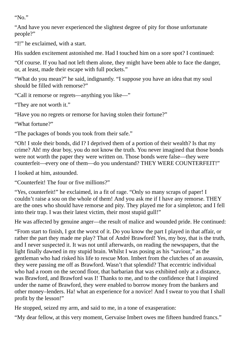"No."

"And have you never experienced the slightest degree of pity for those unfortunate people?"

"I!" he exclaimed, with a start.

His sudden excitement astonished me. Had I touched him on a sore spot? I continued:

"Of course. If you had not left them alone, they might have been able to face the danger, or, at least, made their escape with full pockets."

"What do you mean?" he said, indignantly. "I suppose you have an idea that my soul should be filled with remorse?"

"Call it remorse or regrets—anything you like―"

"They are not worth it."

"Have you no regrets or remorse for having stolen their fortune?"

"What fortune?"

"The packages of bonds you took from their safe."

"Oh! I stole their bonds, did I? I deprived them of a portion of their wealth? Is that my crime? Ah! my dear boy, you do not know the truth. You never imagined that those bonds were not worth the paper they were written on. Those bonds were false—they were counterfeit—every one of them—do you understand? THEY WERE COUNTERFEIT!"

I looked at him, astounded.

"Counterfeit! The four or five millions?"

"Yes, counterfeit!" he exclaimed, in a fit of rage. "Only so many scraps of paper! I couldn't raise a sou on the whole of them! And you ask me if I have any remorse. THEY are the ones who should have remorse and pity. They played me for a simpleton; and I fell into their trap. I was their latest victim, their most stupid gull!"

He was affected by genuine anger—the result of malice and wounded pride. He continued:

"From start to finish, I got the worst of it. Do you know the part I played in that affair, or rather the part they made me play? That of André Brawford! Yes, my boy, that is the truth, and I never suspected it. It was not until afterwards, on reading the newspapers, that the light finally dawned in my stupid brain. Whilst I was posing as his "saviour," as the gentleman who had risked his life to rescue Mon. Imbert from the clutches of an assassin, they were passing me off as Brawford. Wasn't that splendid? That eccentric individual who had a room on the second floor, that barbarian that was exhibited only at a distance, was Brawford, and Brawford was I! Thanks to me, and to the confidence that I inspired under the name of Brawford, they were enabled to borrow money from the bankers and other money–lenders. Ha! what an experience for a novice! And I swear to you that I shall profit by the lesson!"

He stopped, seized my arm, and said to me, in a tone of exasperation:

"My dear fellow, at this very moment, Gervaise Imbert owes me fifteen hundred francs."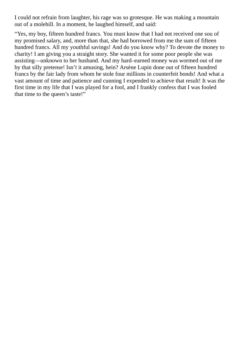I could not refrain from laughter, his rage was so grotesque. He was making a mountain out of a molehill. In a moment, he laughed himself, and said:

"Yes, my boy, fifteen hundred francs. You must know that I had not received one sou of my promised salary, and, more than that, she had borrowed from me the sum of fifteen hundred francs. All my youthful savings! And do you know why? To devote the money to charity! I am giving you a straight story. She wanted it for some poor people she was assisting—unknown to her husband. And my hard–earned money was wormed out of me by that silly pretense! Isn't it amusing, hein? Arsène Lupin done out of fifteen hundred francs by the fair lady from whom he stole four millions in counterfeit bonds! And what a vast amount of time and patience and cunning I expended to achieve that result! It was the first time in my life that  $\overline{I}$  was played for a fool, and I frankly confess that I was fooled that time to the queen's taste!"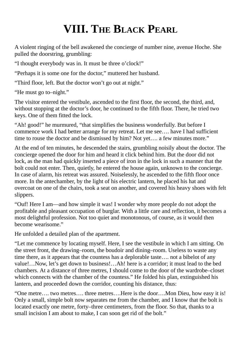## **VIII. THE BLACK PEARL**

A violent ringing of the bell awakened the concierge of number nine, avenue Hoche. She pulled the doorstring, grumbling:

"I thought everybody was in. It must be three o'clock!"

"Perhaps it is some one for the doctor," muttered her husband.

"Third floor, left. But the doctor won't go out at night."

"He must go to–night."

The visitor entered the vestibule, ascended to the first floor, the second, the third, and, without stopping at the doctor's door, he continued to the fifth floor. There, he tried two keys. One of them fitted the lock.

"Ah! good!" he murmured, "that simplifies the business wonderfully. But before I commence work I had better arrange for my retreat. Let me see…. have I had sufficient time to rouse the doctor and be dismissed by him? Not yet…. a few minutes more."

At the end of ten minutes, he descended the stairs, grumbling noisily about the doctor. The concierge opened the door for him and heard it click behind him. But the door did not lock, as the man had quickly inserted a piece of iron in the lock in such a manner that the bolt could not enter. Then, quietly, he entered the house again, unknown to the concierge. In case of alarm, his retreat was assured. Noiselessly, he ascended to the fifth floor once more. In the antechamber, by the light of his electric lantern, he placed his hat and overcoat on one of the chairs, took a seat on another, and covered his heavy shoes with felt slippers.

"Ouf! Here I am—and how simple it was! I wonder why more people do not adopt the profitable and pleasant occupation of burglar. With a little care and reflection, it becomes a most delightful profession. Not too quiet and monotonous, of course, as it would then become wearisome."

He unfolded a detailed plan of the apartment.

"Let me commence by locating myself. Here, I see the vestibule in which I am sitting. On the street front, the drawing–room, the boudoir and dining–room. Useless to waste any time there, as it appears that the countess has a deplorable taste…. not a bibelot of any value!…Now, let's get down to business!…Ah! here is a corridor; it must lead to the bed chambers. At a distance of three metres, I should come to the door of the wardrobe–closet which connects with the chamber of the countess." He folded his plan, extinguished his lantern, and proceeded down the corridor, counting his distance, thus:

"One metre…. two metres…. three metres….Here is the door….Mon Dieu, how easy it is! Only a small, simple bolt now separates me from the chamber, and I know that the bolt is located exactly one metre, forty–three centimeters, from the floor. So that, thanks to a small incision I am about to make, I can soon get rid of the bolt."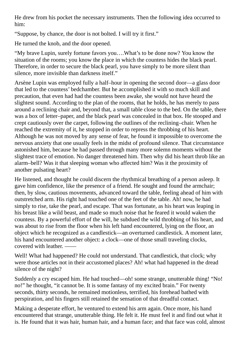He drew from his pocket the necessary instruments. Then the following idea occurred to him:

"Suppose, by chance, the door is not bolted. I will try it first."

He turned the knob, and the door opened.

"My brave Lupin, surely fortune favors you….What's to be done now? You know the situation of the rooms; you know the place in which the countess hides the black pearl. Therefore, in order to secure the black pearl, you have simply to be more silent than silence, more invisible than darkness itself."

Arsène Lupin was employed fully a half–hour in opening the second door—a glass door that led to the countess' bedchamber. But he accomplished it with so much skill and precaution, that even had had the countess been awake, she would not have heard the slightest sound. According to the plan of the rooms, that he holds, he has merely to pass around a reclining chair and, beyond that, a small table close to the bed. On the table, there was a box of letter–paper, and the black pearl was concealed in that box. He stooped and crept cautiously over the carpet, following the outlines of the reclining–chair. When he reached the extremity of it, he stopped in order to repress the throbbing of his heart. Although he was not moved by any sense of fear, he found it impossible to overcome the nervous anxiety that one usually feels in the midst of profound silence. That circumstance astonished him, because he had passed through many more solemn moments without the slightest trace of emotion. No danger threatened him. Then why did his heart throb like an alarm–bell? Was it that sleeping woman who affected him? Was it the proximity of another pulsating heart?

He listened, and thought he could discern the rhythmical breathing of a person asleep. It gave him confidence, like the presence of a friend. He sought and found the armchair; then, by slow, cautious movements, advanced toward the table, feeling ahead of him with outstretched arm. His right had touched one of the feet of the table. Ah! now, he had simply to rise, take the pearl, and escape. That was fortunate, as his heart was leaping in his breast like a wild beast, and made so much noise that he feared it would waken the countess. By a powerful effort of the will, he subdued the wild throbbing of his heart, and was about to rise from the floor when his left hand encountered, lying on the floor, an object which he recognized as a candlestick—an overturned candlestick. A moment later, his hand encountered another object: a clock—one of those small traveling clocks, covered with leather

Well! What had happened? He could not understand. That candlestick, that clock; why were those articles not in their accustomed places? Ah! what had happened in the dread silence of the night?

Suddenly a cry escaped him. He had touched—oh! some strange, unutterable thing! "No! no!" he thought, "it cannot be. It is some fantasy of my excited brain." For twenty seconds, thirty seconds, he remained motionless, terrified, his forehead bathed with perspiration, and his fingers still retained the sensation of that dreadful contact.

Making a desperate effort, he ventured to extend his arm again. Once more, his hand encountered that strange, unutterable thing. He felt it. He must feel it and find out what it is. He found that it was hair, human hair, and a human face; and that face was cold, almost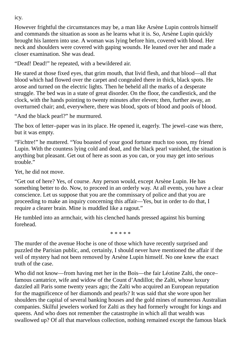However frightful the circumstances may be, a man like Arsène Lupin controls himself and commands the situation as soon as he learns what it is. So, Arsène Lupin quickly brought his lantern into use. A woman was lying before him, covered with blood. Her neck and shoulders were covered with gaping wounds. He leaned over her and made a closer examination. She was dead.

"Dead! Dead!" he repeated, with a bewildered air.

He stared at those fixed eyes, that grim mouth, that livid flesh, and that blood—all that blood which had flowed over the carpet and congealed there in thick, black spots. He arose and turned on the electric lights. Then he beheld all the marks of a desperate struggle. The bed was in a state of great disorder. On the floor, the candlestick, and the clock, with the hands pointing to twenty minutes after eleven; then, further away, an overturned chair; and, everywhere, there was blood, spots of blood and pools of blood.

"And the black pearl?" he murmured.

The box of letter–paper was in its place. He opened it, eagerly. The jewel–case was there, but it was empty.

"Fichtre!" he muttered. "You boasted of your good fortune much too soon, my friend Lupin. With the countess lying cold and dead, and the black pearl vanished, the situation is anything but pleasant. Get out of here as soon as you can, or you may get into serious trouble"

Yet, he did not move.

"Get out of here? Yes, of course. Any person would, except Arsène Lupin. He has something better to do. Now, to proceed in an orderly way. At all events, you have a clear conscience. Let us suppose that you are the commissary of police and that you are proceeding to make an inquiry concerning this affair―Yes, but in order to do that, I require a clearer brain. Mine is muddled like a ragout."

He tumbled into an armchair, with his clenched hands pressed against his burning forehead.

\* \* \* \* \*

The murder of the avenue Hoche is one of those which have recently surprised and puzzled the Parisian public, and, certainly, I should never have mentioned the affair if the veil of mystery had not been removed by Arsène Lupin himself. No one knew the exact truth of the case.

Who did not know—from having met her in the Bois—the fair Léotine Zalti, the once famous cantatrice, wife and widow of the Count d'Andillot; the Zalti, whose luxury dazzled all Paris some twenty years ago; the Zalti who acquired an European reputation for the magnificence of her diamonds and pearls? It was said that she wore upon her shoulders the capital of several banking houses and the gold mines of numerous Australian companies. Skilful jewelers worked for Zalti as they had formerly wrought for kings and queens. And who does not remember the catastrophe in which all that wealth was swallowed up? Of all that marvelous collection, nothing remained except the famous black

icy.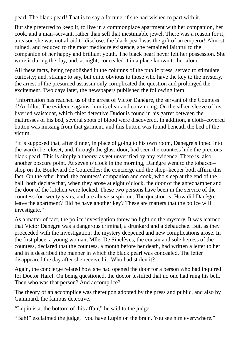pearl. The black pearl! That is to say a fortune, if she had wished to part with it.

But she preferred to keep it, to live in a commonplace apartment with her companion, her cook, and a man–servant, rather than sell that inestimable jewel. There was a reason for it; a reason she was not afraid to disclose: the black pearl was the gift of an emperor! Almost ruined, and reduced to the most mediocre existence, she remained faithful to the companion of her happy and brilliant youth. The black pearl never left her possession. She wore it during the day, and, at night, concealed it in a place known to her alone.

All these facts, being republished in the columns of the public press, served to stimulate curiosity; and, strange to say, but quite obvious to those who have the key to the mystery, the arrest of the presumed assassin only complicated the question and prolonged the excitement. Two days later, the newspapers published the following item:

"Information has reached us of the arrest of Victor Danègre, the servant of the Countess d'Andillot. The evidence against him is clear and convincing. On the silken sleeve of his liveried waistcoat, which chief detective Dudouis found in his garret between the mattresses of his bed, several spots of blood were discovered. In addition, a cloth–covered button was missing from that garment, and this button was found beneath the bed of the victim.

"It is supposed that, after dinner, in place of going to his own room, Danègre slipped into the wardrobe–closet, and, through the glass door, had seen the countess hide the precious black pearl. This is simply a theory, as yet unverified by any evidence. There is, also, another obscure point. At seven o'clock in the morning, Danègre went to the tobacco– shop on the Boulevard de Courcelles; the concierge and the shop–keeper both affirm this fact. On the other hand, the countess' companion and cook, who sleep at the end of the hall, both declare that, when they arose at eight o'clock, the door of the antechamber and the door of the kitchen were locked. These two persons have been in the service of the countess for twenty years, and are above suspicion. The question is: How did Danègre leave the apartment? Did he have another key? These are matters that the police will investigate."

As a matter of fact, the police investigation threw no light on the mystery. It was learned that Victor Danègre was a dangerous criminal, a drunkard and a debauchee. But, as they proceeded with the investigation, the mystery deepened and new complications arose. In the first place, a young woman, Mlle. De Sinclèves, the cousin and sole heiress of the countess, declared that the countess, a month before her death, had written a letter to her and in it described the manner in which the black pearl was concealed. The letter disappeared the day after she received it. Who had stolen it?

Again, the concierge related how she had opened the door for a person who had inquired for Doctor Harel. On being questioned, the doctor testified that no one had rung his bell. Then who was that person? And accomplice?

The theory of an accomplice was thereupon adopted by the press and public, and also by Ganimard, the famous detective.

"Lupin is at the bottom of this affair," he said to the judge.

"Bah!" exclaimed the judge, "you have Lupin on the brain. You see him everywhere."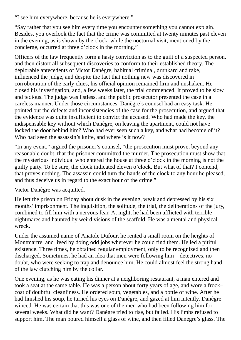"I see him everywhere, because he is everywhere."

"Say rather that you see him every time you encounter something you cannot explain. Besides, you overlook the fact that the crime was committed at twenty minutes past eleven in the evening, as is shown by the clock, while the nocturnal visit, mentioned by the concierge, occurred at three o'clock in the morning."

Officers of the law frequently form a hasty conviction as to the guilt of a suspected person, and then distort all subsequent discoveries to conform to their established theory. The deplorable antecedents of Victor Danègre, habitual criminal, drunkard and rake, influenced the judge, and despite the fact that nothing new was discovered in corroboration of the early clues, his official opinion remained firm and unshaken. He closed his investigation, and, a few weeks later, the trial commenced. It proved to be slow and tedious. The judge was listless, and the public prosecutor presented the case in a careless manner. Under those circumstances, Danègre's counsel had an easy task. He pointed out the defects and inconsistencies of the case for the prosecution, and argued that the evidence was quite insufficient to convict the accused. Who had made the key, the indispensable key without which Danègre, on leaving the apartment, could not have locked the door behind him? Who had ever seen such a key, and what had become of it? Who had seen the assassin's knife, and where is it now?

"In any event," argued the prisoner's counsel, "the prosecution must prove, beyond any reasonable doubt, that the prisoner committed the murder. The prosecution must show that the mysterious individual who entered the house at three o'clock in the morning is not the guilty party. To be sure, the clock indicated eleven o'clock. But what of that? I contend, that proves nothing. The assassin could turn the hands of the clock to any hour he pleased, and thus deceive us in regard to the exact hour of the crime."

Victor Danègre was acquitted.

He left the prison on Friday about dusk in the evening, weak and depressed by his six months' imprisonment. The inquisition, the solitude, the trial, the deliberations of the jury, combined to fill him with a nervous fear. At night, he had been afflicted with terrible nightmares and haunted by weird visions of the scaffold. He was a mental and physical wreck.

Under the assumed name of Anatole Dufour, he rented a small room on the heights of Montmartre, and lived by doing odd jobs wherever he could find them. He led a pitiful existence. Three times, he obtained regular employment, only to be recognized and then discharged. Sometimes, he had an idea that men were following him—detectives, no doubt, who were seeking to trap and denounce him. He could almost feel the strong hand of the law clutching him by the collar.

One evening, as he was eating his dinner at a neighboring restaurant, a man entered and took a seat at the same table. He was a person about forty years of age, and wore a frock– coat of doubtful cleanliness. He ordered soup, vegetables, and a bottle of wine. After he had finished his soup, he turned his eyes on Danègre, and gazed at him intently. Danègre winced. He was certain that this was one of the men who had been following him for several weeks. What did he want? Danègre tried to rise, but failed. His limbs refused to support him. The man poured himself a glass of wine, and then filled Danègre's glass. The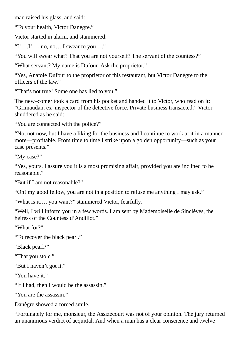man raised his glass, and said:

"To your health, Victor Danègre."

Victor started in alarm, and stammered:

"I!….I!…. no, no….I swear to you…."

"You will swear what? That you are not yourself? The servant of the countess?"

"What servant? My name is Dufour. Ask the proprietor."

"Yes, Anatole Dufour to the proprietor of this restaurant, but Victor Danègre to the officers of the law."

"That's not true! Some one has lied to you."

The new–comer took a card from his pocket and handed it to Victor, who read on it: "Grimaudan, ex–inspector of the detective force. Private business transacted." Victor shuddered as he said:

"You are connected with the police?"

"No, not now, but I have a liking for the business and I continue to work at it in a manner more—profitable. From time to time I strike upon a golden opportunity—such as your case presents."

"My case?"

"Yes, yours. I assure you it is a most promising affair, provided you are inclined to be reasonable."

"But if I am not reasonable?"

"Oh! my good fellow, you are not in a position to refuse me anything I may ask."

"What is it…. you want?" stammered Victor, fearfully.

"Well, I will inform you in a few words. I am sent by Mademoiselle de Sinclèves, the heiress of the Countess d'Andillot."

"What for?"

"To recover the black pearl."

"Black pearl?"

"That you stole."

"But I haven't got it."

"You have it."

"If I had, then I would be the assassin."

"You are the assassin."

Danègre showed a forced smile.

"Fortunately for me, monsieur, the Assizecourt was not of your opinion. The jury returned an unanimous verdict of acquittal. And when a man has a clear conscience and twelve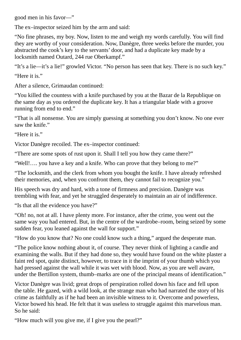good men in his favor—"

The ex–inspector seized him by the arm and said:

"No fine phrases, my boy. Now, listen to me and weigh my words carefully. You will find they are worthy of your consideration. Now, Danègre, three weeks before the murder, you abstracted the cook's key to the servants' door, and had a duplicate key made by a locksmith named Outard, 244 rue Oberkampf."

"It's a lie—it's a lie!" growled Victor. "No person has seen that key. There is no such key." "Here it is."

After a silence, Grimaudan continued:

"You killed the countess with a knife purchased by you at the Bazar de la Republique on the same day as you ordered the duplicate key. It has a triangular blade with a groove running from end to end."

"That is all nonsense. You are simply guessing at something you don't know. No one ever saw the knife."

"Here it is."

Victor Danègre recoiled. The ex–inspector continued:

"There are some spots of rust upon it. Shall I tell you how they came there?"

"Well!…. you have a key and a knife. Who can prove that they belong to me?"

"The locksmith, and the clerk from whom you bought the knife. I have already refreshed their memories, and, when you confront them, they cannot fail to recognize you."

His speech was dry and hard, with a tone of firmness and precision. Danègre was trembling with fear, and yet he struggled desperately to maintain an air of indifference.

"Is that all the evidence you have?"

"Oh! no, not at all. I have plenty more. For instance, after the crime, you went out the same way you had entered. But, in the centre of the wardrobe–room, being seized by some sudden fear, you leaned against the wall for support."

"How do you know that? No one could know such a thing," argued the desperate man.

"The police know nothing about it, of course. They never think of lighting a candle and examining the walls. But if they had done so, they would have found on the white plaster a faint red spot, quite distinct, however, to trace in it the imprint of your thumb which you had pressed against the wall while it was wet with blood. Now, as you are well aware, under the Bertillon system, thumb–marks are one of the principal means of identification."

Victor Danègre was livid; great drops of perspiration rolled down his face and fell upon the table. He gazed, with a wild look, at the strange man who had narrated the story of his crime as faithfully as if he had been an invisible witness to it. Overcome and powerless, Victor bowed his head. He felt that it was useless to struggle against this marvelous man. So he said:

"How much will you give me, if I give you the pearl?"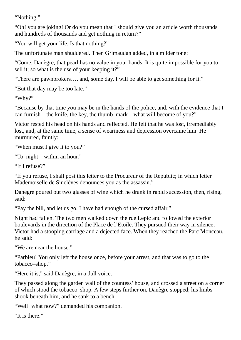"Nothing."

"Oh! you are joking! Or do you mean that I should give you an article worth thousands and hundreds of thousands and get nothing in return?"

"You will get your life. Is that nothing?"

The unfortunate man shuddered. Then Grimaudan added, in a milder tone:

"Come, Danègre, that pearl has no value in your hands. It is quite impossible for you to sell it; so what is the use of your keeping it?"

"There are pawnbrokers…. and, some day, I will be able to get something for it."

"But that day may be too late."

"Why?"

"Because by that time you may be in the hands of the police, and, with the evidence that I can furnish—the knife, the key, the thumb–mark—what will become of you?"

Victor rested his head on his hands and reflected. He felt that he was lost, irremediably lost, and, at the same time, a sense of weariness and depression overcame him. He murmured, faintly:

"When must I give it to you?"

"To–night―within an hour."

"If I refuse?"

"If you refuse, I shall post this letter to the Procureur of the Republic; in which letter Mademoiselle de Sinclèves denounces you as the assassin."

Danègre poured out two glasses of wine which he drank in rapid succession, then, rising, said:

"Pay the bill, and let us go. I have had enough of the cursed affair."

Night had fallen. The two men walked down the rue Lepic and followed the exterior boulevards in the direction of the Place de l'Etoile. They pursued their way in silence; Victor had a stooping carriage and a dejected face. When they reached the Parc Monceau, he said:

"We are near the house."

"Parbleu! You only left the house once, before your arrest, and that was to go to the tobacco–shop."

"Here it is," said Danègre, in a dull voice.

They passed along the garden wall of the countess' house, and crossed a street on a corner of which stood the tobacco–shop. A few steps further on, Danègre stopped; his limbs shook beneath him, and he sank to a bench.

"Well! what now?" demanded his companion.

"It is there."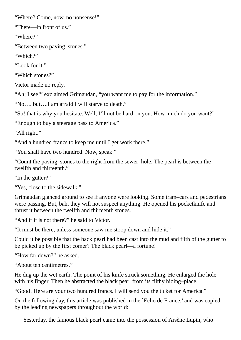"Where? Come, now, no nonsense!"

"There—in front of us."

"Where?"

"Between two paving–stones."

"Which?"

"Look for it."

"Which stones?"

Victor made no reply.

"Ah; I see!" exclaimed Grimaudan, "you want me to pay for the information."

"No…. but….I am afraid I will starve to death."

"So! that is why you hesitate. Well, I'll not be hard on you. How much do you want?"

"Enough to buy a steerage pass to America."

"All right."

"And a hundred francs to keep me until I get work there."

"You shall have two hundred. Now, speak."

"Count the paving–stones to the right from the sewer–hole. The pearl is between the twelfth and thirteenth."

"In the gutter?"

"Yes, close to the sidewalk."

Grimaudan glanced around to see if anyone were looking. Some tram–cars and pedestrians were passing. But, bah, they will not suspect anything. He opened his pocketknife and thrust it between the twelfth and thirteenth stones.

"And if it is not there?" he said to Victor.

"It must be there, unless someone saw me stoop down and hide it."

Could it be possible that the back pearl had been cast into the mud and filth of the gutter to be picked up by the first comer? The black pearl—a fortune!

"How far down?" he asked.

"About ten centimetres."

He dug up the wet earth. The point of his knife struck something. He enlarged the hole with his finger. Then he abstracted the black pearl from its filthy hiding–place.

"Good! Here are your two hundred francs. I will send you the ticket for America."

On the following day, this article was published in the `Echo de France,' and was copied by the leading newspapers throughout the world:

"Yesterday, the famous black pearl came into the possession of Arsène Lupin, who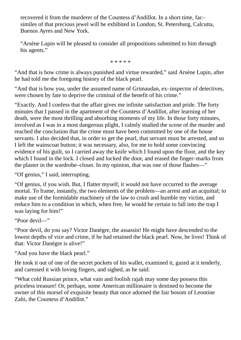recovered it from the murderer of the Countess d'Andillot. In a short time, fac– similes of that precious jewel will be exhibited in London, St. Petersburg, Calcutta, Buenos Ayres and New York.

"Arsène Lupin will be pleased to consider all propositions submitted to him through his agents."

\* \* \* \* \*

"And that is how crime is always punished and virtue rewarded," said Arsène Lupin, after he had told me the foregoing history of the black pearl.

"And that is how you, under the assumed name of Grimaudan, ex–inspector of detectives, were chosen by fate to deprive the criminal of the benefit of his crime."

"Exactly. And I confess that the affair gives me infinite satisfaction and pride. The forty minutes that I passed in the apartment of the Countess d'Andillot, after learning of her death, were the most thrilling and absorbing moments of my life. In those forty minutes, involved as I was in a most dangerous plight, I calmly studied the scene of the murder and reached the conclusion that the crime must have been committed by one of the house servants. I also decided that, in order to get the pearl, that servant must be arrested, and so I left the wainscoat button; it was necessary, also, for me to hold some convincing evidence of his guilt, so I carried away the knife which I found upon the floor, and the key which I found in the lock. I closed and locked the door, and erased the finger–marks from the plaster in the wardrobe–closet. In my opinion, that was one of those flashes—"

"Of genius," I said, interrupting.

"Of genius, if you wish. But, I flatter myself, it would not have occurred to the average mortal. To frame, instantly, the two elements of the problem—an arrest and an acquittal; to make use of the formidable machinery of the law to crush and humble my victim, and reduce him to a condition in which, when free, he would be certain to fall into the trap I was laying for him!"

"Poor devil—"

"Poor devil, do you say? Victor Danègre, the assassin! He might have descended to the lowest depths of vice and crime, if he had retained the black pearl. Now, he lives! Think of that: Victor Danègre is alive!"

"And you have the black pearl."

He took it out of one of the secret pockets of his wallet, examined it, gazed at it tenderly, and caressed it with loving fingers, and sighed, as he said:

"What cold Russian prince, what vain and foolish rajah may some day possess this priceless treasure! Or, perhaps, some American millionaire is destined to become the owner of this morsel of exquisite beauty that once adorned the fair bosom of Leontine Zalti, the Countess d'Andillot."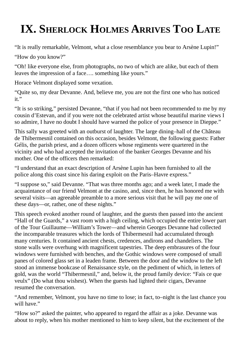## **IX. SHERLOCK HOLMES ARRIVES TOO LATE**

"It is really remarkable, Velmont, what a close resemblance you bear to Arsène Lupin!"

"How do you know?"

"Oh! like everyone else, from photographs, no two of which are alike, but each of them leaves the impression of a face…. something like yours."

Horace Velmont displayed some vexation.

"Quite so, my dear Devanne. And, believe me, you are not the first one who has noticed it."

"It is so striking," persisted Devanne, "that if you had not been recommended to me by my cousin d'Estevan, and if you were not the celebrated artist whose beautiful marine views I so admire, I have no doubt I should have warned the police of your presence in Dieppe."

This sally was greeted with an outburst of laughter. The large dining–hall of the Château de Thibermesnil contained on this occasion, besides Velmont, the following guests: Father Gélis, the parish priest, and a dozen officers whose regiments were quartered in the vicinity and who had accepted the invitation of the banker Georges Devanne and his mother. One of the officers then remarked:

"I understand that an exact description of Arsène Lupin has been furnished to all the police along this coast since his daring exploit on the Paris–Havre express."

"I suppose so," said Devanne. "That was three months ago; and a week later, I made the acquaintance of our friend Velmont at the casino, and, since then, he has honored me with several visits—an agreeable preamble to a more serious visit that he will pay me one of these days—or, rather, one of these nights."

This speech evoked another round of laughter, and the guests then passed into the ancient "Hall of the Guards," a vast room with a high ceiling, which occupied the entire lower part of the Tour Guillaume—William's Tower—and wherein Georges Devanne had collected the incomparable treasures which the lords of Thibermesnil had accumulated through many centuries. It contained ancient chests, credences, andirons and chandeliers. The stone walls were overhung with magnificent tapestries. The deep embrasures of the four windows were furnished with benches, and the Gothic windows were composed of small panes of colored glass set in a leaden frame. Between the door and the window to the left stood an immense bookcase of Renaissance style, on the pediment of which, in letters of gold, was the world "Thibermesnil," and, below it, the proud family device: "Fais ce que veulx" (Do what thou wishest). When the guests had lighted their cigars, Devanne resumed the conversation.

"And remember, Velmont, you have no time to lose; in fact, to–night is the last chance you will have."

"How so?" asked the painter, who appeared to regard the affair as a joke. Devanne was about to reply, when his mother mentioned to him to keep silent, but the excitement of the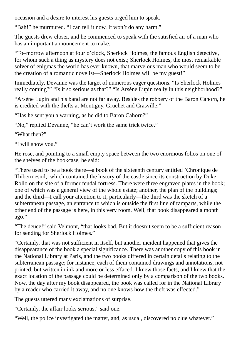occasion and a desire to interest his guests urged him to speak.

"Bah!" he murmured. "I can tell it now. It won't do any harm."

The guests drew closer, and he commenced to speak with the satisfied air of a man who has an important announcement to make.

"To–morrow afternoon at four o'clock, Sherlock Holmes, the famous English detective, for whom such a thing as mystery does not exist; Sherlock Holmes, the most remarkable solver of enigmas the world has ever known, that marvelous man who would seem to be the creation of a romantic novelist—Sherlock Holmes will be my guest!"

Immediately, Devanne was the target of numerous eager questions. "Is Sherlock Holmes really coming?" "Is it so serious as that?" "Is Arsène Lupin really in this neighborhood?"

"Arsène Lupin and his band are not far away. Besides the robbery of the Baron Cahorn, he is credited with the thefts at Montigny, Gruchet and Crasville."

"Has he sent you a warning, as he did to Baron Cahorn?"

"No," replied Devanne, "he can't work the same trick twice."

"What then?"

"I will show you."

He rose, and pointing to a small empty space between the two enormous folios on one of the shelves of the bookcase, he said:

"There used to be a book there—a book of the sixteenth century entitled `Chronique de Thibermesnil,' which contained the history of the castle since its construction by Duke Rollo on the site of a former feudal fortress. There were three engraved plates in the book; one of which was a general view of the whole estate; another, the plan of the buildings; and the third—I call your attention to it, particularly—the third was the sketch of a subterranean passage, an entrance to which is outside the first line of ramparts, while the other end of the passage is here, in this very room. Well, that book disappeared a month ago."

"The deuce!" said Velmont, "that looks bad. But it doesn't seem to be a sufficient reason for sending for Sherlock Holmes."

"Certainly, that was not sufficient in itself, but another incident happened that gives the disappearance of the book a special significance. There was another copy of this book in the National Library at Paris, and the two books differed in certain details relating to the subterranean passage; for instance, each of them contained drawings and annotations, not printed, but written in ink and more or less effaced. I knew those facts, and I knew that the exact location of the passage could be determined only by a comparison of the two books. Now, the day after my book disappeared, the book was called for in the National Library by a reader who carried it away, and no one knows how the theft was effected."

The guests uttered many exclamations of surprise.

"Certainly, the affair looks serious," said one.

"Well, the police investigated the matter, and, as usual, discovered no clue whatever."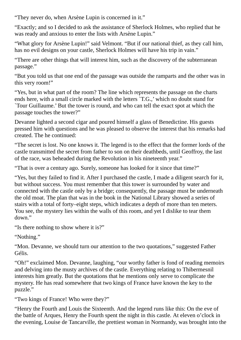"They never do, when Arsène Lupin is concerned in it."

"Exactly; and so I decided to ask the assistance of Sherlock Holmes, who replied that he was ready and anxious to enter the lists with Arsène Lupin."

"What glory for Arsène Lupin!" said Velmont. "But if our national thief, as they call him, has no evil designs on your castle, Sherlock Holmes will have his trip in vain."

"There are other things that will interest him, such as the discovery of the subterranean passage."

"But you told us that one end of the passage was outside the ramparts and the other was in this very room!"

"Yes, but in what part of the room? The line which represents the passage on the charts ends here, with a small circle marked with the letters `T.G.,' which no doubt stand for `Tour Guillaume.' But the tower is round, and who can tell the exact spot at which the passage touches the tower?"

Devanne lighted a second cigar and poured himself a glass of Benedictine. His guests pressed him with questions and he was pleased to observe the interest that his remarks had created. The he continued:

"The secret is lost. No one knows it. The legend is to the effect that the former lords of the castle transmitted the secret from father to son on their deathbeds, until Geoffroy, the last of the race, was beheaded during the Revolution in his nineteenth year."

"That is over a century ago. Surely, someone has looked for it since that time?"

"Yes, but they failed to find it. After I purchased the castle, I made a diligent search for it, but without success. You must remember that this tower is surrounded by water and connected with the castle only by a bridge; consequently, the passage must be underneath the old moat. The plan that was in the book in the National Library showed a series of stairs with a total of forty–eight steps, which indicates a depth of more than ten meters. You see, the mystery lies within the walls of this room, and yet I dislike to tear them down."

"Is there nothing to show where it is?"

"Nothing."

"Mon. Devanne, we should turn our attention to the two quotations," suggested Father Gélis.

"Oh!" exclaimed Mon. Devanne, laughing, "our worthy father is fond of reading memoirs and delving into the musty archives of the castle. Everything relating to Thibermesnil interests him greatly. But the quotations that he mentions only serve to complicate the mystery. He has read somewhere that two kings of France have known the key to the puzzle."

"Two kings of France! Who were they?"

"Henry the Fourth and Louis the Sixteenth. And the legend runs like this: On the eve of the battle of Arques, Henry the Fourth spent the night in this castle. At eleven o'clock in the evening, Louise de Tancarville, the prettiest woman in Normandy, was brought into the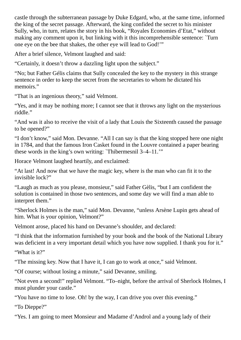castle through the subterranean passage by Duke Edgard, who, at the same time, informed the king of the secret passage. Afterward, the king confided the secret to his minister Sully, who, in turn, relates the story in his book, "Royales Economies d'Etat," without making any comment upon it, but linking with it this incomprehensible sentence: `Turn one eye on the bee that shakes, the other eye will lead to God!'"

After a brief silence, Velmont laughed and said:

"Certainly, it doesn't throw a dazzling light upon the subject."

"No; but Father Gélis claims that Sully concealed the key to the mystery in this strange sentence in order to keep the secret from the secretaries to whom he dictated his memoirs."

"That is an ingenious theory," said Velmont.

"Yes, and it may be nothing more; I cannot see that it throws any light on the mysterious riddle."

"And was it also to receive the visit of a lady that Louis the Sixteenth caused the passage to be opened?"

"I don't know," said Mon. Devanne. "All I can say is that the king stopped here one night in 1784, and that the famous Iron Casket found in the Louvre contained a paper bearing these words in the king's own writing: `Thibermesnil 3–4–11.'"

Horace Velmont laughed heartily, and exclaimed:

"At last! And now that we have the magic key, where is the man who can fit it to the invisible lock?"

"Laugh as much as you please, monsieur," said Father Gèlis, "but I am confident the solution is contained in those two sentences, and some day we will find a man able to interpret them."

"Sherlock Holmes is the man," said Mon. Devanne, "unless Arsène Lupin gets ahead of him. What is your opinion, Velmont?"

Velmont arose, placed his hand on Devanne's shoulder, and declared:

"I think that the information furnished by your book and the book of the National Library was deficient in a very important detail which you have now supplied. I thank you for it."

"What is it?"

"The missing key. Now that I have it, I can go to work at once," said Velmont.

"Of course; without losing a minute," said Devanne, smiling.

"Not even a second!" replied Velmont. "To–night, before the arrival of Sherlock Holmes, I must plunder your castle."

"You have no time to lose. Oh! by the way, I can drive you over this evening."

"To Dieppe?"

"Yes. I am going to meet Monsieur and Madame d'Androl and a young lady of their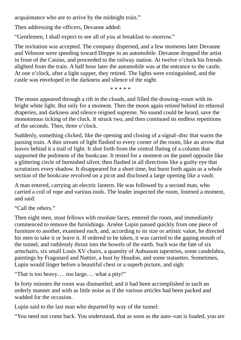acquaintance who are to arrive by the midnight train."

Then addressing the officers, Devanne added:

"Gentlemen, I shall expect to see all of you at breakfast to–morrow."

The invitation was accepted. The company dispersed, and a few moments later Devanne and Velmont were speeding toward Dieppe in an automobile. Devanne dropped the artist in front of the Casino, and proceeded to the railway station. At twelve o'clock his friends alighted from the train. A half hour later the automobile was at the entrance to the castle. At one o'clock, after a light supper, they retired. The lights were extinguished, and the castle was enveloped in the darkness and silence of the night.

\* \* \* \* \*

The moon appeared through a rift in the clouds, and filled the drawing–room with its bright white light. But only for a moment. Then the moon again retired behind its ethereal draperies, and darkness and silence reigned supreme. No sound could be heard, save the monotonous ticking of the clock. It struck two, and then continued its endless repetitions of the seconds. Then, three o'clock.

Suddenly, something clicked, like the opening and closing of a signal–disc that warns the passing train. A thin stream of light flashed to every corner of the room, like an arrow that leaves behind it a trail of light. It shot forth from the central fluting of a column that supported the pediment of the bookcase. It rested for a moment on the panel opposite like a glittering circle of burnished silver, then flashed in all directions like a guilty eye that scrutinizes every shadow. It disappeared for a short time, but burst forth again as a whole section of the bookcase revolved on a picot and disclosed a large opening like a vault.

A man entered, carrying an electric lantern. He was followed by a second man, who carried a coil of rope and various tools. The leader inspected the room, listened a moment, and said:

"Call the others."

Then eight men, stout fellows with resolute faces, entered the room, and immediately commenced to remove the furnishings. Arsène Lupin passed quickly from one piece of furniture to another, examined each, and, according to its size or artistic value, he directed his men to take it or leave it. If ordered to be taken, it was carried to the gaping mouth of the tunnel, and ruthlessly thrust into the bowels of the earth. Such was the fate of six armchairs, six small Louis XV chairs, a quantity of Aubusson tapestries, some candelabra, paintings by Fragonard and Nattier, a bust by Houdon, and some statuettes. Sometimes, Lupin would linger before a beautiful chest or a superb picture, and sigh:

"That is too heavy…. too large…. what a pity!"

In forty minutes the room was dismantled; and it had been accomplished in such an orderly manner and with as little noise as if the various articles had been packed and wadded for the occasion.

Lupin said to the last man who departed by way of the tunnel:

"You need not come back. You understand, that as soon as the auto–van is loaded, you are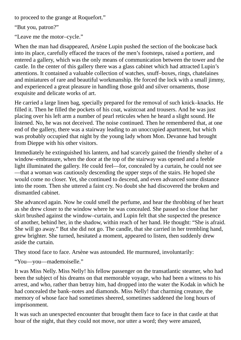to proceed to the grange at Roquefort."

"But you, patron?"

"Leave me the motor–cycle."

When the man had disappeared, Arsène Lupin pushed the section of the bookcase back into its place, carefully effaced the traces of the men's footsteps, raised a portiere, and entered a gallery, which was the only means of communication between the tower and the castle. In the center of this gallery there was a glass cabinet which had attracted Lupin's attentions. It contained a valuable collection of watches, snuff–boxes, rings, chatelaines and miniatures of rare and beautiful workmanship. He forced the lock with a small jimmy, and experienced a great pleasure in handling those gold and silver ornaments, those exquisite and delicate works of art.

He carried a large linen bag, specially prepared for the removal of such knick–knacks. He filled it. Then he filled the pockets of his coat, waistcoat and trousers. And he was just placing over his left arm a number of pearl reticules when he heard a slight sound. He listened. No, he was not deceived. The noise continued. Then he remembered that, at one end of the gallery, there was a stairway leading to an unoccupied apartment, but which was probably occupied that night by the young lady whom Mon. Devanne had brought from Dieppe with his other visitors.

Immediately he extinguished his lantern, and had scarcely gained the friendly shelter of a window–embrasure, when the door at the top of the stairway was opened and a feeble light illuminated the gallery. He could feel—for, concealed by a curtain, he could not see —that a woman was cautiously descending the upper steps of the stairs. He hoped she would come no closer. Yet, she continued to descend, and even advanced some distance into the room. Then she uttered a faint cry. No doubt she had discovered the broken and dismantled cabinet.

She advanced again. Now he could smell the perfume, and hear the throbbing of her heart as she drew closer to the window where he was concealed. She passed so close that her skirt brushed against the window–curtain, and Lupin felt that she suspected the presence of another, behind her, in the shadow, within reach of her hand. He thought: "She is afraid. She will go away." But she did not go. The candle, that she carried in her trembling hand, grew brighter. She turned, hesitated a moment, appeared to listen, then suddenly drew aside the curtain.

They stood face to face. Arsène was astounded. He murmured, involuntarily:

"You—you—mademoiselle."

It was Miss Nelly. Miss Nelly! his fellow passenger on the transatlantic steamer, who had been the subject of his dreams on that memorable voyage, who had been a witness to his arrest, and who, rather than betray him, had dropped into the water the Kodak in which he had concealed the bank–notes and diamonds. Miss Nelly! that charming creature, the memory of whose face had sometimes sheered, sometimes saddened the long hours of imprisonment.

It was such an unexpected encounter that brought them face to face in that castle at that hour of the night, that they could not move, nor utter a word; they were amazed,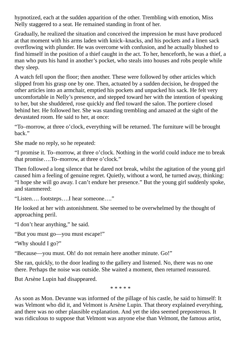hypnotized, each at the sudden apparition of the other. Trembling with emotion, Miss Nelly staggered to a seat. He remained standing in front of her.

Gradually, he realized the situation and conceived the impression he must have produced at that moment with his arms laden with knick–knacks, and his pockets and a linen sack overflowing with plunder. He was overcome with confusion, and he actually blushed to find himself in the position of a thief caught in the act. To her, henceforth, he was a thief, a man who puts his hand in another's pocket, who steals into houses and robs people while they sleep.

A watch fell upon the floor; then another. These were followed by other articles which slipped from his grasp one by one. Then, actuated by a sudden decision, he dropped the other articles into an armchair, emptied his pockets and unpacked his sack. He felt very uncomfortable in Nelly's presence, and stepped toward her with the intention of speaking to her, but she shuddered, rose quickly and fled toward the salon. The portiere closed behind her. He followed her. She was standing trembling and amazed at the sight of the devastated room. He said to her, at once:

"To–morrow, at three o'clock, everything will be returned. The furniture will be brought back."

She made no reply, so he repeated:

"I promise it. To–morrow, at three o'clock. Nothing in the world could induce me to break that promise….To–morrow, at three o'clock."

Then followed a long silence that he dared not break, whilst the agitation of the young girl caused him a feeling of genuine regret. Quietly, without a word, he turned away, thinking: "I hope she will go away. I can't endure her presence." But the young girl suddenly spoke, and stammered:

"Listen…. footsteps….I hear someone…."

He looked at her with astonishment. She seemed to be overwhelmed by the thought of approaching peril.

"I don't hear anything," he said.

"But you must go—you must escape!"

"Why should I go?"

"Because—you must. Oh! do not remain here another minute. Go!"

She ran, quickly, to the door leading to the gallery and listened. No, there was no one there. Perhaps the noise was outside. She waited a moment, then returned reassured.

But Arsène Lupin had disappeared.

\* \* \* \* \*

As soon as Mon. Devanne was informed of the pillage of his castle, he said to himself: It was Velmont who did it, and Velmont is Arsène Lupin. That theory explained everything, and there was no other plausible explanation. And yet the idea seemed preposterous. It was ridiculous to suppose that Velmont was anyone else than Velmont, the famous artist,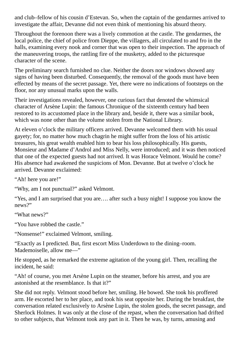and club–fellow of his cousin d'Estevan. So, when the captain of the gendarmes arrived to investigate the affair, Devanne did not even think of mentioning his absurd theory.

Throughout the forenoon there was a lively commotion at the castle. The gendarmes, the local police, the chief of police from Dieppe, the villagers, all circulated to and fro in the halls, examining every nook and corner that was open to their inspection. The approach of the maneuvering troops, the rattling fire of the musketry, added to the picturesque character of the scene.

The preliminary search furnished no clue. Neither the doors nor windows showed any signs of having been disturbed. Consequently, the removal of the goods must have been effected by means of the secret passage. Yet, there were no indications of footsteps on the floor, nor any unusual marks upon the walls.

Their investigations revealed, however, one curious fact that denoted the whimsical character of Arsène Lupin: the famous Chronique of the sixteenth century had been restored to its accustomed place in the library and, beside it, there was a similar book, which was none other than the volume stolen from the National Library.

At eleven o'clock the military officers arrived. Devanne welcomed them with his usual gayety; for, no matter how much chagrin he might suffer from the loss of his artistic treasures, his great wealth enabled him to bear his loss philosophically. His guests, Monsieur and Madame d'Androl and Miss Nelly, were introduced; and it was then noticed that one of the expected guests had not arrived. It was Horace Velmont. Would he come? His absence had awakened the suspicions of Mon. Devanne. But at twelve o'clock he arrived. Devanne exclaimed:

"Ah! here you are!"

"Why, am I not punctual?" asked Velmont.

"Yes, and I am surprised that you are…. after such a busy night! I suppose you know the news?"

"What news?"

"You have robbed the castle."

"Nonsense!" exclaimed Velmont, smiling.

"Exactly as I predicted. But, first escort Miss Underdown to the dining–room. Mademoiselle, allow me—"

He stopped, as he remarked the extreme agitation of the young girl. Then, recalling the incident, he said:

"Ah! of course, you met Arsène Lupin on the steamer, before his arrest, and you are astonished at the resemblance. Is that it?"

She did not reply. Velmont stood before her, smiling. He bowed. She took his proffered arm. He escorted her to her place, and took his seat opposite her. During the breakfast, the conversation related exclusively to Arsène Lupin, the stolen goods, the secret passage, and Sherlock Holmes. It was only at the close of the repast, when the conversation had drifted to other subjects, that Velmont took any part in it. Then he was, by turns, amusing and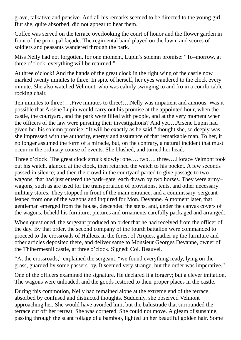grave, talkative and pensive. And all his remarks seemed to be directed to the young girl. But she, quite absorbed, did not appear to hear them.

Coffee was served on the terrace overlooking the court of honor and the flower garden in front of the principal façade. The regimental band played on the lawn, and scores of soldiers and peasants wandered through the park.

Miss Nelly had not forgotten, for one moment, Lupin's solemn promise: "To–morrow, at three o'clock, everything will be returned."

At three o'clock! And the hands of the great clock in the right wing of the castle now marked twenty minutes to three. In spite of herself, her eyes wandered to the clock every minute. She also watched Velmont, who was calmly swinging to and fro in a comfortable rocking chair.

Ten minutes to three!….Five minutes to three!….Nelly was impatient and anxious. Was it possible that Arsène Lupin would carry out his promise at the appointed hour, when the castle, the courtyard, and the park were filled with people, and at the very moment when the officers of the law were pursuing their investigations? And yet….Arsène Lupin had given her his solemn promise. "It will be exactly as he said," thought she, so deeply was she impressed with the authority, energy and assurance of that remarkable man. To her, it no longer assumed the form of a miracle, but, on the contrary, a natural incident that must occur in the ordinary course of events. She blushed, and turned her head.

Three o'clock! The great clock struck slowly: one…. two…. three….Horace Velmont took out his watch, glanced at the clock, then returned the watch to his pocket. A few seconds passed in silence; and then the crowd in the courtyard parted to give passage to two wagons, that had just entered the park–gate, each drawn by two horses. They were army– wagons, such as are used for the transportation of provisions, tents, and other necessary military stores. They stopped in front of the main entrance, and a commissary–sergeant leaped from one of the wagons and inquired for Mon. Devanne. A moment later, that gentleman emerged from the house, descended the steps, and, under the canvas covers of the wagons, beheld his furniture, pictures and ornaments carefully packaged and arranged.

When questioned, the sergeant produced an order that he had received from the officer of the day. By that order, the second company of the fourth battalion were commanded to proceed to the crossroads of Halleux in the forest of Arques, gather up the furniture and other articles deposited there, and deliver same to Monsieur Georges Devanne, owner of the Thibermesnil castle, at three o'clock. Signed: Col. Beauvel.

"At the crossroads," explained the sergeant, "we found everything ready, lying on the grass, guarded by some passers–by. It seemed very strange, but the order was imperative."

One of the officers examined the signature. He declared it a forgery; but a clever imitation. The wagons were unloaded, and the goods restored to their proper places in the castle.

During this commotion, Nelly had remained alone at the extreme end of the terrace, absorbed by confused and distracted thoughts. Suddenly, she observed Velmont approaching her. She would have avoided him, but the balustrade that surrounded the terrace cut off her retreat. She was cornered. She could not move. A gleam of sunshine, passing through the scant foliage of a bamboo, lighted up her beautiful golden hair. Some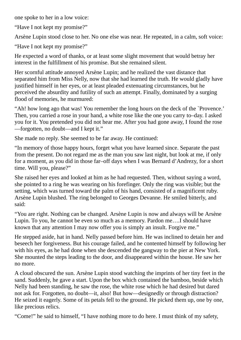one spoke to her in a low voice:

"Have I not kept my promise?"

Arsène Lupin stood close to her. No one else was near. He repeated, in a calm, soft voice:

"Have I not kept my promise?"

He expected a word of thanks, or at least some slight movement that would betray her interest in the fulfillment of his promise. But she remained silent.

Her scornful attitude annoyed Arsène Lupin; and he realized the vast distance that separated him from Miss Nelly, now that she had learned the truth. He would gladly have justified himself in her eyes, or at least pleaded extenuating circumstances, but he perceived the absurdity and futility of such an attempt. Finally, dominated by a surging flood of memories, he murmured:

"Ah! how long ago that was! You remember the long hours on the deck of the `Provence.' Then, you carried a rose in your hand, a white rose like the one you carry to–day. I asked you for it. You pretended you did not hear me. After you had gone away, I found the rose —forgotten, no doubt—and I kept it."

She made no reply. She seemed to be far away. He continued:

"In memory of those happy hours, forget what you have learned since. Separate the past from the present. Do not regard me as the man you saw last night, but look at me, if only for a moment, as you did in those far–off days when I was Bernard d'Andrezy, for a short time. Will you, please?"

She raised her eyes and looked at him as he had requested. Then, without saying a word, she pointed to a ring he was wearing on his forefinger. Only the ring was visible; but the setting, which was turned toward the palm of his hand, consisted of a magnificent ruby. Arsène Lupin blushed. The ring belonged to Georges Devanne. He smiled bitterly, and said:

"You are right. Nothing can be changed. Arsène Lupin is now and always will be Arsène Lupin. To you, he cannot be even so much as a memory. Pardon me….I should have known that any attention I may now offer you is simply an insult. Forgive me."

He stepped aside, hat in hand. Nelly passed before him. He was inclined to detain her and beseech her forgiveness. But his courage failed, and he contented himself by following her with his eyes, as he had done when she descended the gangway to the pier at New York. She mounted the steps leading to the door, and disappeared within the house. He saw her no more.

A cloud obscured the sun. Arsène Lupin stood watching the imprints of her tiny feet in the sand. Suddenly, he gave a start. Upon the box which contained the bamboo, beside which Nelly had been standing, he saw the rose, the white rose which he had desired but dared not ask for. Forgotten, no doubt—it, also! But how—designedly or through distraction? He seized it eagerly. Some of its petals fell to the ground. He picked them up, one by one, like precious relics.

"Come!" he said to himself, "I have nothing more to do here. I must think of my safety,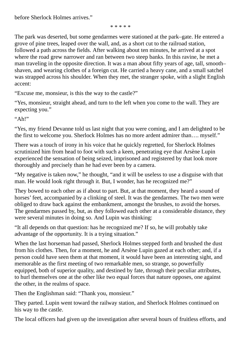\* \* \* \* \*

The park was deserted, but some gendarmes were stationed at the park–gate. He entered a grove of pine trees, leaped over the wall, and, as a short cut to the railroad station, followed a path across the fields. After walking about ten minutes, he arrived at a spot where the road grew narrower and ran between two steep banks. In this ravine, he met a man traveling in the opposite direction. It was a man about fifty years of age, tall, smooth– shaven, and wearing clothes of a foreign cut. He carried a heavy cane, and a small satchel was strapped across his shoulder. When they met, the stranger spoke, with a slight English accent:

"Excuse me, monsieur, is this the way to the castle?"

"Yes, monsieur, straight ahead, and turn to the left when you come to the wall. They are expecting you."

 $"Ah!"$ 

"Yes, my friend Devanne told us last night that you were coming, and I am delighted to be the first to welcome you. Sherlock Holmes has no more ardent admirer than…. myself."

There was a touch of irony in his voice that he quickly regretted, for Sherlock Holmes scrutinized him from head to foot with such a keen, penetrating eye that Arsène Lupin experienced the sensation of being seized, imprisoned and registered by that look more thoroughly and precisely than he had ever been by a camera.

"My negative is taken now," he thought, "and it will be useless to use a disguise with that man. He would look right through it. But, I wonder, has he recognized me?"

They bowed to each other as if about to part. But, at that moment, they heard a sound of horses' feet, accompanied by a clinking of steel. It was the gendarmes. The two men were obliged to draw back against the embankment, amongst the brushes, to avoid the horses. The gendarmes passed by, but, as they followed each other at a considerable distance, they were several minutes in doing so. And Lupin was thinking:

"It all depends on that question: has he recognized me? If so, he will probably take advantage of the opportunity. It is a trying situation."

When the last horseman had passed, Sherlock Holmes stepped forth and brushed the dust from his clothes. Then, for a moment, he and Arsène Lupin gazed at each other; and, if a person could have seen them at that moment, it would have been an interesting sight, and memorable as the first meeting of two remarkable men, so strange, so powerfully equipped, both of superior quality, and destined by fate, through their peculiar attributes, to hurl themselves one at the other like two equal forces that nature opposes, one against the other, in the realms of space.

Then the Englishman said: "Thank you, monsieur."

They parted. Lupin went toward the railway station, and Sherlock Holmes continued on his way to the castle.

The local officers had given up the investigation after several hours of fruitless efforts, and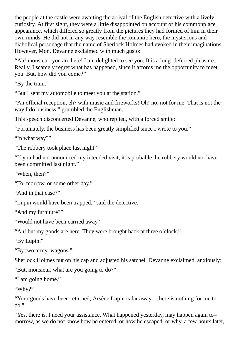the people at the castle were awaiting the arrival of the English detective with a lively curiosity. At first sight, they were a little disappointed on account of his commonplace appearance, which differed so greatly from the pictures they had formed of him in their own minds. He did not in any way resemble the romantic hero, the mysterious and diabolical personage that the name of Sherlock Holmes had evoked in their imaginations. However, Mon. Devanne exclaimed with much gusto:

"Ah! monsieur, you are here! I am delighted to see you. It is a long–deferred pleasure. Really, I scarcely regret what has happened, since it affords me the opportunity to meet you. But, how did you come?"

"By the train."

"But I sent my automobile to meet you at the station."

"An official reception, eh? with music and fireworks! Oh! no, not for me. That is not the way I do business," grumbled the Englishman.

This speech disconcerted Devanne, who replied, with a forced smile:

"Fortunately, the business has been greatly simplified since I wrote to you."

"In what way?"

"The robbery took place last night."

"If you had not announced my intended visit, it is probable the robbery would not have been committed last night."

"When, then?"

"To–morrow, or some other day."

"And in that case?"

"Lupin would have been trapped," said the detective.

"And my furniture?"

"Would not have been carried away."

"Ah! but my goods are here. They were brought back at three o'clock."

"By Lupin."

"By two army–wagons."

Sherlock Holmes put on his cap and adjusted his satchel. Devanne exclaimed, anxiously:

"But, monsieur, what are you going to do?"

"I am going home."

"Why?"

"Your goods have been returned; Arsène Lupin is far away—there is nothing for me to do."

"Yes, there is. I need your assistance. What happened yesterday, may happen again to– morrow, as we do not know how he entered, or how he escaped, or why, a few hours later,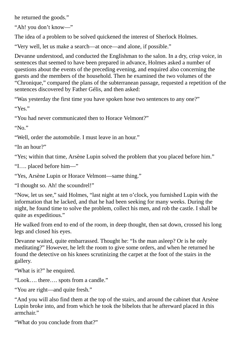he returned the goods."

"Ah! you don't know—"

The idea of a problem to be solved quickened the interest of Sherlock Holmes.

"Very well, let us make a search—at once—and alone, if possible."

Devanne understood, and conducted the Englishman to the salon. In a dry, crisp voice, in sentences that seemed to have been prepared in advance, Holmes asked a number of questions about the events of the preceding evening, and enquired also concerning the guests and the members of the household. Then he examined the two volumes of the "Chronique," compared the plans of the subterranean passage, requested a repetition of the sentences discovered by Father Gélis, and then asked:

"Was yesterday the first time you have spoken hose two sentences to any one?"

"Yes."

"You had never communicated then to Horace Velmont?"

"No."

"Well, order the automobile. I must leave in an hour."

"In an hour?"

"Yes; within that time, Arsène Lupin solved the problem that you placed before him."

"I…. placed before him—"

"Yes, Arsène Lupin or Horace Velmont—same thing."

"I thought so. Ah! the scoundrel!"

"Now, let us see," said Holmes, "last night at ten o'clock, you furnished Lupin with the information that he lacked, and that he had been seeking for many weeks. During the night, he found time to solve the problem, collect his men, and rob the castle. I shall be quite as expeditious."

He walked from end to end of the room, in deep thought, then sat down, crossed his long legs and closed his eyes.

Devanne waited, quite embarrassed. Thought he: "Is the man asleep? Or is he only meditating?" However, he left the room to give some orders, and when he returned he found the detective on his knees scrutinizing the carpet at the foot of the stairs in the gallery.

"What is it?" he enquired.

"Look…. there…. spots from a candle."

"You are right—and quite fresh."

"And you will also find them at the top of the stairs, and around the cabinet that Arsène Lupin broke into, and from which he took the bibelots that he afterward placed in this armchair."

"What do you conclude from that?"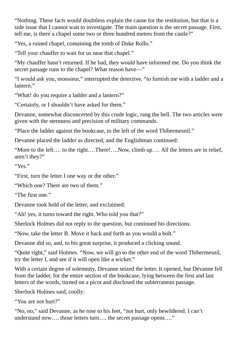"Nothing. These facts would doubtless explain the cause for the restitution, but that is a side issue that I cannot wait to investigate. The main question is the secret passage. First, tell me, is there a chapel some two or three hundred metres from the castle?"

"Yes, a ruined chapel, containing the tomb of Duke Rollo."

"Tell your chauffer to wait for us near that chapel."

"My chauffer hasn't returned. If he had, they would have informed me. Do you think the secret passage runs to the chapel? What reason have—"

"I would ask you, monsieur," interrupted the detective, "to furnish me with a ladder and a lantern."

"What! do you require a ladder and a lantern?"

"Certainly, or I shouldn't have asked for them."

Devanne, somewhat disconcerted by this crude logic, rang the bell. The two articles were given with the sternness and precision of military commands.

"Place the ladder against the bookcase, to the left of the word Thibermesnil."

Devanne placed the ladder as directed, and the Englishman continued:

"More to the left…. to the right….There!….Now, climb up…. All the letters are in relief, aren't they?"

"Yes."

"First, turn the letter I one way or the other."

"Which one? There are two of them."

"The first one."

Devanne took hold of the letter, and exclaimed:

"Ah! yes, it turns toward the right. Who told you that?"

Sherlock Holmes did not reply to the question, but continued his directions:

"Now, take the letter B. Move it back and forth as you would a bolt."

Devanne did so, and, to his great surprise, it produced a clicking sound.

"Quite right," said Holmes. "Now, we will go to the other end of the word Thibermesnil, try the letter I, and see if it will open like a wicket."

With a certain degree of solemnity, Devanne seized the letter. It opened, but Devanne fell from the ladder, for the entire section of the bookcase, lying between the first and last letters of the words, turned on a picot and disclosed the subterranean passage.

Sherlock Holmes said, coolly:

"You are not hurt?"

"No, no," said Devanne, as he rose to his feet, "not hurt, only bewildered. I can't understand now…. those letters turn…. the secret passage opens…."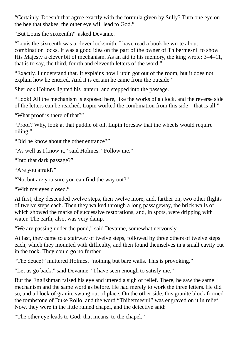"Certainly. Doesn't that agree exactly with the formula given by Sully? Turn one eye on the bee that shakes, the other eye will lead to God."

"But Louis the sixteenth?" asked Devanne.

"Louis the sixteenth was a clever locksmith. I have read a book he wrote about combination locks. It was a good idea on the part of the owner of Thibermesnil to show His Majesty a clever bit of mechanism. As an aid to his memory, the king wrote: 3–4–11, that is to say, the third, fourth and eleventh letters of the word."

"Exactly. I understand that. It explains how Lupin got out of the room, but it does not explain how he entered. And it is certain he came from the outside."

Sherlock Holmes lighted his lantern, and stepped into the passage.

"Look! All the mechanism is exposed here, like the works of a clock, and the reverse side of the letters can be reached. Lupin worked the combination from this side—that is all."

"What proof is there of that?"

"Proof? Why, look at that puddle of oil. Lupin foresaw that the wheels would require oiling."

"Did he know about the other entrance?"

"As well as I know it," said Holmes. "Follow me."

"Into that dark passage?"

"Are you afraid?"

"No, but are you sure you can find the way out?"

"With my eyes closed."

At first, they descended twelve steps, then twelve more, and, farther on, two other flights of twelve steps each. Then they walked through a long passageway, the brick walls of which showed the marks of successive restorations, and, in spots, were dripping with water. The earth, also, was very damp.

"We are passing under the pond," said Devanne, somewhat nervously.

At last, they came to a stairway of twelve steps, followed by three others of twelve steps each, which they mounted with difficulty, and then found themselves in a small cavity cut in the rock. They could go no further.

"The deuce!" muttered Holmes, "nothing but bare walls. This is provoking."

"Let us go back," said Devanne. "I have seen enough to satisfy me."

But the Englishman raised his eye and uttered a sigh of relief. There, he saw the same mechanism and the same word as before. He had merely to work the three letters. He did so, and a block of granite swung out of place. On the other side, this granite block formed the tombstone of Duke Rollo, and the word "Thibermesnil" was engraved on it in relief. Now, they were in the little ruined chapel, and the detective said:

"The other eye leads to God; that means, to the chapel."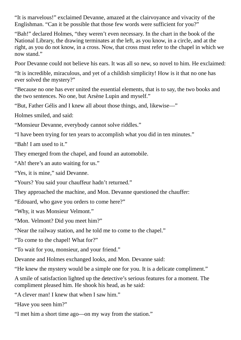"It is marvelous!" exclaimed Devanne, amazed at the clairvoyance and vivacity of the Englishman. "Can it be possible that those few words were sufficient for you?"

"Bah!" declared Holmes, "they weren't even necessary. In the chart in the book of the National Library, the drawing terminates at the left, as you know, in a circle, and at the right, as you do not know, in a cross. Now, that cross must refer to the chapel in which we now stand."

Poor Devanne could not believe his ears. It was all so new, so novel to him. He exclaimed:

"It is incredible, miraculous, and yet of a childish simplicity! How is it that no one has ever solved the mystery?"

"Because no one has ever united the essential elements, that is to say, the two books and the two sentences. No one, but Arsène Lupin and myself."

"But, Father Gélis and I knew all about those things, and, likewise—"

Holmes smiled, and said:

"Monsieur Devanne, everybody cannot solve riddles."

"I have been trying for ten years to accomplish what you did in ten minutes."

"Bah! I am used to it."

They emerged from the chapel, and found an automobile.

"Ah! there's an auto waiting for us."

"Yes, it is mine," said Devanne.

"Yours? You said your chauffeur hadn't returned."

They approached the machine, and Mon. Devanne questioned the chauffer:

"Edouard, who gave you orders to come here?"

"Why, it was Monsieur Velmont."

"Mon. Velmont? Did you meet him?"

"Near the railway station, and he told me to come to the chapel."

"To come to the chapel! What for?"

"To wait for you, monsieur, and your friend."

Devanne and Holmes exchanged looks, and Mon. Devanne said:

"He knew the mystery would be a simple one for you. It is a delicate compliment."

A smile of satisfaction lighted up the detective's serious features for a moment. The compliment pleased him. He shook his head, as he said:

"A clever man! I knew that when I saw him."

"Have you seen him?"

"I met him a short time ago—on my way from the station."